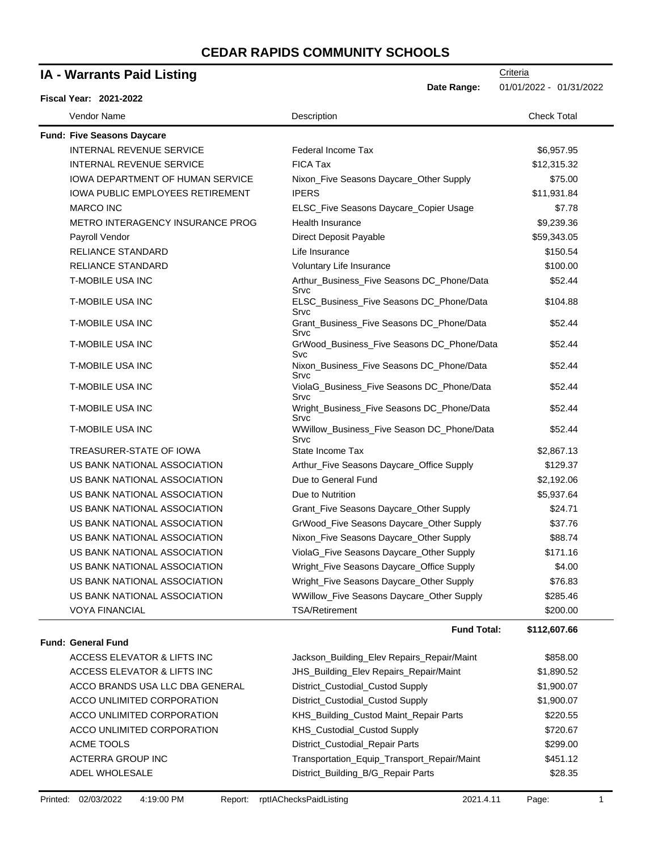| <b>IA - Warrants Paid Listing</b>       |                                                    | Criteria                |
|-----------------------------------------|----------------------------------------------------|-------------------------|
| Fiscal Year: 2021-2022                  | Date Range:                                        | 01/01/2022 - 01/31/2022 |
| Vendor Name                             | Description                                        | <b>Check Total</b>      |
| <b>Fund: Five Seasons Daycare</b>       |                                                    |                         |
| <b>INTERNAL REVENUE SERVICE</b>         | Federal Income Tax                                 | \$6,957.95              |
| <b>INTERNAL REVENUE SERVICE</b>         | <b>FICA Tax</b>                                    | \$12,315.32             |
| <b>IOWA DEPARTMENT OF HUMAN SERVICE</b> | Nixon_Five Seasons Daycare_Other Supply            | \$75.00                 |
| IOWA PUBLIC EMPLOYEES RETIREMENT        | <b>IPERS</b>                                       | \$11,931.84             |
| <b>MARCO INC</b>                        | ELSC_Five Seasons Daycare_Copier Usage             | \$7.78                  |
| METRO INTERAGENCY INSURANCE PROG        | Health Insurance                                   | \$9,239.36              |
| Payroll Vendor                          | Direct Deposit Payable                             | \$59,343.05             |
| <b>RELIANCE STANDARD</b>                | Life Insurance                                     | \$150.54                |
| <b>RELIANCE STANDARD</b>                | Voluntary Life Insurance                           | \$100.00                |
| <b>T-MOBILE USA INC</b>                 | Arthur_Business_Five Seasons DC_Phone/Data<br>Srvc | \$52.44                 |
| T-MOBILE USA INC                        | ELSC_Business_Five Seasons DC_Phone/Data<br>Srvc   | \$104.88                |
| <b>T-MOBILE USA INC</b>                 | Grant_Business_Five Seasons DC_Phone/Data<br>Srvc  | \$52.44                 |
| <b>T-MOBILE USA INC</b>                 | GrWood_Business_Five Seasons DC_Phone/Data<br>Svc  | \$52.44                 |
| <b>T-MOBILE USA INC</b>                 | Nixon_Business_Five Seasons DC_Phone/Data<br>Srvc  | \$52.44                 |
| <b>T-MOBILE USA INC</b>                 | ViolaG_Business_Five Seasons DC_Phone/Data<br>Srvc | \$52.44                 |
| <b>T-MOBILE USA INC</b>                 | Wright_Business_Five Seasons DC_Phone/Data<br>Srvc | \$52.44                 |
| <b>T-MOBILE USA INC</b>                 | WWillow_Business_Five Season DC_Phone/Data<br>Srvc | \$52.44                 |
| TREASURER-STATE OF IOWA                 | State Income Tax                                   | \$2,867.13              |
| US BANK NATIONAL ASSOCIATION            | Arthur_Five Seasons Daycare_Office Supply          | \$129.37                |
| US BANK NATIONAL ASSOCIATION            | Due to General Fund                                | \$2,192.06              |
| US BANK NATIONAL ASSOCIATION            | Due to Nutrition                                   | \$5,937.64              |
| US BANK NATIONAL ASSOCIATION            | Grant_Five Seasons Daycare_Other Supply            | \$24.71                 |
| US BANK NATIONAL ASSOCIATION            | GrWood_Five Seasons Daycare_Other Supply           | \$37.76                 |
| US BANK NATIONAL ASSOCIATION            | Nixon_Five Seasons Daycare_Other Supply            | \$88.74                 |
| US BANK NATIONAL ASSOCIATION            | ViolaG_Five Seasons Daycare_Other Supply           | \$171.16                |
| US BANK NATIONAL ASSOCIATION            | Wright_Five Seasons Daycare_Office Supply          | \$4.00                  |
| US BANK NATIONAL ASSOCIATION            | Wright_Five Seasons Daycare_Other Supply           | \$76.83                 |
| US BANK NATIONAL ASSOCIATION            | WWillow_Five Seasons Daycare_Other Supply          | \$285.46                |
| <b>VOYA FINANCIAL</b>                   | <b>TSA/Retirement</b>                              | \$200.00                |
|                                         | <b>Fund Total:</b>                                 | \$112,607.66            |
| <b>Fund: General Fund</b>               |                                                    |                         |
| ACCESS ELEVATOR & LIFTS INC             | Jackson_Building_Elev Repairs_Repair/Maint         | \$858.00                |
| ACCESS ELEVATOR & LIFTS INC             | JHS_Building_Elev Repairs_Repair/Maint             | \$1,890.52              |
| ACCO BRANDS USA LLC DBA GENERAL         | District_Custodial_Custod Supply                   | \$1,900.07              |
| ACCO UNLIMITED CORPORATION              | District_Custodial_Custod Supply                   | \$1,900.07              |
| ACCO UNLIMITED CORPORATION              | KHS_Building_Custod Maint_Repair Parts             | \$220.55                |
| ACCO UNLIMITED CORPORATION              | KHS_Custodial_Custod Supply                        | \$720.67                |
| ACME TOOLS                              | District_Custodial_Repair Parts                    | \$299.00                |
| <b>ACTERRA GROUP INC</b>                | Transportation_Equip_Transport_Repair/Maint        | \$451.12                |
| ADEL WHOLESALE                          | District_Building_B/G_Repair Parts                 | \$28.35                 |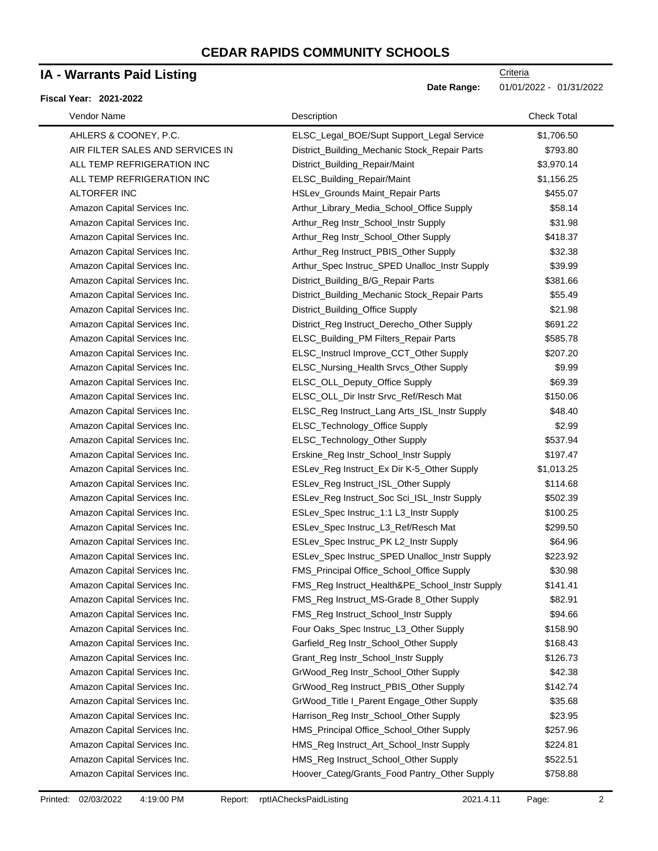### **IA - Warrants Paid Listing**

#### **Fiscal Year: 2021-2022**

| Vendor Name                      | Description                                    | <b>Check Total</b> |
|----------------------------------|------------------------------------------------|--------------------|
| AHLERS & COONEY, P.C.            | ELSC_Legal_BOE/Supt Support_Legal Service      | \$1,706.50         |
| AIR FILTER SALES AND SERVICES IN | District_Building_Mechanic Stock_Repair Parts  | \$793.80           |
| ALL TEMP REFRIGERATION INC       | District_Building_Repair/Maint                 | \$3,970.14         |
| ALL TEMP REFRIGERATION INC       | ELSC_Building_Repair/Maint                     | \$1,156.25         |
| ALTORFER INC                     | HSLev_Grounds Maint_Repair Parts               | \$455.07           |
| Amazon Capital Services Inc.     | Arthur_Library_Media_School_Office Supply      | \$58.14            |
| Amazon Capital Services Inc.     | Arthur_Reg Instr_School_Instr Supply           | \$31.98            |
| Amazon Capital Services Inc.     | Arthur_Reg Instr_School_Other Supply           | \$418.37           |
| Amazon Capital Services Inc.     | Arthur_Reg Instruct_PBIS_Other Supply          | \$32.38            |
| Amazon Capital Services Inc.     | Arthur_Spec Instruc_SPED Unalloc_Instr Supply  | \$39.99            |
| Amazon Capital Services Inc.     | District_Building_B/G_Repair Parts             | \$381.66           |
| Amazon Capital Services Inc.     | District_Building_Mechanic Stock_Repair Parts  | \$55.49            |
| Amazon Capital Services Inc.     | District_Building_Office Supply                | \$21.98            |
| Amazon Capital Services Inc.     | District_Reg Instruct_Derecho_Other Supply     | \$691.22           |
| Amazon Capital Services Inc.     | ELSC_Building_PM Filters_Repair Parts          | \$585.78           |
| Amazon Capital Services Inc.     | ELSC_Instrucl Improve_CCT_Other Supply         | \$207.20           |
| Amazon Capital Services Inc.     | ELSC_Nursing_Health Srvcs_Other Supply         | \$9.99             |
| Amazon Capital Services Inc.     | ELSC_OLL_Deputy_Office Supply                  | \$69.39            |
| Amazon Capital Services Inc.     | ELSC_OLL_Dir Instr Srvc_Ref/Resch Mat          | \$150.06           |
| Amazon Capital Services Inc.     | ELSC_Reg Instruct_Lang Arts_ISL_Instr Supply   | \$48.40            |
| Amazon Capital Services Inc.     | ELSC_Technology_Office Supply                  | \$2.99             |
| Amazon Capital Services Inc.     | ELSC_Technology_Other Supply                   | \$537.94           |
| Amazon Capital Services Inc.     | Erskine_Reg Instr_School_Instr Supply          | \$197.47           |
| Amazon Capital Services Inc.     | ESLev_Reg Instruct_Ex Dir K-5_Other Supply     | \$1,013.25         |
| Amazon Capital Services Inc.     | ESLev_Reg Instruct_ISL_Other Supply            | \$114.68           |
| Amazon Capital Services Inc.     | ESLev_Reg Instruct_Soc Sci_ISL_Instr Supply    | \$502.39           |
| Amazon Capital Services Inc.     | ESLev_Spec Instruc_1:1 L3_Instr Supply         | \$100.25           |
| Amazon Capital Services Inc.     | ESLev_Spec Instruc_L3_Ref/Resch Mat            | \$299.50           |
| Amazon Capital Services Inc.     | ESLev_Spec Instruc_PK L2_Instr Supply          | \$64.96            |
| Amazon Capital Services Inc.     | ESLev_Spec Instruc_SPED Unalloc_Instr Supply   | \$223.92           |
| Amazon Capital Services Inc.     | FMS_Principal Office_School_Office Supply      | \$30.98            |
| Amazon Capital Services Inc.     | FMS_Reg Instruct_Health&PE_School_Instr Supply | \$141.41           |
| Amazon Capital Services Inc.     | FMS_Reg Instruct_MS-Grade 8_Other Supply       | \$82.91            |
| Amazon Capital Services Inc.     | FMS_Reg Instruct_School_Instr Supply           | \$94.66            |
| Amazon Capital Services Inc.     | Four Oaks_Spec Instruc_L3_Other Supply         | \$158.90           |
| Amazon Capital Services Inc.     | Garfield_Reg Instr_School_Other Supply         | \$168.43           |
| Amazon Capital Services Inc.     | Grant_Reg Instr_School_Instr Supply            | \$126.73           |
| Amazon Capital Services Inc.     | GrWood_Reg Instr_School_Other Supply           | \$42.38            |
| Amazon Capital Services Inc.     | GrWood_Reg Instruct_PBIS_Other Supply          | \$142.74           |
| Amazon Capital Services Inc.     | GrWood_Title I_Parent Engage_Other Supply      | \$35.68            |
| Amazon Capital Services Inc.     | Harrison_Reg Instr_School_Other Supply         | \$23.95            |
| Amazon Capital Services Inc.     | HMS_Principal Office_School_Other Supply       | \$257.96           |
| Amazon Capital Services Inc.     | HMS_Reg Instruct_Art_School_Instr Supply       | \$224.81           |
| Amazon Capital Services Inc.     | HMS_Reg Instruct_School_Other Supply           | \$522.51           |
| Amazon Capital Services Inc.     | Hoover_Categ/Grants_Food Pantry_Other Supply   | \$758.88           |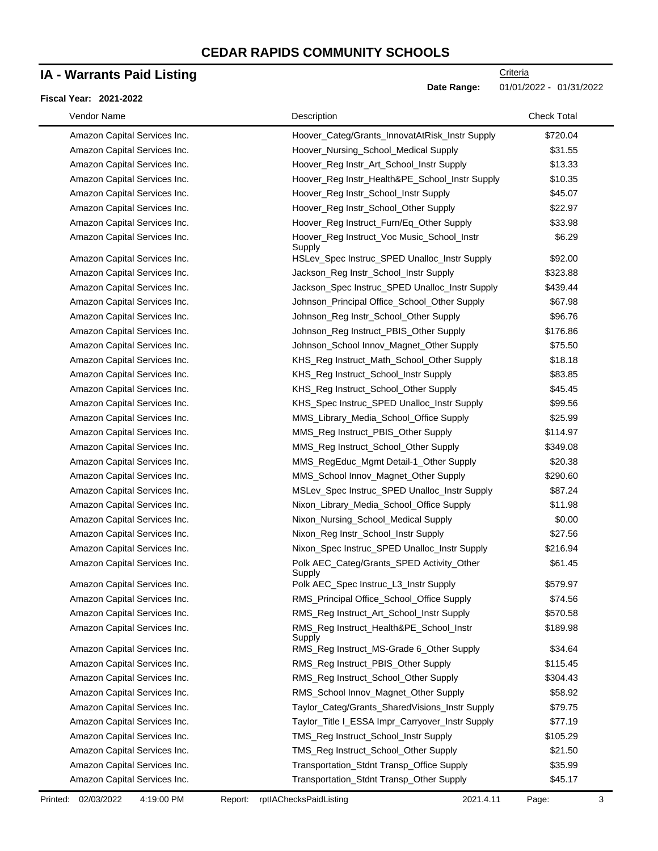# **IA - Warrants Paid Listing**

#### **Fiscal Year: 2021-2022**

**Date Range:** 01/01/2022 - 01/31/2022

| Vendor Name                  | Description                                          | <b>Check Total</b> |
|------------------------------|------------------------------------------------------|--------------------|
| Amazon Capital Services Inc. | Hoover_Categ/Grants_InnovatAtRisk_Instr Supply       | \$720.04           |
| Amazon Capital Services Inc. | Hoover_Nursing_School_Medical Supply                 | \$31.55            |
| Amazon Capital Services Inc. | Hoover_Reg Instr_Art_School_Instr Supply             | \$13.33            |
| Amazon Capital Services Inc. | Hoover_Reg Instr_Health&PE_School_Instr Supply       | \$10.35            |
| Amazon Capital Services Inc. | Hoover_Reg Instr_School_Instr Supply                 | \$45.07            |
| Amazon Capital Services Inc. | Hoover_Reg Instr_School_Other Supply                 | \$22.97            |
| Amazon Capital Services Inc. | Hoover_Reg Instruct_Furn/Eq_Other Supply             | \$33.98            |
| Amazon Capital Services Inc. | Hoover_Reg Instruct_Voc Music_School_Instr<br>Supply | \$6.29             |
| Amazon Capital Services Inc. | HSLev_Spec Instruc_SPED Unalloc_Instr Supply         | \$92.00            |
| Amazon Capital Services Inc. | Jackson_Reg Instr_School_Instr Supply                | \$323.88           |
| Amazon Capital Services Inc. | Jackson_Spec Instruc_SPED Unalloc_Instr Supply       | \$439.44           |
| Amazon Capital Services Inc. | Johnson_Principal Office_School_Other Supply         | \$67.98            |
| Amazon Capital Services Inc. | Johnson_Reg Instr_School_Other Supply                | \$96.76            |
| Amazon Capital Services Inc. | Johnson_Reg Instruct_PBIS_Other Supply               | \$176.86           |
| Amazon Capital Services Inc. | Johnson_School Innov_Magnet_Other Supply             | \$75.50            |
| Amazon Capital Services Inc. | KHS_Reg Instruct_Math_School_Other Supply            | \$18.18            |
| Amazon Capital Services Inc. | KHS_Reg Instruct_School_Instr Supply                 | \$83.85            |
| Amazon Capital Services Inc. | KHS_Reg Instruct_School_Other Supply                 | \$45.45            |
| Amazon Capital Services Inc. | KHS_Spec Instruc_SPED Unalloc_Instr Supply           | \$99.56            |
| Amazon Capital Services Inc. | MMS_Library_Media_School_Office Supply               | \$25.99            |
| Amazon Capital Services Inc. | MMS_Reg Instruct_PBIS_Other Supply                   | \$114.97           |
| Amazon Capital Services Inc. | MMS_Reg Instruct_School_Other Supply                 | \$349.08           |
| Amazon Capital Services Inc. | MMS_RegEduc_Mgmt Detail-1_Other Supply               | \$20.38            |
| Amazon Capital Services Inc. | MMS_School Innov_Magnet_Other Supply                 | \$290.60           |
| Amazon Capital Services Inc. | MSLev_Spec Instruc_SPED Unalloc_Instr Supply         | \$87.24            |
| Amazon Capital Services Inc. | Nixon_Library_Media_School_Office Supply             | \$11.98            |
| Amazon Capital Services Inc. | Nixon_Nursing_School_Medical Supply                  | \$0.00             |
| Amazon Capital Services Inc. | Nixon_Reg Instr_School_Instr Supply                  | \$27.56            |
| Amazon Capital Services Inc. | Nixon_Spec Instruc_SPED Unalloc_Instr Supply         | \$216.94           |
| Amazon Capital Services Inc. | Polk AEC_Categ/Grants_SPED Activity_Other<br>Supply  | \$61.45            |
| Amazon Capital Services Inc. | Polk AEC_Spec Instruc_L3_Instr Supply                | \$579.97           |
| Amazon Capital Services Inc. | RMS_Principal Office_School_Office Supply            | \$74.56            |
| Amazon Capital Services Inc. | RMS_Reg Instruct_Art_School_Instr Supply             | \$570.58           |
| Amazon Capital Services Inc. | RMS_Reg Instruct_Health&PE_School_Instr<br>Supply    | \$189.98           |
| Amazon Capital Services Inc. | RMS_Reg Instruct_MS-Grade 6_Other Supply             | \$34.64            |
| Amazon Capital Services Inc. | RMS_Reg Instruct_PBIS_Other Supply                   | \$115.45           |
| Amazon Capital Services Inc. | RMS_Reg Instruct_School_Other Supply                 | \$304.43           |
| Amazon Capital Services Inc. | RMS_School Innov_Magnet_Other Supply                 | \$58.92            |
| Amazon Capital Services Inc. | Taylor_Categ/Grants_SharedVisions_Instr Supply       | \$79.75            |
| Amazon Capital Services Inc. | Taylor_Title I_ESSA Impr_Carryover_Instr Supply      | \$77.19            |
| Amazon Capital Services Inc. | TMS_Reg Instruct_School_Instr Supply                 | \$105.29           |
| Amazon Capital Services Inc. | TMS_Reg Instruct_School_Other Supply                 | \$21.50            |
| Amazon Capital Services Inc. | Transportation_Stdnt Transp_Office Supply            | \$35.99            |
| Amazon Capital Services Inc. | Transportation_Stdnt Transp_Other Supply             | \$45.17            |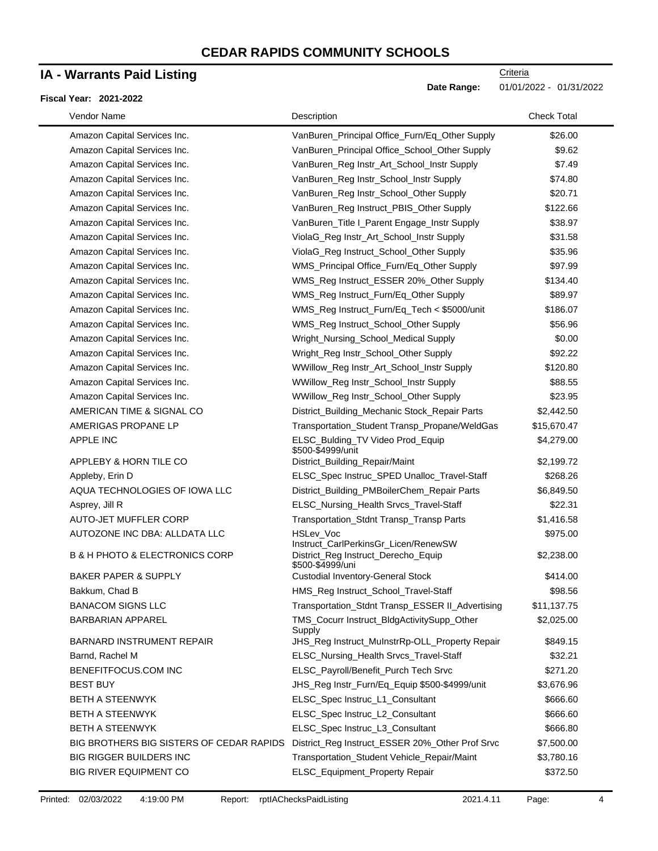### **IA - Warrants Paid Listing**

#### **Fiscal Year: 2021-2022**

| Vendor Name                                   | Description                                              | <b>Check Total</b> |
|-----------------------------------------------|----------------------------------------------------------|--------------------|
| Amazon Capital Services Inc.                  | VanBuren_Principal Office_Furn/Eq_Other Supply           | \$26.00            |
| Amazon Capital Services Inc.                  | VanBuren_Principal Office_School_Other Supply            | \$9.62             |
| Amazon Capital Services Inc.                  | VanBuren_Reg Instr_Art_School_Instr Supply               | \$7.49             |
| Amazon Capital Services Inc.                  | VanBuren_Reg Instr_School_Instr Supply                   | \$74.80            |
| Amazon Capital Services Inc.                  | VanBuren_Reg Instr_School_Other Supply                   | \$20.71            |
| Amazon Capital Services Inc.                  | VanBuren_Reg Instruct_PBIS_Other Supply                  | \$122.66           |
| Amazon Capital Services Inc.                  | VanBuren_Title I_Parent Engage_Instr Supply              | \$38.97            |
| Amazon Capital Services Inc.                  | ViolaG_Reg Instr_Art_School_Instr Supply                 | \$31.58            |
| Amazon Capital Services Inc.                  | ViolaG_Reg Instruct_School_Other Supply                  | \$35.96            |
| Amazon Capital Services Inc.                  | WMS_Principal Office_Furn/Eq_Other Supply                | \$97.99            |
| Amazon Capital Services Inc.                  | WMS_Reg Instruct_ESSER 20%_Other Supply                  | \$134.40           |
| Amazon Capital Services Inc.                  | WMS_Reg Instruct_Furn/Eq_Other Supply                    | \$89.97            |
| Amazon Capital Services Inc.                  | WMS_Reg Instruct_Furn/Eq_Tech < \$5000/unit              | \$186.07           |
| Amazon Capital Services Inc.                  | WMS_Reg Instruct_School_Other Supply                     | \$56.96            |
| Amazon Capital Services Inc.                  | Wright_Nursing_School_Medical Supply                     | \$0.00             |
| Amazon Capital Services Inc.                  | Wright_Reg Instr_School_Other Supply                     | \$92.22            |
| Amazon Capital Services Inc.                  | WWillow_Reg Instr_Art_School_Instr Supply                | \$120.80           |
| Amazon Capital Services Inc.                  | WWillow_Reg Instr_School_Instr Supply                    | \$88.55            |
| Amazon Capital Services Inc.                  | WWillow_Reg Instr_School_Other Supply                    | \$23.95            |
| AMERICAN TIME & SIGNAL CO                     | District_Building_Mechanic Stock_Repair Parts            | \$2,442.50         |
| AMERIGAS PROPANE LP                           | Transportation_Student Transp_Propane/WeldGas            | \$15,670.47        |
| <b>APPLE INC</b>                              | ELSC_Bulding_TV Video Prod_Equip<br>\$500-\$4999/unit    | \$4,279.00         |
| APPLEBY & HORN TILE CO                        | District_Building_Repair/Maint                           | \$2,199.72         |
| Appleby, Erin D                               | ELSC_Spec Instruc_SPED Unalloc_Travel-Staff              | \$268.26           |
| AQUA TECHNOLOGIES OF IOWA LLC                 | District_Building_PMBoilerChem_Repair Parts              | \$6,849.50         |
| Asprey, Jill R                                | ELSC_Nursing_Health Srvcs_Travel-Staff                   | \$22.31            |
| AUTO-JET MUFFLER CORP                         | Transportation_Stdnt Transp_Transp Parts                 | \$1,416.58         |
| AUTOZONE INC DBA: ALLDATA LLC                 | <b>HSLev Voc</b><br>Instruct_CarlPerkinsGr_Licen/RenewSW | \$975.00           |
| <b>B &amp; H PHOTO &amp; ELECTRONICS CORP</b> | District_Reg Instruct_Derecho_Equip<br>\$500-\$4999/uni  | \$2,238.00         |
| <b>BAKER PAPER &amp; SUPPLY</b>               | <b>Custodial Inventory-General Stock</b>                 | \$414.00           |
| Bakkum, Chad B                                | HMS_Reg Instruct_School_Travel-Staff                     | \$98.56            |
| <b>BANACOM SIGNS LLC</b>                      | Transportation_Stdnt Transp_ESSER II_Advertising         | \$11,137.75        |
| <b>BARBARIAN APPAREL</b>                      | TMS_Cocurr Instruct_BldgActivitySupp_Other<br>Supply     | \$2,025.00         |
| <b>BARNARD INSTRUMENT REPAIR</b>              | JHS_Reg Instruct_MuInstrRp-OLL_Property Repair           | \$849.15           |
| Barnd, Rachel M                               | ELSC_Nursing_Health Srvcs_Travel-Staff                   | \$32.21            |
| BENEFITFOCUS.COM INC                          | ELSC_Payroll/Benefit_Purch Tech Srvc                     | \$271.20           |
| <b>BEST BUY</b>                               | JHS_Reg Instr_Furn/Eq_Equip \$500-\$4999/unit            | \$3,676.96         |
| <b>BETH A STEENWYK</b>                        | ELSC_Spec Instruc_L1_Consultant                          | \$666.60           |
| <b>BETH A STEENWYK</b>                        | ELSC_Spec Instruc_L2_Consultant                          | \$666.60           |
| BETH A STEENWYK                               | ELSC_Spec Instruc_L3_Consultant                          | \$666.80           |
| BIG BROTHERS BIG SISTERS OF CEDAR RAPIDS      | District_Reg Instruct_ESSER 20%_Other Prof Srvc          | \$7,500.00         |
| BIG RIGGER BUILDERS INC                       | Transportation_Student Vehicle_Repair/Maint              | \$3,780.16         |
| BIG RIVER EQUIPMENT CO                        | ELSC_Equipment_Property Repair                           | \$372.50           |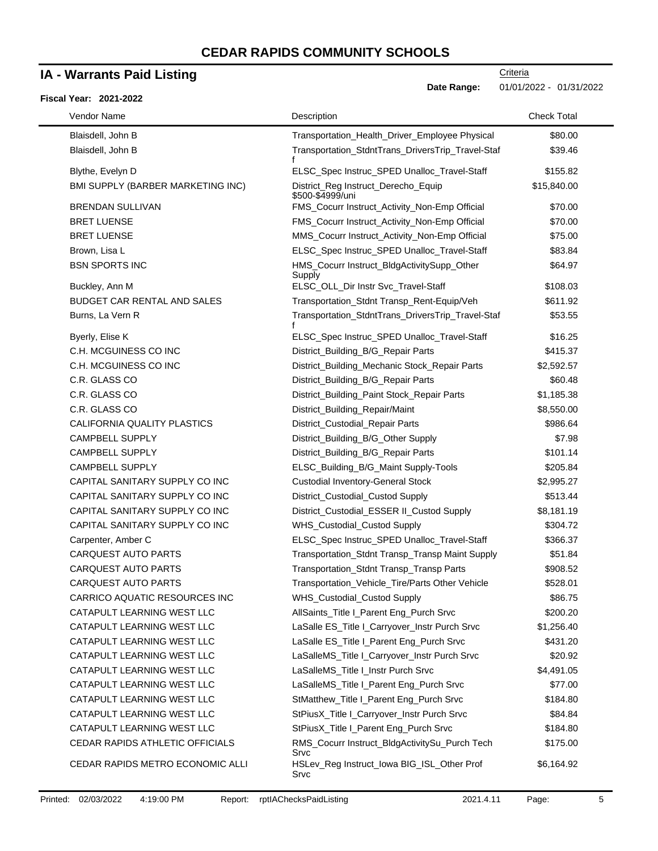### **IA - Warrants Paid Listing**

#### **Fiscal Year: 2021-2022**

Date Range: 01/01/2022 - 01/31/2022

| Vendor Name                       | Description                                             | <b>Check Total</b> |
|-----------------------------------|---------------------------------------------------------|--------------------|
| Blaisdell, John B                 | Transportation_Health_Driver_Employee Physical          | \$80.00            |
| Blaisdell, John B                 | Transportation_StdntTrans_DriversTrip_Travel-Staf<br>f  | \$39.46            |
| Blythe, Evelyn D                  | ELSC_Spec Instruc_SPED Unalloc_Travel-Staff             | \$155.82           |
| BMI SUPPLY (BARBER MARKETING INC) | District_Reg Instruct_Derecho_Equip<br>\$500-\$4999/uni | \$15,840.00        |
| <b>BRENDAN SULLIVAN</b>           | FMS_Cocurr Instruct_Activity_Non-Emp Official           | \$70.00            |
| <b>BRET LUENSE</b>                | FMS_Cocurr Instruct_Activity_Non-Emp Official           | \$70.00            |
| <b>BRET LUENSE</b>                | MMS_Cocurr Instruct_Activity_Non-Emp Official           | \$75.00            |
| Brown, Lisa L                     | ELSC_Spec Instruc_SPED Unalloc_Travel-Staff             | \$83.84            |
| <b>BSN SPORTS INC</b>             | HMS_Cocurr Instruct_BldgActivitySupp_Other<br>Supply    | \$64.97            |
| Buckley, Ann M                    | ELSC_OLL_Dir Instr Svc_Travel-Staff                     | \$108.03           |
| BUDGET CAR RENTAL AND SALES       | Transportation_Stdnt Transp_Rent-Equip/Veh              | \$611.92           |
| Burns, La Vern R                  | Transportation_StdntTrans_DriversTrip_Travel-Staf       | \$53.55            |
| Byerly, Elise K                   | ELSC_Spec Instruc_SPED Unalloc_Travel-Staff             | \$16.25            |
| C.H. MCGUINESS CO INC             | District_Building_B/G_Repair Parts                      | \$415.37           |
| C.H. MCGUINESS CO INC             | District_Building_Mechanic Stock_Repair Parts           | \$2,592.57         |
| C.R. GLASS CO                     | District_Building_B/G_Repair Parts                      | \$60.48            |
| C.R. GLASS CO                     | District_Building_Paint Stock_Repair Parts              | \$1,185.38         |
| C.R. GLASS CO                     | District_Building_Repair/Maint                          | \$8,550.00         |
| CALIFORNIA QUALITY PLASTICS       | District_Custodial_Repair Parts                         | \$986.64           |
| <b>CAMPBELL SUPPLY</b>            | District_Building_B/G_Other Supply                      | \$7.98             |
| <b>CAMPBELL SUPPLY</b>            | District_Building_B/G_Repair Parts                      | \$101.14           |
| <b>CAMPBELL SUPPLY</b>            | ELSC_Building_B/G_Maint Supply-Tools                    | \$205.84           |
| CAPITAL SANITARY SUPPLY CO INC    | <b>Custodial Inventory-General Stock</b>                | \$2,995.27         |
| CAPITAL SANITARY SUPPLY CO INC    | District_Custodial_Custod Supply                        | \$513.44           |
| CAPITAL SANITARY SUPPLY CO INC    | District_Custodial_ESSER II_Custod Supply               | \$8,181.19         |
| CAPITAL SANITARY SUPPLY CO INC    | WHS_Custodial_Custod Supply                             | \$304.72           |
| Carpenter, Amber C                | ELSC_Spec Instruc_SPED Unalloc_Travel-Staff             | \$366.37           |
| <b>CARQUEST AUTO PARTS</b>        | Transportation_Stdnt Transp_Transp Maint Supply         | \$51.84            |
| <b>CARQUEST AUTO PARTS</b>        | Transportation_Stdnt Transp_Transp Parts                | \$908.52           |
| <b>CARQUEST AUTO PARTS</b>        | Transportation_Vehicle_Tire/Parts Other Vehicle         | \$528.01           |
| CARRICO AQUATIC RESOURCES INC     | WHS_Custodial_Custod Supply                             | \$86.75            |
| CATAPULT LEARNING WEST LLC        | AllSaints_Title I_Parent Eng_Purch Srvc                 | \$200.20           |
| CATAPULT LEARNING WEST LLC        | LaSalle ES_Title I_Carryover_Instr Purch Srvc           | \$1,256.40         |
| CATAPULT LEARNING WEST LLC        | LaSalle ES_Title I_Parent Eng_Purch Srvc                | \$431.20           |
| CATAPULT LEARNING WEST LLC        | LaSalleMS_Title I_Carryover_Instr Purch Srvc            | \$20.92            |
| CATAPULT LEARNING WEST LLC        | LaSalleMS_Title I_Instr Purch Srvc                      | \$4,491.05         |
| CATAPULT LEARNING WEST LLC        | LaSalleMS_Title I_Parent Eng_Purch Srvc                 | \$77.00            |
| CATAPULT LEARNING WEST LLC        | StMatthew_Title I_Parent Eng_Purch Srvc                 | \$184.80           |
| CATAPULT LEARNING WEST LLC        | StPiusX_Title I_Carryover_Instr Purch Srvc              | \$84.84            |
| CATAPULT LEARNING WEST LLC        | StPiusX_Title I_Parent Eng_Purch Srvc                   | \$184.80           |
| CEDAR RAPIDS ATHLETIC OFFICIALS   | RMS_Cocurr Instruct_BldgActivitySu_Purch Tech<br>Srvc   | \$175.00           |
| CEDAR RAPIDS METRO ECONOMIC ALLI  | HSLev_Reg Instruct_Iowa BIG_ISL_Other Prof<br>Srvc      | \$6,164.92         |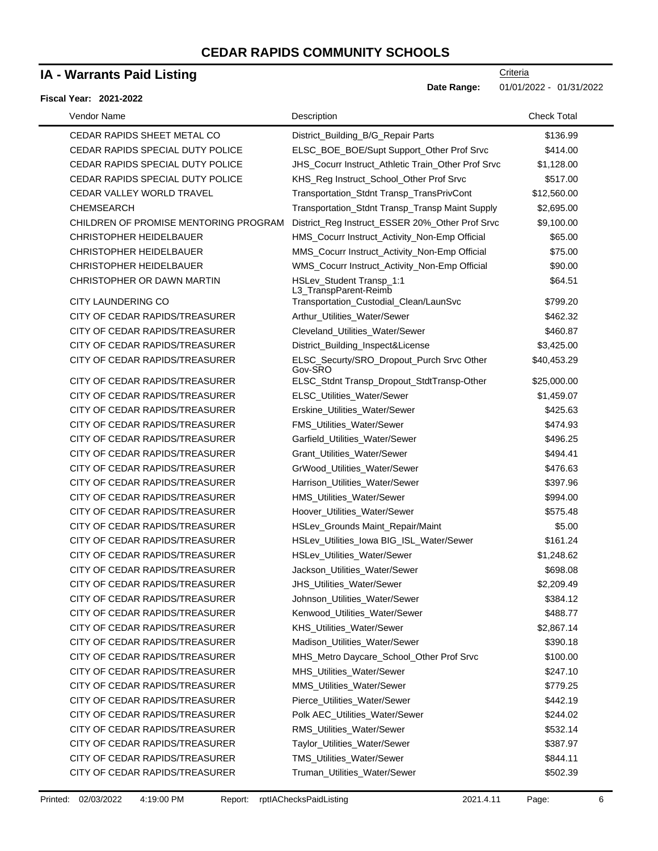### **IA - Warrants Paid Listing**

#### **Fiscal Year: 2021-2022**

| Vendor Name                           | Description                                          | <b>Check Total</b> |
|---------------------------------------|------------------------------------------------------|--------------------|
| CEDAR RAPIDS SHEET METAL CO           | District_Building_B/G_Repair Parts                   | \$136.99           |
| CEDAR RAPIDS SPECIAL DUTY POLICE      | ELSC_BOE_BOE/Supt Support_Other Prof Srvc            | \$414.00           |
| CEDAR RAPIDS SPECIAL DUTY POLICE      | JHS_Cocurr Instruct_Athletic Train_Other Prof Srvc   | \$1,128.00         |
| CEDAR RAPIDS SPECIAL DUTY POLICE      | KHS_Reg Instruct_School_Other Prof Srvc              | \$517.00           |
| CEDAR VALLEY WORLD TRAVEL             | Transportation_Stdnt Transp_TransPrivCont            | \$12,560.00        |
| <b>CHEMSEARCH</b>                     | Transportation_Stdnt Transp_Transp Maint Supply      | \$2,695.00         |
| CHILDREN OF PROMISE MENTORING PROGRAM | District_Reg Instruct_ESSER 20%_Other Prof Srvc      | \$9,100.00         |
| <b>CHRISTOPHER HEIDELBAUER</b>        | HMS_Cocurr Instruct_Activity_Non-Emp Official        | \$65.00            |
| <b>CHRISTOPHER HEIDELBAUER</b>        | MMS_Cocurr Instruct_Activity_Non-Emp Official        | \$75.00            |
| <b>CHRISTOPHER HEIDELBAUER</b>        | WMS_Cocurr Instruct_Activity_Non-Emp Official        | \$90.00            |
| CHRISTOPHER OR DAWN MARTIN            | HSLev_Student Transp_1:1<br>L3_TranspParent-Reimb    | \$64.51            |
| <b>CITY LAUNDERING CO</b>             | Transportation_Custodial_Clean/LaunSvc               | \$799.20           |
| CITY OF CEDAR RAPIDS/TREASURER        | Arthur_Utilities_Water/Sewer                         | \$462.32           |
| CITY OF CEDAR RAPIDS/TREASURER        | Cleveland_Utilities_Water/Sewer                      | \$460.87           |
| CITY OF CEDAR RAPIDS/TREASURER        | District_Building_Inspect&License                    | \$3,425.00         |
| CITY OF CEDAR RAPIDS/TREASURER        | ELSC_Securty/SRO_Dropout_Purch Srvc Other<br>Gov-SRO | \$40,453.29        |
| CITY OF CEDAR RAPIDS/TREASURER        | ELSC_Stdnt Transp_Dropout_StdtTransp-Other           | \$25,000.00        |
| CITY OF CEDAR RAPIDS/TREASURER        | ELSC_Utilities_Water/Sewer                           | \$1,459.07         |
| CITY OF CEDAR RAPIDS/TREASURER        | Erskine_Utilities_Water/Sewer                        | \$425.63           |
| CITY OF CEDAR RAPIDS/TREASURER        | FMS_Utilities_Water/Sewer                            | \$474.93           |
| CITY OF CEDAR RAPIDS/TREASURER        | Garfield_Utilities_Water/Sewer                       | \$496.25           |
| CITY OF CEDAR RAPIDS/TREASURER        | Grant_Utilities_Water/Sewer                          | \$494.41           |
| CITY OF CEDAR RAPIDS/TREASURER        | GrWood_Utilities_Water/Sewer                         | \$476.63           |
| CITY OF CEDAR RAPIDS/TREASURER        | Harrison_Utilities_Water/Sewer                       | \$397.96           |
| CITY OF CEDAR RAPIDS/TREASURER        | HMS_Utilities_Water/Sewer                            | \$994.00           |
| CITY OF CEDAR RAPIDS/TREASURER        | Hoover_Utilities_Water/Sewer                         | \$575.48           |
| CITY OF CEDAR RAPIDS/TREASURER        | HSLev_Grounds Maint_Repair/Maint                     | \$5.00             |
| CITY OF CEDAR RAPIDS/TREASURER        | HSLev_Utilities_lowa BIG_ISL_Water/Sewer             | \$161.24           |
| CITY OF CEDAR RAPIDS/TREASURER        | <b>HSLev Utilities Water/Sewer</b>                   | \$1,248.62         |
| CITY OF CEDAR RAPIDS/TREASURER        | Jackson_Utilities_Water/Sewer                        | \$698.08           |
| CITY OF CEDAR RAPIDS/TREASURER        | JHS_Utilities_Water/Sewer                            | \$2,209.49         |
| CITY OF CEDAR RAPIDS/TREASURER        | Johnson_Utilities_Water/Sewer                        | \$384.12           |
| CITY OF CEDAR RAPIDS/TREASURER        | Kenwood_Utilities_Water/Sewer                        | \$488.77           |
| CITY OF CEDAR RAPIDS/TREASURER        | KHS_Utilities_Water/Sewer                            | \$2,867.14         |
| CITY OF CEDAR RAPIDS/TREASURER        | Madison_Utilities_Water/Sewer                        | \$390.18           |
| CITY OF CEDAR RAPIDS/TREASURER        | MHS_Metro Daycare_School_Other Prof Srvc             | \$100.00           |
| CITY OF CEDAR RAPIDS/TREASURER        | MHS_Utilities_Water/Sewer                            | \$247.10           |
| CITY OF CEDAR RAPIDS/TREASURER        | MMS_Utilities_Water/Sewer                            | \$779.25           |
| CITY OF CEDAR RAPIDS/TREASURER        | Pierce_Utilities_Water/Sewer                         | \$442.19           |
| CITY OF CEDAR RAPIDS/TREASURER        | Polk AEC_Utilities_Water/Sewer                       | \$244.02           |
| CITY OF CEDAR RAPIDS/TREASURER        | RMS_Utilities_Water/Sewer                            | \$532.14           |
| CITY OF CEDAR RAPIDS/TREASURER        | Taylor_Utilities_Water/Sewer                         | \$387.97           |
| CITY OF CEDAR RAPIDS/TREASURER        | TMS_Utilities_Water/Sewer                            | \$844.11           |
| CITY OF CEDAR RAPIDS/TREASURER        | Truman_Utilities_Water/Sewer                         | \$502.39           |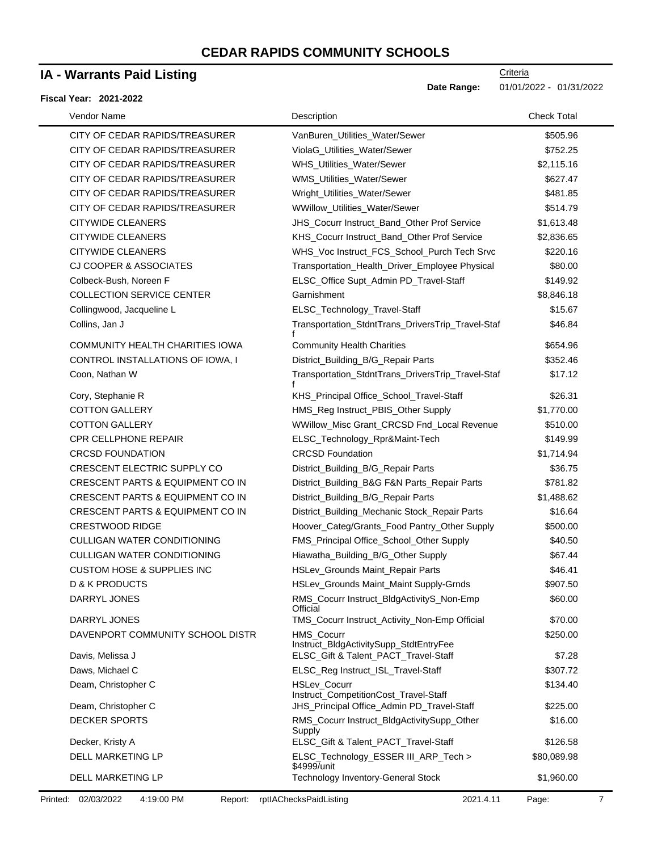### **IA - Warrants Paid Listing**

#### **Fiscal Year: 2021-2022**

**Criteria** 

**Date Range:** 01/01/2022 - 01/31/2022

| Vendor Name                           | Description                                           | <b>Check Total</b> |
|---------------------------------------|-------------------------------------------------------|--------------------|
| CITY OF CEDAR RAPIDS/TREASURER        | VanBuren_Utilities_Water/Sewer                        | \$505.96           |
| CITY OF CEDAR RAPIDS/TREASURER        | ViolaG_Utilities_Water/Sewer                          | \$752.25           |
| CITY OF CEDAR RAPIDS/TREASURER        | WHS_Utilities_Water/Sewer                             | \$2,115.16         |
| CITY OF CEDAR RAPIDS/TREASURER        | WMS_Utilities_Water/Sewer                             | \$627.47           |
| CITY OF CEDAR RAPIDS/TREASURER        | Wright_Utilities_Water/Sewer                          | \$481.85           |
| CITY OF CEDAR RAPIDS/TREASURER        | WWillow_Utilities_Water/Sewer                         | \$514.79           |
| <b>CITYWIDE CLEANERS</b>              | JHS_Cocurr Instruct_Band_Other Prof Service           | \$1,613.48         |
| <b>CITYWIDE CLEANERS</b>              | KHS_Cocurr Instruct_Band_Other Prof Service           | \$2,836.65         |
| <b>CITYWIDE CLEANERS</b>              | WHS_Voc Instruct_FCS_School_Purch Tech Srvc           | \$220.16           |
| <b>CJ COOPER &amp; ASSOCIATES</b>     | Transportation_Health_Driver_Employee Physical        | \$80.00            |
| Colbeck-Bush, Noreen F                | ELSC_Office Supt_Admin PD_Travel-Staff                | \$149.92           |
| <b>COLLECTION SERVICE CENTER</b>      | Garnishment                                           | \$8,846.18         |
| Collingwood, Jacqueline L             | ELSC_Technology_Travel-Staff                          | \$15.67            |
| Collins, Jan J                        | Transportation_StdntTrans_DriversTrip_Travel-Staf     | \$46.84            |
| COMMUNITY HEALTH CHARITIES IOWA       | <b>Community Health Charities</b>                     | \$654.96           |
| CONTROL INSTALLATIONS OF IOWA, I      | District_Building_B/G_Repair Parts                    | \$352.46           |
| Coon, Nathan W                        | Transportation_StdntTrans_DriversTrip_Travel-Staf     | \$17.12            |
| Cory, Stephanie R                     | KHS_Principal Office_School_Travel-Staff              | \$26.31            |
| <b>COTTON GALLERY</b>                 | HMS_Reg Instruct_PBIS_Other Supply                    | \$1,770.00         |
| <b>COTTON GALLERY</b>                 | WWillow_Misc Grant_CRCSD Fnd_Local Revenue            | \$510.00           |
| <b>CPR CELLPHONE REPAIR</b>           | ELSC_Technology_Rpr&Maint-Tech                        | \$149.99           |
| <b>CRCSD FOUNDATION</b>               | <b>CRCSD Foundation</b>                               | \$1,714.94         |
| CRESCENT ELECTRIC SUPPLY CO           | District_Building_B/G_Repair Parts                    | \$36.75            |
| CRESCENT PARTS & EQUIPMENT CO IN      | District_Building_B&G F&N Parts_Repair Parts          | \$781.82           |
| CRESCENT PARTS & EQUIPMENT CO IN      | District_Building_B/G_Repair Parts                    | \$1,488.62         |
| CRESCENT PARTS & EQUIPMENT CO IN      | District_Building_Mechanic Stock_Repair Parts         | \$16.64            |
| <b>CRESTWOOD RIDGE</b>                | Hoover_Categ/Grants_Food Pantry_Other Supply          | \$500.00           |
| <b>CULLIGAN WATER CONDITIONING</b>    | FMS Principal Office School Other Supply              | \$40.50            |
| <b>CULLIGAN WATER CONDITIONING</b>    | Hiawatha_Building_B/G_Other Supply                    | \$67.44            |
| <b>CUSTOM HOSE &amp; SUPPLIES INC</b> | HSLev_Grounds Maint_Repair Parts                      | \$46.41            |
| <b>D &amp; K PRODUCTS</b>             | HSLev_Grounds Maint_Maint Supply-Grnds                | \$907.50           |
| DARRYL JONES                          | RMS_Cocurr Instruct_BldgActivityS_Non-Emp<br>Official | \$60.00            |
| DARRYL JONES                          | TMS_Cocurr Instruct_Activity_Non-Emp Official         | \$70.00            |
| DAVENPORT COMMUNITY SCHOOL DISTR      | HMS_Cocurr<br>Instruct_BldgActivitySupp_StdtEntryFee  | \$250.00           |
| Davis, Melissa J                      | ELSC_Gift & Talent_PACT_Travel-Staff                  | \$7.28             |
| Daws, Michael C                       | ELSC_Reg Instruct_ISL_Travel-Staff                    | \$307.72           |
| Deam, Christopher C                   | HSLev_Cocurr<br>Instruct_CompetitionCost_Travel-Staff | \$134.40           |
| Deam, Christopher C                   | JHS_Principal Office_Admin PD_Travel-Staff            | \$225.00           |
| <b>DECKER SPORTS</b>                  | RMS_Cocurr Instruct_BldgActivitySupp_Other<br>Supply  | \$16.00            |
| Decker, Kristy A                      | ELSC_Gift & Talent_PACT_Travel-Staff                  | \$126.58           |
| DELL MARKETING LP                     | ELSC_Technology_ESSER III_ARP_Tech ><br>\$4999/unit   | \$80,089.98        |
| DELL MARKETING LP                     | Technology Inventory-General Stock                    | \$1,960.00         |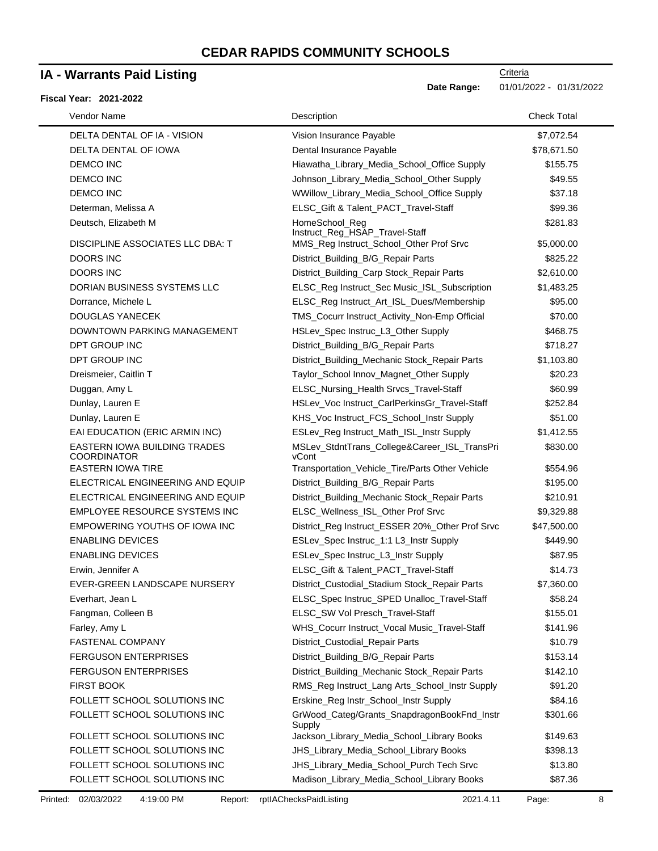### **IA - Warrants Paid Listing**

#### **Fiscal Year: 2021-2022**

**Date Range:** 01/01/2022 - 01/31/2022

| Vendor Name                                        | Description                                           | <b>Check Total</b> |
|----------------------------------------------------|-------------------------------------------------------|--------------------|
| DELTA DENTAL OF IA - VISION                        | Vision Insurance Payable                              | \$7,072.54         |
| DELTA DENTAL OF IOWA                               | Dental Insurance Payable                              | \$78,671.50        |
| <b>DEMCO INC</b>                                   | Hiawatha_Library_Media_School_Office Supply           | \$155.75           |
| <b>DEMCO INC</b>                                   | Johnson_Library_Media_School_Other Supply             | \$49.55            |
| <b>DEMCO INC</b>                                   | WWillow_Library_Media_School_Office Supply            | \$37.18            |
| Determan, Melissa A                                | ELSC_Gift & Talent_PACT_Travel-Staff                  | \$99.36            |
| Deutsch, Elizabeth M                               | HomeSchool_Reg<br>Instruct_Reg_HSAP_Travel-Staff      | \$281.83           |
| DISCIPLINE ASSOCIATES LLC DBA: T                   | MMS_Reg Instruct_School_Other Prof Srvc               | \$5,000.00         |
| DOORS INC                                          | District_Building_B/G_Repair Parts                    | \$825.22           |
| <b>DOORS INC</b>                                   | District_Building_Carp Stock_Repair Parts             | \$2,610.00         |
| DORIAN BUSINESS SYSTEMS LLC                        | ELSC_Reg Instruct_Sec Music_ISL_Subscription          | \$1,483.25         |
| Dorrance, Michele L                                | ELSC_Reg Instruct_Art_ISL_Dues/Membership             | \$95.00            |
| DOUGLAS YANECEK                                    | TMS_Cocurr Instruct_Activity_Non-Emp Official         | \$70.00            |
| DOWNTOWN PARKING MANAGEMENT                        | HSLev_Spec Instruc_L3_Other Supply                    | \$468.75           |
| DPT GROUP INC                                      | District_Building_B/G_Repair Parts                    | \$718.27           |
| DPT GROUP INC                                      | District_Building_Mechanic Stock_Repair Parts         | \$1,103.80         |
| Dreismeier, Caitlin T                              | Taylor_School Innov_Magnet_Other Supply               | \$20.23            |
| Duggan, Amy L                                      | ELSC_Nursing_Health Srvcs_Travel-Staff                | \$60.99            |
| Dunlay, Lauren E                                   | HSLev_Voc Instruct_CarlPerkinsGr_Travel-Staff         | \$252.84           |
| Dunlay, Lauren E                                   | KHS_Voc Instruct_FCS_School_Instr Supply              | \$51.00            |
| EAI EDUCATION (ERIC ARMIN INC)                     | ESLev_Reg Instruct_Math_ISL_Instr Supply              | \$1,412.55         |
| EASTERN IOWA BUILDING TRADES<br><b>COORDINATOR</b> | MSLev_StdntTrans_College&Career_ISL_TransPri<br>vCont | \$830.00           |
| <b>EASTERN IOWA TIRE</b>                           | Transportation_Vehicle_Tire/Parts Other Vehicle       | \$554.96           |
| ELECTRICAL ENGINEERING AND EQUIP                   | District_Building_B/G_Repair Parts                    | \$195.00           |
| ELECTRICAL ENGINEERING AND EQUIP                   | District_Building_Mechanic Stock_Repair Parts         | \$210.91           |
| EMPLOYEE RESOURCE SYSTEMS INC                      | ELSC_Wellness_ISL_Other Prof Srvc                     | \$9,329.88         |
| EMPOWERING YOUTHS OF IOWA INC                      | District_Reg Instruct_ESSER 20%_Other Prof Srvc       | \$47,500.00        |
| <b>ENABLING DEVICES</b>                            | ESLev_Spec Instruc_1:1 L3_Instr Supply                | \$449.90           |
| <b>ENABLING DEVICES</b>                            | ESLev_Spec Instruc_L3_Instr Supply                    | \$87.95            |
| Erwin, Jennifer A                                  | ELSC_Gift & Talent_PACT_Travel-Staff                  | \$14.73            |
| EVER-GREEN LANDSCAPE NURSERY                       | District_Custodial_Stadium Stock_Repair Parts         | \$7,360.00         |
| Everhart, Jean L                                   | ELSC_Spec Instruc_SPED Unalloc_Travel-Staff           | \$58.24            |
| Fangman, Colleen B                                 | ELSC_SW Vol Presch_Travel-Staff                       | \$155.01           |
| Farley, Amy L                                      | WHS_Cocurr Instruct_Vocal Music_Travel-Staff          | \$141.96           |
| FASTENAL COMPANY                                   | District_Custodial_Repair Parts                       | \$10.79            |
| <b>FERGUSON ENTERPRISES</b>                        | District_Building_B/G_Repair Parts                    | \$153.14           |
| <b>FERGUSON ENTERPRISES</b>                        | District_Building_Mechanic Stock_Repair Parts         | \$142.10           |
| <b>FIRST BOOK</b>                                  | RMS_Reg Instruct_Lang Arts_School_Instr Supply        | \$91.20            |
| FOLLETT SCHOOL SOLUTIONS INC                       | Erskine_Reg Instr_School_Instr Supply                 | \$84.16            |
| FOLLETT SCHOOL SOLUTIONS INC                       | GrWood_Categ/Grants_SnapdragonBookFnd_Instr<br>Supply | \$301.66           |
| FOLLETT SCHOOL SOLUTIONS INC                       | Jackson_Library_Media_School_Library Books            | \$149.63           |
| FOLLETT SCHOOL SOLUTIONS INC                       | JHS_Library_Media_School_Library Books                | \$398.13           |
| FOLLETT SCHOOL SOLUTIONS INC                       | JHS_Library_Media_School_Purch Tech Srvc              | \$13.80            |
| FOLLETT SCHOOL SOLUTIONS INC                       | Madison_Library_Media_School_Library Books            | \$87.36            |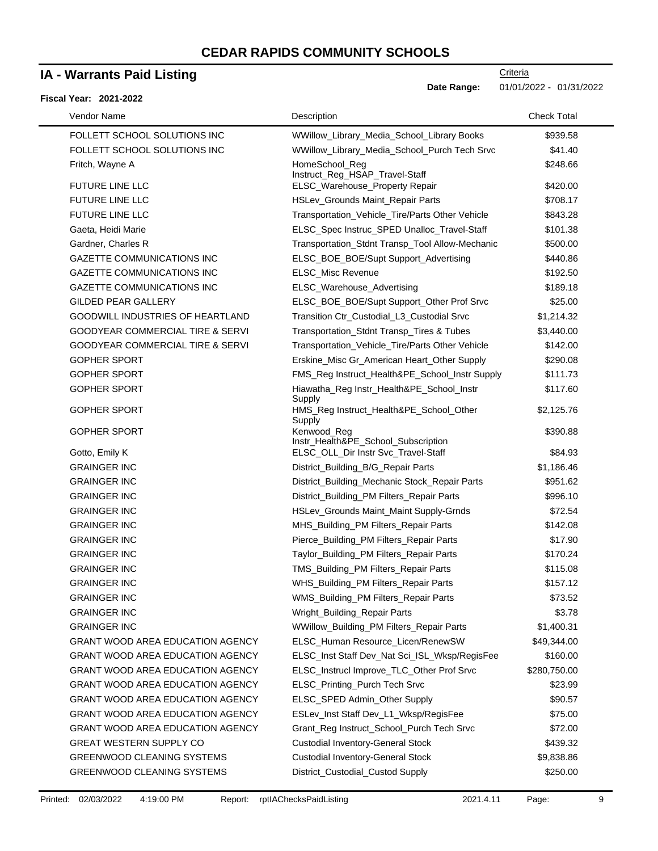### **IA - Warrants Paid Listing**

#### **Fiscal Year: 2021-2022**

 $\blacksquare$ 

**Date Range:** 01/01/2022 - 01/31/2022

| Vendor Name                                 | Description                                                      | <b>Check Total</b> |
|---------------------------------------------|------------------------------------------------------------------|--------------------|
| FOLLETT SCHOOL SOLUTIONS INC                | WWillow_Library_Media_School_Library Books                       | \$939.58           |
| FOLLETT SCHOOL SOLUTIONS INC                | WWillow_Library_Media_School_Purch Tech Srvc                     | \$41.40            |
| Fritch, Wayne A                             | HomeSchool_Reg                                                   | \$248.66           |
| <b>FUTURE LINE LLC</b>                      | Instruct_Reg_HSAP_Travel-Staff<br>ELSC_Warehouse_Property Repair | \$420.00           |
| <b>FUTURE LINE LLC</b>                      | HSLev_Grounds Maint_Repair Parts                                 | \$708.17           |
| <b>FUTURE LINE LLC</b>                      | Transportation_Vehicle_Tire/Parts Other Vehicle                  | \$843.28           |
| Gaeta, Heidi Marie                          | ELSC_Spec Instruc_SPED Unalloc_Travel-Staff                      | \$101.38           |
| Gardner, Charles R                          | Transportation_Stdnt Transp_Tool Allow-Mechanic                  | \$500.00           |
| <b>GAZETTE COMMUNICATIONS INC</b>           | ELSC_BOE_BOE/Supt Support_Advertising                            | \$440.86           |
| <b>GAZETTE COMMUNICATIONS INC</b>           | ELSC_Misc Revenue                                                | \$192.50           |
| <b>GAZETTE COMMUNICATIONS INC</b>           | ELSC_Warehouse_Advertising                                       | \$189.18           |
| <b>GILDED PEAR GALLERY</b>                  | ELSC_BOE_BOE/Supt Support_Other Prof Srvc                        | \$25.00            |
| <b>GOODWILL INDUSTRIES OF HEARTLAND</b>     | Transition Ctr_Custodial_L3_Custodial Srvc                       | \$1,214.32         |
| <b>GOODYEAR COMMERCIAL TIRE &amp; SERVI</b> | Transportation_Stdnt Transp_Tires & Tubes                        | \$3,440.00         |
| <b>GOODYEAR COMMERCIAL TIRE &amp; SERVI</b> | Transportation_Vehicle_Tire/Parts Other Vehicle                  | \$142.00           |
| <b>GOPHER SPORT</b>                         | Erskine_Misc Gr_American Heart_Other Supply                      | \$290.08           |
| <b>GOPHER SPORT</b>                         | FMS_Reg Instruct_Health&PE_School_Instr Supply                   | \$111.73           |
| <b>GOPHER SPORT</b>                         | Hiawatha_Reg Instr_Health&PE_School_Instr                        | \$117.60           |
| <b>GOPHER SPORT</b>                         | Supply<br>HMS_Reg Instruct_Health&PE_School_Other<br>Supply      | \$2,125.76         |
| <b>GOPHER SPORT</b>                         | Kenwood_Reg<br>Instr_Health&PE_School_Subscription               | \$390.88           |
| Gotto, Emily K                              | ELSC_OLL_Dir Instr Svc_Travel-Staff                              | \$84.93            |
| <b>GRAINGER INC</b>                         | District_Building_B/G_Repair Parts                               | \$1,186.46         |
| <b>GRAINGER INC</b>                         | District_Building_Mechanic Stock_Repair Parts                    | \$951.62           |
| <b>GRAINGER INC</b>                         | District_Building_PM Filters_Repair Parts                        | \$996.10           |
| <b>GRAINGER INC</b>                         | HSLev_Grounds Maint_Maint Supply-Grnds                           | \$72.54            |
| <b>GRAINGER INC</b>                         | MHS_Building_PM Filters_Repair Parts                             | \$142.08           |
| <b>GRAINGER INC</b>                         | Pierce_Building_PM Filters_Repair Parts                          | \$17.90            |
| <b>GRAINGER INC</b>                         | Taylor_Building_PM Filters_Repair Parts                          | \$170.24           |
| <b>GRAINGER INC</b>                         | TMS_Building_PM Filters_Repair Parts                             | \$115.08           |
| <b>GRAINGER INC</b>                         | WHS_Building_PM Filters_Repair Parts                             | \$157.12           |
| <b>GRAINGER INC</b>                         | WMS_Building_PM Filters_Repair Parts                             | \$73.52            |
| <b>GRAINGER INC</b>                         | Wright_Building_Repair Parts                                     | \$3.78             |
| <b>GRAINGER INC</b>                         | WWillow_Building_PM Filters_Repair Parts                         | \$1,400.31         |
| <b>GRANT WOOD AREA EDUCATION AGENCY</b>     | ELSC_Human Resource_Licen/RenewSW                                | \$49,344.00        |
| <b>GRANT WOOD AREA EDUCATION AGENCY</b>     | ELSC_Inst Staff Dev_Nat Sci_ISL_Wksp/RegisFee                    | \$160.00           |
| <b>GRANT WOOD AREA EDUCATION AGENCY</b>     | ELSC_Instrucl Improve_TLC_Other Prof Srvc                        | \$280,750.00       |
| GRANT WOOD AREA EDUCATION AGENCY            | ELSC_Printing_Purch Tech Srvc                                    | \$23.99            |
| <b>GRANT WOOD AREA EDUCATION AGENCY</b>     | ELSC_SPED Admin_Other Supply                                     | \$90.57            |
| GRANT WOOD AREA EDUCATION AGENCY            | ESLev_Inst Staff Dev_L1_Wksp/RegisFee                            | \$75.00            |
| <b>GRANT WOOD AREA EDUCATION AGENCY</b>     | Grant_Reg Instruct_School_Purch Tech Srvc                        | \$72.00            |
| <b>GREAT WESTERN SUPPLY CO</b>              | <b>Custodial Inventory-General Stock</b>                         | \$439.32           |
| GREENWOOD CLEANING SYSTEMS                  | <b>Custodial Inventory-General Stock</b>                         | \$9,838.86         |
| GREENWOOD CLEANING SYSTEMS                  | District_Custodial_Custod Supply                                 | \$250.00           |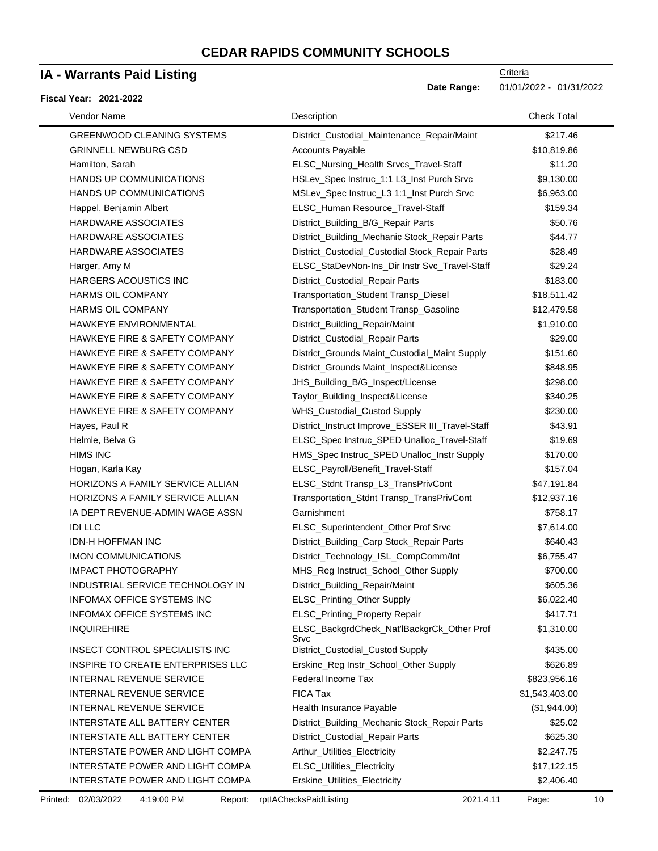### **IA - Warrants Paid Listing**

#### **Fiscal Year: 2021-2022**

| Vendor Name                          | Description                                        | <b>Check Total</b> |
|--------------------------------------|----------------------------------------------------|--------------------|
| <b>GREENWOOD CLEANING SYSTEMS</b>    | District_Custodial_Maintenance_Repair/Maint        | \$217.46           |
| <b>GRINNELL NEWBURG CSD</b>          | <b>Accounts Payable</b>                            | \$10,819.86        |
| Hamilton, Sarah                      | ELSC_Nursing_Health Srvcs_Travel-Staff             | \$11.20            |
| <b>HANDS UP COMMUNICATIONS</b>       | HSLev_Spec Instruc_1:1 L3_Inst Purch Srvc          | \$9,130.00         |
| HANDS UP COMMUNICATIONS              | MSLev_Spec Instruc_L3 1:1_Inst Purch Srvc          | \$6,963.00         |
| Happel, Benjamin Albert              | ELSC_Human Resource_Travel-Staff                   | \$159.34           |
| <b>HARDWARE ASSOCIATES</b>           | District_Building_B/G_Repair Parts                 | \$50.76            |
| HARDWARE ASSOCIATES                  | District_Building_Mechanic Stock_Repair Parts      | \$44.77            |
| <b>HARDWARE ASSOCIATES</b>           | District_Custodial_Custodial Stock_Repair Parts    | \$28.49            |
| Harger, Amy M                        | ELSC_StaDevNon-Ins_Dir Instr Svc_Travel-Staff      | \$29.24            |
| HARGERS ACOUSTICS INC                | District_Custodial_Repair Parts                    | \$183.00           |
| <b>HARMS OIL COMPANY</b>             | Transportation_Student Transp_Diesel               | \$18,511.42        |
| <b>HARMS OIL COMPANY</b>             | Transportation_Student Transp_Gasoline             | \$12,479.58        |
| HAWKEYE ENVIRONMENTAL                | District_Building_Repair/Maint                     | \$1,910.00         |
| HAWKEYE FIRE & SAFETY COMPANY        | District_Custodial_Repair Parts                    | \$29.00            |
| HAWKEYE FIRE & SAFETY COMPANY        | District_Grounds Maint_Custodial_Maint Supply      | \$151.60           |
| HAWKEYE FIRE & SAFETY COMPANY        | District_Grounds Maint_Inspect&License             | \$848.95           |
| HAWKEYE FIRE & SAFETY COMPANY        | JHS_Building_B/G_Inspect/License                   | \$298.00           |
| HAWKEYE FIRE & SAFETY COMPANY        | Taylor_Building_Inspect&License                    | \$340.25           |
| HAWKEYE FIRE & SAFETY COMPANY        | WHS_Custodial_Custod Supply                        | \$230.00           |
| Hayes, Paul R                        | District_Instruct Improve_ESSER III_Travel-Staff   | \$43.91            |
| Helmle, Belva G                      | ELSC_Spec Instruc_SPED Unalloc_Travel-Staff        | \$19.69            |
| <b>HIMS INC</b>                      | HMS_Spec Instruc_SPED Unalloc_Instr Supply         | \$170.00           |
| Hogan, Karla Kay                     | ELSC_Payroll/Benefit_Travel-Staff                  | \$157.04           |
| HORIZONS A FAMILY SERVICE ALLIAN     | ELSC_Stdnt Transp_L3_TransPrivCont                 | \$47,191.84        |
| HORIZONS A FAMILY SERVICE ALLIAN     | Transportation_Stdnt Transp_TransPrivCont          | \$12,937.16        |
| IA DEPT REVENUE-ADMIN WAGE ASSN      | Garnishment                                        | \$758.17           |
| <b>IDI LLC</b>                       | ELSC_Superintendent_Other Prof Srvc                | \$7,614.00         |
| <b>IDN-H HOFFMAN INC</b>             | District_Building_Carp Stock_Repair Parts          | \$640.43           |
| IMON COMMUNICATIONS                  | District_Technology_ISL_CompComm/Int               | \$6,755.47         |
| <b>IMPACT PHOTOGRAPHY</b>            | MHS_Reg Instruct_School_Other Supply               | \$700.00           |
| INDUSTRIAL SERVICE TECHNOLOGY IN     | District_Building_Repair/Maint                     | \$605.36           |
| INFOMAX OFFICE SYSTEMS INC           | ELSC_Printing_Other Supply                         | \$6,022.40         |
| <b>INFOMAX OFFICE SYSTEMS INC</b>    | ELSC_Printing_Property Repair                      | \$417.71           |
| <b>INQUIREHIRE</b>                   | ELSC_BackgrdCheck_Nat'lBackgrCk_Other Prof<br>Srvc | \$1,310.00         |
| INSECT CONTROL SPECIALISTS INC       | District_Custodial_Custod Supply                   | \$435.00           |
| INSPIRE TO CREATE ENTERPRISES LLC    | Erskine_Reg Instr_School_Other Supply              | \$626.89           |
| <b>INTERNAL REVENUE SERVICE</b>      | Federal Income Tax                                 | \$823,956.16       |
| INTERNAL REVENUE SERVICE             | <b>FICA Tax</b>                                    | \$1,543,403.00     |
| INTERNAL REVENUE SERVICE             | Health Insurance Payable                           | (\$1,944.00)       |
| INTERSTATE ALL BATTERY CENTER        | District_Building_Mechanic Stock_Repair Parts      | \$25.02            |
| <b>INTERSTATE ALL BATTERY CENTER</b> | District_Custodial_Repair Parts                    | \$625.30           |
| INTERSTATE POWER AND LIGHT COMPA     | Arthur_Utilities_Electricity                       | \$2,247.75         |
| INTERSTATE POWER AND LIGHT COMPA     | ELSC_Utilities_Electricity                         | \$17,122.15        |
| INTERSTATE POWER AND LIGHT COMPA     | Erskine_Utilities_Electricity                      | \$2,406.40         |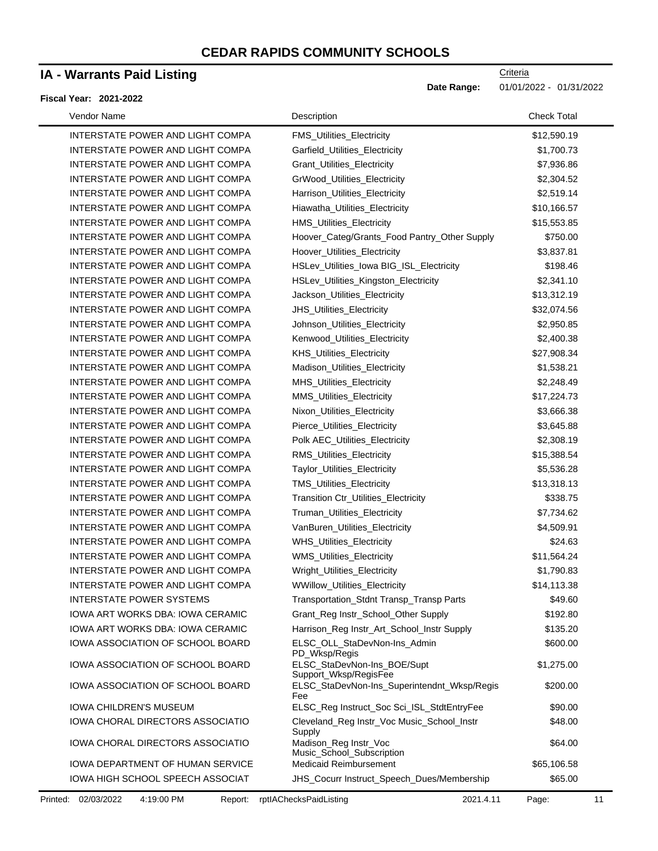### **IA - Warrants Paid Listing**

#### **Fiscal Year: 2021-2022**

| Vendor Name                      | Description                                                           | <b>Check Total</b> |
|----------------------------------|-----------------------------------------------------------------------|--------------------|
| INTERSTATE POWER AND LIGHT COMPA | FMS_Utilities_Electricity                                             | \$12,590.19        |
| INTERSTATE POWER AND LIGHT COMPA | Garfield_Utilities_Electricity                                        | \$1,700.73         |
| INTERSTATE POWER AND LIGHT COMPA | Grant_Utilities_Electricity                                           | \$7,936.86         |
| INTERSTATE POWER AND LIGHT COMPA | GrWood_Utilities_Electricity                                          | \$2,304.52         |
| INTERSTATE POWER AND LIGHT COMPA | Harrison_Utilities_Electricity                                        | \$2,519.14         |
| INTERSTATE POWER AND LIGHT COMPA | Hiawatha_Utilities_Electricity                                        | \$10,166.57        |
| INTERSTATE POWER AND LIGHT COMPA | HMS_Utilities_Electricity                                             | \$15,553.85        |
| INTERSTATE POWER AND LIGHT COMPA | Hoover_Categ/Grants_Food Pantry_Other Supply                          | \$750.00           |
| INTERSTATE POWER AND LIGHT COMPA | Hoover_Utilities_Electricity                                          | \$3,837.81         |
| INTERSTATE POWER AND LIGHT COMPA | HSLev_Utilities_lowa BIG_ISL_Electricity                              | \$198.46           |
| INTERSTATE POWER AND LIGHT COMPA | HSLev_Utilities_Kingston_Electricity                                  | \$2,341.10         |
| INTERSTATE POWER AND LIGHT COMPA | Jackson_Utilities_Electricity                                         | \$13,312.19        |
| INTERSTATE POWER AND LIGHT COMPA | JHS_Utilities_Electricity                                             | \$32,074.56        |
| INTERSTATE POWER AND LIGHT COMPA | Johnson_Utilities_Electricity                                         | \$2,950.85         |
| INTERSTATE POWER AND LIGHT COMPA | Kenwood_Utilities_Electricity                                         | \$2,400.38         |
| INTERSTATE POWER AND LIGHT COMPA | KHS_Utilities_Electricity                                             | \$27,908.34        |
| INTERSTATE POWER AND LIGHT COMPA | Madison_Utilities_Electricity                                         | \$1,538.21         |
| INTERSTATE POWER AND LIGHT COMPA | <b>MHS_Utilities_Electricity</b>                                      | \$2,248.49         |
| INTERSTATE POWER AND LIGHT COMPA | MMS_Utilities_Electricity                                             | \$17,224.73        |
| INTERSTATE POWER AND LIGHT COMPA | Nixon_Utilities_Electricity                                           | \$3,666.38         |
| INTERSTATE POWER AND LIGHT COMPA | Pierce_Utilities_Electricity                                          | \$3,645.88         |
| INTERSTATE POWER AND LIGHT COMPA | Polk AEC_Utilities_Electricity                                        | \$2,308.19         |
| INTERSTATE POWER AND LIGHT COMPA | RMS_Utilities_Electricity                                             | \$15,388.54        |
| INTERSTATE POWER AND LIGHT COMPA | Taylor_Utilities_Electricity                                          | \$5,536.28         |
| INTERSTATE POWER AND LIGHT COMPA | TMS_Utilities_Electricity                                             | \$13,318.13        |
| INTERSTATE POWER AND LIGHT COMPA | Transition Ctr_Utilities_Electricity                                  | \$338.75           |
| INTERSTATE POWER AND LIGHT COMPA | Truman_Utilities_Electricity                                          | \$7,734.62         |
| INTERSTATE POWER AND LIGHT COMPA | VanBuren_Utilities_Electricity                                        | \$4,509.91         |
| INTERSTATE POWER AND LIGHT COMPA | WHS_Utilities_Electricity                                             | \$24.63            |
| INTERSTATE POWER AND LIGHT COMPA | WMS_Utilities_Electricity                                             | \$11,564.24        |
| INTERSTATE POWER AND LIGHT COMPA | Wright_Utilities_Electricity                                          | \$1,790.83         |
| INTERSTATE POWER AND LIGHT COMPA | WWillow_Utilities_Electricity                                         | \$14,113.38        |
| INTERSTATE POWER SYSTEMS         | Transportation_Stdnt Transp_Transp Parts                              | \$49.60            |
| IOWA ART WORKS DBA: IOWA CERAMIC | Grant_Reg Instr_School_Other Supply                                   | \$192.80           |
| IOWA ART WORKS DBA: IOWA CERAMIC | Harrison_Reg Instr_Art_School_Instr Supply                            | \$135.20           |
| IOWA ASSOCIATION OF SCHOOL BOARD | ELSC_OLL_StaDevNon-Ins_Admin                                          | \$600.00           |
| IOWA ASSOCIATION OF SCHOOL BOARD | PD_Wksp/Regis<br>ELSC_StaDevNon-Ins_BOE/Supt<br>Support_Wksp/RegisFee | \$1,275.00         |
| IOWA ASSOCIATION OF SCHOOL BOARD | ELSC_StaDevNon-Ins_Superintendnt_Wksp/Regis<br>Fee                    | \$200.00           |
| <b>IOWA CHILDREN'S MUSEUM</b>    | ELSC_Reg Instruct_Soc Sci_ISL_StdtEntryFee                            | \$90.00            |
| IOWA CHORAL DIRECTORS ASSOCIATIO | Cleveland_Reg Instr_Voc Music_School_Instr<br>Supply                  | \$48.00            |
| IOWA CHORAL DIRECTORS ASSOCIATIO | Madison_Reg Instr_Voc<br>Music_School_Subscription                    | \$64.00            |
| IOWA DEPARTMENT OF HUMAN SERVICE | <b>Medicaid Reimbursement</b>                                         | \$65,106.58        |
| IOWA HIGH SCHOOL SPEECH ASSOCIAT | JHS_Cocurr Instruct_Speech_Dues/Membership                            | \$65.00            |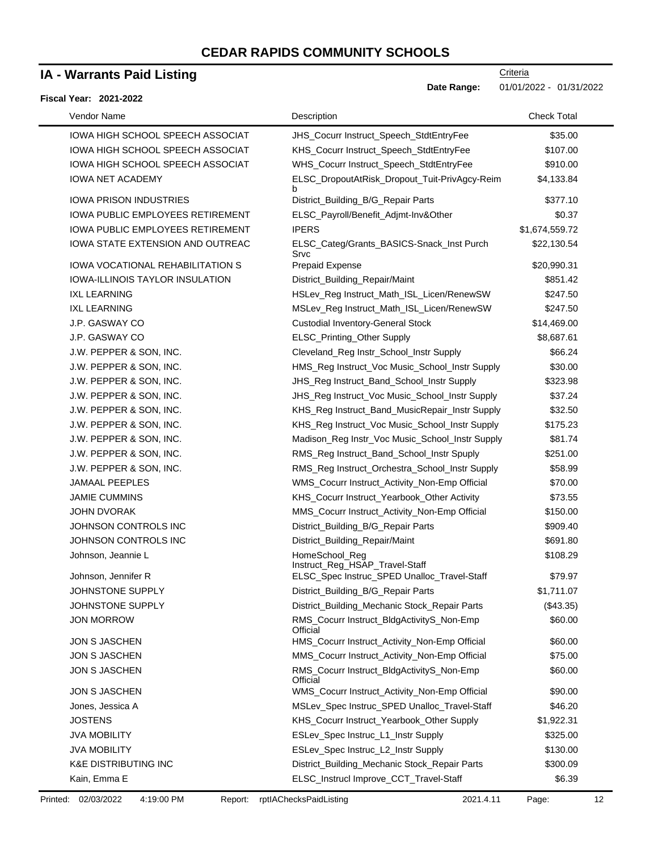### **IA - Warrants Paid Listing**

#### **Fiscal Year: 2021-2022**

**Date Range:** 01/01/2022 - 01/31/2022

| Vendor Name                             | Description                                           | <b>Check Total</b> |
|-----------------------------------------|-------------------------------------------------------|--------------------|
| <b>IOWA HIGH SCHOOL SPEECH ASSOCIAT</b> | JHS_Cocurr Instruct_Speech_StdtEntryFee               | \$35.00            |
| <b>IOWA HIGH SCHOOL SPEECH ASSOCIAT</b> | KHS_Cocurr Instruct_Speech_StdtEntryFee               | \$107.00           |
| <b>IOWA HIGH SCHOOL SPEECH ASSOCIAT</b> | WHS_Cocurr Instruct_Speech_StdtEntryFee               | \$910.00           |
| <b>IOWA NET ACADEMY</b>                 | ELSC_DropoutAtRisk_Dropout_Tuit-PrivAgcy-Reim         | \$4,133.84         |
| <b>IOWA PRISON INDUSTRIES</b>           | b<br>District_Building_B/G_Repair Parts               | \$377.10           |
| <b>IOWA PUBLIC EMPLOYEES RETIREMENT</b> | ELSC_Payroll/Benefit_Adjmt-Inv&Other                  | \$0.37             |
| <b>IOWA PUBLIC EMPLOYEES RETIREMENT</b> | <b>IPERS</b>                                          | \$1,674,559.72     |
| IOWA STATE EXTENSION AND OUTREAC        | ELSC_Categ/Grants_BASICS-Snack_Inst Purch<br>Srvc     | \$22,130.54        |
| <b>IOWA VOCATIONAL REHABILITATION S</b> | <b>Prepaid Expense</b>                                | \$20,990.31        |
| <b>IOWA-ILLINOIS TAYLOR INSULATION</b>  | District_Building_Repair/Maint                        | \$851.42           |
| <b>IXL LEARNING</b>                     | HSLev_Reg Instruct_Math_ISL_Licen/RenewSW             | \$247.50           |
| <b>IXL LEARNING</b>                     | MSLev_Reg Instruct_Math_ISL_Licen/RenewSW             | \$247.50           |
| J.P. GASWAY CO                          | <b>Custodial Inventory-General Stock</b>              | \$14,469.00        |
| J.P. GASWAY CO                          | ELSC_Printing_Other Supply                            | \$8,687.61         |
| J.W. PEPPER & SON, INC.                 | Cleveland_Reg Instr_School_Instr Supply               | \$66.24            |
| J.W. PEPPER & SON, INC.                 | HMS_Reg Instruct_Voc Music_School_Instr Supply        | \$30.00            |
| J.W. PEPPER & SON, INC.                 | JHS_Reg Instruct_Band_School_Instr Supply             | \$323.98           |
| J.W. PEPPER & SON, INC.                 | JHS_Reg Instruct_Voc Music_School_Instr Supply        | \$37.24            |
| J.W. PEPPER & SON, INC.                 | KHS_Reg Instruct_Band_MusicRepair_Instr Supply        | \$32.50            |
| J.W. PEPPER & SON, INC.                 | KHS_Reg Instruct_Voc Music_School_Instr Supply        | \$175.23           |
| J.W. PEPPER & SON, INC.                 | Madison_Reg Instr_Voc Music_School_Instr Supply       | \$81.74            |
| J.W. PEPPER & SON, INC.                 | RMS_Reg Instruct_Band_School_Instr Spuply             | \$251.00           |
| J.W. PEPPER & SON, INC.                 | RMS_Reg Instruct_Orchestra_School_Instr Supply        | \$58.99            |
| <b>JAMAAL PEEPLES</b>                   | WMS_Cocurr Instruct_Activity_Non-Emp Official         | \$70.00            |
| <b>JAMIE CUMMINS</b>                    | KHS_Cocurr Instruct_Yearbook_Other Activity           | \$73.55            |
| <b>JOHN DVORAK</b>                      | MMS_Cocurr Instruct_Activity_Non-Emp Official         | \$150.00           |
| JOHNSON CONTROLS INC                    | District_Building_B/G_Repair Parts                    | \$909.40           |
| JOHNSON CONTROLS INC                    | District_Building_Repair/Maint                        | \$691.80           |
| Johnson, Jeannie L                      | HomeSchool_Reg                                        | \$108.29           |
|                                         | Instruct_Reg_HSAP_Travel-Staff                        |                    |
| Johnson, Jennifer R                     | ELSC_Spec Instruc_SPED Unalloc_Travel-Staff           | \$79.97            |
| JOHNSTONE SUPPLY                        | District_Building_B/G_Repair Parts                    | \$1,711.07         |
| JOHNSTONE SUPPLY                        | District_Building_Mechanic Stock_Repair Parts         | (\$43.35)          |
| <b>JON MORROW</b>                       | RMS_Cocurr Instruct_BldgActivityS_Non-Emp<br>Official | \$60.00            |
| JON S JASCHEN                           | HMS_Cocurr Instruct_Activity_Non-Emp Official         | \$60.00            |
| JON S JASCHEN                           | MMS_Cocurr Instruct_Activity_Non-Emp Official         | \$75.00            |
| JON S JASCHEN                           | RMS_Cocurr Instruct_BldgActivityS_Non-Emp<br>Official | \$60.00            |
| <b>JON S JASCHEN</b>                    | WMS_Cocurr Instruct_Activity_Non-Emp Official         | \$90.00            |
| Jones, Jessica A                        | MSLev_Spec Instruc_SPED Unalloc_Travel-Staff          | \$46.20            |
| <b>JOSTENS</b>                          | KHS_Cocurr Instruct_Yearbook_Other Supply             | \$1,922.31         |
| <b>JVA MOBILITY</b>                     | ESLev_Spec Instruc_L1_Instr Supply                    | \$325.00           |
| <b>JVA MOBILITY</b>                     | ESLev_Spec Instruc_L2_Instr Supply                    | \$130.00           |
| <b>K&amp;E DISTRIBUTING INC</b>         | District_Building_Mechanic Stock_Repair Parts         | \$300.09           |
| Kain, Emma E                            | ELSC_Instrucl Improve_CCT_Travel-Staff                | \$6.39             |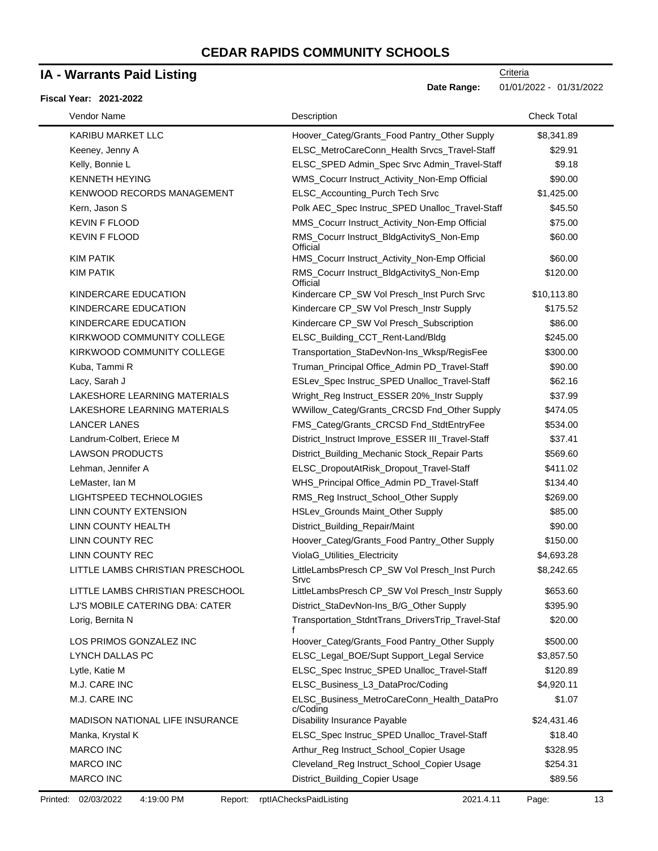### **IA - Warrants Paid Listing**

#### **Fiscal Year: 2021-2022**

| Vendor Name                            | Description                                            | <b>Check Total</b> |
|----------------------------------------|--------------------------------------------------------|--------------------|
| KARIBU MARKET LLC                      | Hoover_Categ/Grants_Food Pantry_Other Supply           | \$8,341.89         |
| Keeney, Jenny A                        | ELSC_MetroCareConn_Health Srvcs_Travel-Staff           | \$29.91            |
| Kelly, Bonnie L                        | ELSC_SPED Admin_Spec Srvc Admin_Travel-Staff           | \$9.18             |
| <b>KENNETH HEYING</b>                  | WMS_Cocurr Instruct_Activity_Non-Emp Official          | \$90.00            |
| <b>KENWOOD RECORDS MANAGEMENT</b>      | ELSC_Accounting_Purch Tech Srvc                        | \$1,425.00         |
| Kern, Jason S                          | Polk AEC_Spec Instruc_SPED Unalloc_Travel-Staff        | \$45.50            |
| <b>KEVIN F FLOOD</b>                   | MMS_Cocurr Instruct_Activity_Non-Emp Official          | \$75.00            |
| <b>KEVIN F FLOOD</b>                   | RMS_Cocurr Instruct_BldgActivityS_Non-Emp<br>Official  | \$60.00            |
| <b>KIM PATIK</b>                       | HMS_Cocurr Instruct_Activity_Non-Emp Official          | \$60.00            |
| <b>KIM PATIK</b>                       | RMS_Cocurr Instruct_BldgActivityS_Non-Emp<br>Official  | \$120.00           |
| KINDERCARE EDUCATION                   | Kindercare CP_SW Vol Presch_Inst Purch Srvc            | \$10,113.80        |
| KINDERCARE EDUCATION                   | Kindercare CP_SW Vol Presch_Instr Supply               | \$175.52           |
| KINDERCARE EDUCATION                   | Kindercare CP_SW Vol Presch_Subscription               | \$86.00            |
| KIRKWOOD COMMUNITY COLLEGE             | ELSC_Building_CCT_Rent-Land/Bldg                       | \$245.00           |
| KIRKWOOD COMMUNITY COLLEGE             | Transportation_StaDevNon-Ins_Wksp/RegisFee             | \$300.00           |
| Kuba, Tammi R                          | Truman_Principal Office_Admin PD_Travel-Staff          | \$90.00            |
| Lacy, Sarah J                          | ESLev_Spec Instruc_SPED Unalloc_Travel-Staff           | \$62.16            |
| LAKESHORE LEARNING MATERIALS           | Wright_Reg Instruct_ESSER 20%_Instr Supply             | \$37.99            |
| LAKESHORE LEARNING MATERIALS           | WWillow_Categ/Grants_CRCSD Fnd_Other Supply            | \$474.05           |
| <b>LANCER LANES</b>                    | FMS_Categ/Grants_CRCSD Fnd_StdtEntryFee                | \$534.00           |
| Landrum-Colbert, Eriece M              | District_Instruct Improve_ESSER III_Travel-Staff       | \$37.41            |
| <b>LAWSON PRODUCTS</b>                 | District_Building_Mechanic Stock_Repair Parts          | \$569.60           |
| Lehman, Jennifer A                     | ELSC_DropoutAtRisk_Dropout_Travel-Staff                | \$411.02           |
| LeMaster, Ian M                        | WHS_Principal Office_Admin PD_Travel-Staff             | \$134.40           |
| LIGHTSPEED TECHNOLOGIES                | RMS_Reg Instruct_School_Other Supply                   | \$269.00           |
| LINN COUNTY EXTENSION                  | HSLev_Grounds Maint_Other Supply                       | \$85.00            |
| LINN COUNTY HEALTH                     | District_Building_Repair/Maint                         | \$90.00            |
| LINN COUNTY REC                        | Hoover_Categ/Grants_Food Pantry_Other Supply           | \$150.00           |
| LINN COUNTY REC                        | ViolaG_Utilities_Electricity                           | \$4,693.28         |
| LITTLE LAMBS CHRISTIAN PRESCHOOL       | LittleLambsPresch CP_SW Vol Presch_Inst Purch<br>Srvc  | \$8,242.65         |
| LITTLE LAMBS CHRISTIAN PRESCHOOL       | LittleLambsPresch CP_SW Vol Presch_Instr Supply        | \$653.60           |
| LJ'S MOBILE CATERING DBA: CATER        | District StaDevNon-Ins B/G Other Supply                | \$395.90           |
| Lorig, Bernita N                       | Transportation_StdntTrans_DriversTrip_Travel-Staf      | \$20.00            |
| LOS PRIMOS GONZALEZ INC                | Hoover_Categ/Grants_Food Pantry_Other Supply           | \$500.00           |
| LYNCH DALLAS PC                        | ELSC_Legal_BOE/Supt Support_Legal Service              | \$3,857.50         |
| Lytle, Katie M                         | ELSC_Spec Instruc_SPED Unalloc_Travel-Staff            | \$120.89           |
| M.J. CARE INC                          | ELSC_Business_L3_DataProc/Coding                       | \$4,920.11         |
| M.J. CARE INC                          | ELSC_Business_MetroCareConn_Health_DataPro<br>c/Codina | \$1.07             |
| <b>MADISON NATIONAL LIFE INSURANCE</b> | Disability Insurance Payable                           | \$24,431.46        |
| Manka, Krystal K                       | ELSC_Spec Instruc_SPED Unalloc_Travel-Staff            | \$18.40            |
| <b>MARCO INC</b>                       | Arthur_Reg Instruct_School_Copier Usage                | \$328.95           |
| <b>MARCO INC</b>                       | Cleveland_Reg Instruct_School_Copier Usage             | \$254.31           |
| MARCO INC                              | District_Building_Copier Usage                         | \$89.56            |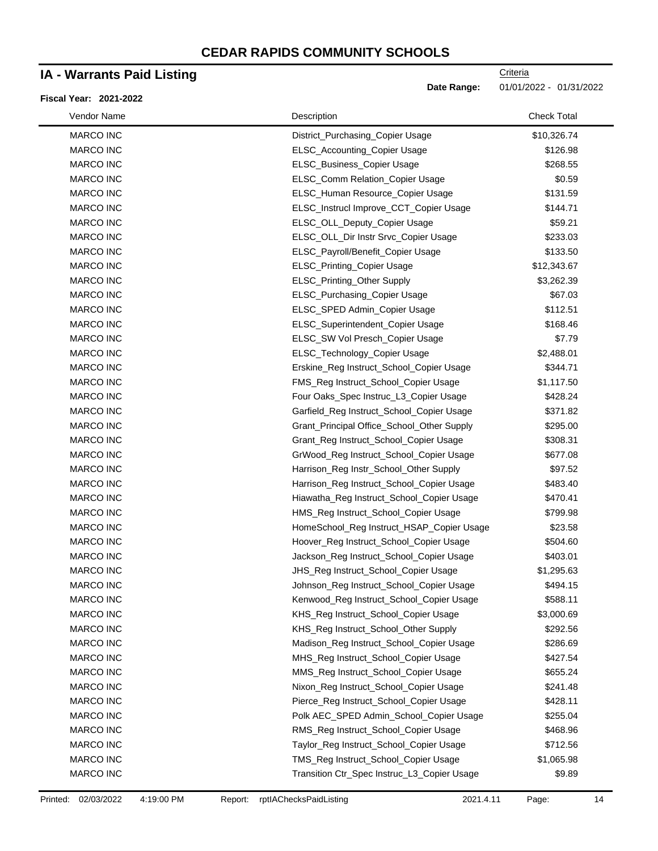### **IA - Warrants Paid Listing**

#### **Fiscal Year: 2021-2022**

**Date Range:** 01/01/2022 - 01/31/2022

| Vendor Name      | Description                                 | <b>Check Total</b> |  |
|------------------|---------------------------------------------|--------------------|--|
| MARCO INC        | District_Purchasing_Copier Usage            | \$10,326.74        |  |
| <b>MARCO INC</b> | ELSC_Accounting_Copier Usage                | \$126.98           |  |
| MARCO INC        | ELSC_Business_Copier Usage                  | \$268.55           |  |
| MARCO INC        | ELSC_Comm Relation_Copier Usage             | \$0.59             |  |
| MARCO INC        | ELSC_Human Resource_Copier Usage            | \$131.59           |  |
| MARCO INC        | ELSC_Instrucl Improve_CCT_Copier Usage      | \$144.71           |  |
| MARCO INC        | ELSC_OLL_Deputy_Copier Usage                | \$59.21            |  |
| MARCO INC        | ELSC_OLL_Dir Instr Srvc_Copier Usage        | \$233.03           |  |
| MARCO INC        | ELSC_Payroll/Benefit_Copier Usage           | \$133.50           |  |
| <b>MARCO INC</b> | ELSC_Printing_Copier Usage                  | \$12,343.67        |  |
| MARCO INC        | ELSC_Printing_Other Supply                  | \$3,262.39         |  |
| MARCO INC        | ELSC_Purchasing_Copier Usage                | \$67.03            |  |
| MARCO INC        | ELSC_SPED Admin_Copier Usage                | \$112.51           |  |
| MARCO INC        | ELSC_Superintendent_Copier Usage            | \$168.46           |  |
| <b>MARCO INC</b> | ELSC_SW Vol Presch_Copier Usage             | \$7.79             |  |
| MARCO INC        | ELSC_Technology_Copier Usage                | \$2,488.01         |  |
| MARCO INC        | Erskine_Reg Instruct_School_Copier Usage    | \$344.71           |  |
| <b>MARCO INC</b> | FMS_Reg Instruct_School_Copier Usage        | \$1,117.50         |  |
| MARCO INC        | Four Oaks_Spec Instruc_L3_Copier Usage      | \$428.24           |  |
| MARCO INC        | Garfield_Reg Instruct_School_Copier Usage   | \$371.82           |  |
| MARCO INC        | Grant_Principal Office_School_Other Supply  | \$295.00           |  |
| MARCO INC        | Grant_Reg Instruct_School_Copier Usage      | \$308.31           |  |
| MARCO INC        | GrWood_Reg Instruct_School_Copier Usage     | \$677.08           |  |
| MARCO INC        | Harrison_Reg Instr_School_Other Supply      | \$97.52            |  |
| MARCO INC        | Harrison_Reg Instruct_School_Copier Usage   | \$483.40           |  |
| <b>MARCO INC</b> | Hiawatha_Reg Instruct_School_Copier Usage   | \$470.41           |  |
| MARCO INC        | HMS_Reg Instruct_School_Copier Usage        | \$799.98           |  |
| <b>MARCO INC</b> | HomeSchool_Reg Instruct_HSAP_Copier Usage   | \$23.58            |  |
| MARCO INC        | Hoover_Reg Instruct_School_Copier Usage     | \$504.60           |  |
| MARCO INC        | Jackson_Reg Instruct_School_Copier Usage    | \$403.01           |  |
| MARCO INC        | JHS_Reg Instruct_School_Copier Usage        | \$1,295.63         |  |
| <b>MARCO INC</b> | Johnson_Reg Instruct_School_Copier Usage    | \$494.15           |  |
| <b>MARCO INC</b> | Kenwood_Reg Instruct_School_Copier Usage    | \$588.11           |  |
| <b>MARCO INC</b> | KHS_Reg Instruct_School_Copier Usage        | \$3,000.69         |  |
| <b>MARCO INC</b> | KHS_Reg Instruct_School_Other Supply        | \$292.56           |  |
| MARCO INC        | Madison_Reg Instruct_School_Copier Usage    | \$286.69           |  |
| <b>MARCO INC</b> | MHS_Reg Instruct_School_Copier Usage        | \$427.54           |  |
| MARCO INC        | MMS_Reg Instruct_School_Copier Usage        | \$655.24           |  |
| MARCO INC        | Nixon_Reg Instruct_School_Copier Usage      | \$241.48           |  |
| MARCO INC        | Pierce_Reg Instruct_School_Copier Usage     | \$428.11           |  |
| MARCO INC        | Polk AEC_SPED Admin_School_Copier Usage     | \$255.04           |  |
| MARCO INC        | RMS_Reg Instruct_School_Copier Usage        | \$468.96           |  |
| MARCO INC        | Taylor_Reg Instruct_School_Copier Usage     | \$712.56           |  |
| MARCO INC        | TMS_Reg Instruct_School_Copier Usage        | \$1,065.98         |  |
| MARCO INC        | Transition Ctr_Spec Instruc_L3_Copier Usage | \$9.89             |  |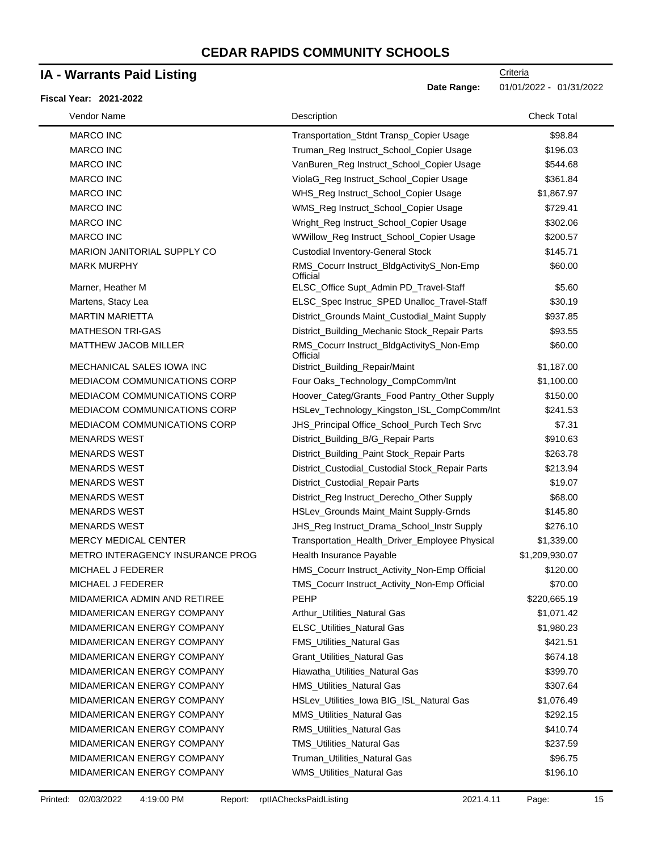### **IA - Warrants Paid Listing**

#### **Fiscal Year: 2021-2022**

| Vendor Name                         | Description                                           | <b>Check Total</b> |
|-------------------------------------|-------------------------------------------------------|--------------------|
| <b>MARCO INC</b>                    | Transportation_Stdnt Transp_Copier Usage              | \$98.84            |
| <b>MARCO INC</b>                    | Truman_Reg Instruct_School_Copier Usage               | \$196.03           |
| <b>MARCO INC</b>                    | VanBuren_Reg Instruct_School_Copier Usage             | \$544.68           |
| <b>MARCO INC</b>                    | ViolaG_Reg Instruct_School_Copier Usage               | \$361.84           |
| <b>MARCO INC</b>                    | WHS_Reg Instruct_School_Copier Usage                  | \$1,867.97         |
| <b>MARCO INC</b>                    | WMS_Reg Instruct_School_Copier Usage                  | \$729.41           |
| <b>MARCO INC</b>                    | Wright_Reg Instruct_School_Copier Usage               | \$302.06           |
| <b>MARCO INC</b>                    | WWillow_Reg Instruct_School_Copier Usage              | \$200.57           |
| MARION JANITORIAL SUPPLY CO         | <b>Custodial Inventory-General Stock</b>              | \$145.71           |
| <b>MARK MURPHY</b>                  | RMS_Cocurr Instruct_BldgActivityS_Non-Emp<br>Official | \$60.00            |
| Marner, Heather M                   | ELSC_Office Supt_Admin PD_Travel-Staff                | \$5.60             |
| Martens, Stacy Lea                  | ELSC_Spec Instruc_SPED Unalloc_Travel-Staff           | \$30.19            |
| <b>MARTIN MARIETTA</b>              | District_Grounds Maint_Custodial_Maint Supply         | \$937.85           |
| <b>MATHESON TRI-GAS</b>             | District_Building_Mechanic Stock_Repair Parts         | \$93.55            |
| <b>MATTHEW JACOB MILLER</b>         | RMS_Cocurr Instruct_BldgActivityS_Non-Emp<br>Official | \$60.00            |
| MECHANICAL SALES IOWA INC           | District_Building_Repair/Maint                        | \$1,187.00         |
| <b>MEDIACOM COMMUNICATIONS CORP</b> | Four Oaks_Technology_CompComm/Int                     | \$1,100.00         |
| MEDIACOM COMMUNICATIONS CORP        | Hoover_Categ/Grants_Food Pantry_Other Supply          | \$150.00           |
| <b>MEDIACOM COMMUNICATIONS CORP</b> | HSLev_Technology_Kingston_ISL_CompComm/Int            | \$241.53           |
| MEDIACOM COMMUNICATIONS CORP        | JHS_Principal Office_School_Purch Tech Srvc           | \$7.31             |
| <b>MENARDS WEST</b>                 | District_Building_B/G_Repair Parts                    | \$910.63           |
| <b>MENARDS WEST</b>                 | District_Building_Paint Stock_Repair Parts            | \$263.78           |
| <b>MENARDS WEST</b>                 | District_Custodial_Custodial Stock_Repair Parts       | \$213.94           |
| <b>MENARDS WEST</b>                 | District_Custodial_Repair Parts                       | \$19.07            |
| <b>MENARDS WEST</b>                 | District_Reg Instruct_Derecho_Other Supply            | \$68.00            |
| <b>MENARDS WEST</b>                 | HSLev_Grounds Maint_Maint Supply-Grnds                | \$145.80           |
| <b>MENARDS WEST</b>                 | JHS_Reg Instruct_Drama_School_Instr Supply            | \$276.10           |
| <b>MERCY MEDICAL CENTER</b>         | Transportation_Health_Driver_Employee Physical        | \$1,339.00         |
| METRO INTERAGENCY INSURANCE PROG    | Health Insurance Payable                              | \$1,209,930.07     |
| MICHAEL J FEDERER                   | HMS_Cocurr Instruct_Activity_Non-Emp Official         | \$120.00           |
| MICHAEL J FEDERER                   | TMS_Cocurr Instruct_Activity_Non-Emp Official         | \$70.00            |
| MIDAMERICA ADMIN AND RETIREE        | <b>PEHP</b>                                           | \$220,665.19       |
| MIDAMERICAN ENERGY COMPANY          | Arthur Utilities Natural Gas                          | \$1,071.42         |
| MIDAMERICAN ENERGY COMPANY          | <b>ELSC_Utilities_Natural Gas</b>                     | \$1,980.23         |
| MIDAMERICAN ENERGY COMPANY          | <b>FMS_Utilities_Natural Gas</b>                      | \$421.51           |
| MIDAMERICAN ENERGY COMPANY          | Grant_Utilities_Natural Gas                           | \$674.18           |
| MIDAMERICAN ENERGY COMPANY          | Hiawatha_Utilities_Natural Gas                        | \$399.70           |
| MIDAMERICAN ENERGY COMPANY          | HMS_Utilities_Natural Gas                             | \$307.64           |
| MIDAMERICAN ENERGY COMPANY          | HSLev_Utilities_lowa BIG_ISL_Natural Gas              | \$1,076.49         |
| MIDAMERICAN ENERGY COMPANY          | <b>MMS_Utilities_Natural Gas</b>                      | \$292.15           |
| MIDAMERICAN ENERGY COMPANY          | RMS_Utilities_Natural Gas                             | \$410.74           |
| MIDAMERICAN ENERGY COMPANY          | <b>TMS_Utilities_Natural Gas</b>                      | \$237.59           |
| MIDAMERICAN ENERGY COMPANY          | Truman_Utilities_Natural Gas                          | \$96.75            |
| MIDAMERICAN ENERGY COMPANY          | WMS_Utilities_Natural Gas                             | \$196.10           |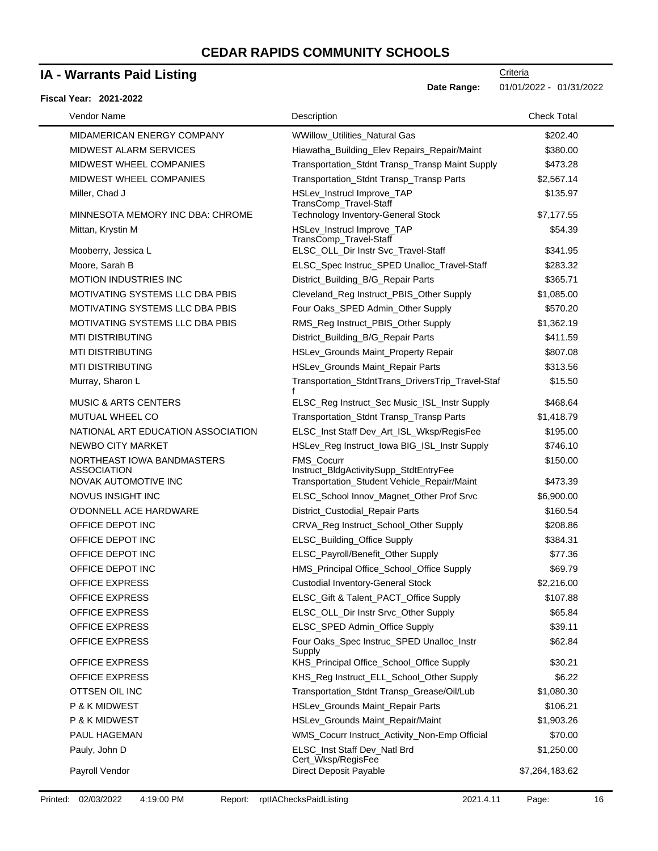### **IA - Warrants Paid Listing**

#### **Fiscal Year: 2021-2022**

| Vendor Name                                      | Description                                                 | <b>Check Total</b> |
|--------------------------------------------------|-------------------------------------------------------------|--------------------|
| MIDAMERICAN ENERGY COMPANY                       | WWillow_Utilities_Natural Gas                               | \$202.40           |
| MIDWEST ALARM SERVICES                           | Hiawatha_Building_Elev Repairs_Repair/Maint                 | \$380.00           |
| MIDWEST WHEEL COMPANIES                          | Transportation_Stdnt Transp_Transp Maint Supply             | \$473.28           |
| MIDWEST WHEEL COMPANIES                          | Transportation_Stdnt Transp_Transp Parts                    | \$2,567.14         |
| Miller, Chad J                                   | HSLev_Instrucl Improve_TAP<br>TransComp_Travel-Staff        | \$135.97           |
| MINNESOTA MEMORY INC DBA: CHROME                 | <b>Technology Inventory-General Stock</b>                   | \$7,177.55         |
| Mittan, Krystin M                                | HSLev_Instrucl Improve_TAP<br>TransComp_Travel-Staff        | \$54.39            |
| Mooberry, Jessica L                              | ELSC_OLL_Dir Instr Svc_Travel-Staff                         | \$341.95           |
| Moore, Sarah B                                   | ELSC_Spec Instruc_SPED Unalloc_Travel-Staff                 | \$283.32           |
| <b>MOTION INDUSTRIES INC</b>                     | District_Building_B/G_Repair Parts                          | \$365.71           |
| MOTIVATING SYSTEMS LLC DBA PBIS                  | Cleveland_Reg Instruct_PBIS_Other Supply                    | \$1,085.00         |
| MOTIVATING SYSTEMS LLC DBA PBIS                  | Four Oaks_SPED Admin_Other Supply                           | \$570.20           |
| MOTIVATING SYSTEMS LLC DBA PBIS                  | RMS_Reg Instruct_PBIS_Other Supply                          | \$1,362.19         |
| <b>MTI DISTRIBUTING</b>                          | District_Building_B/G_Repair Parts                          | \$411.59           |
| <b>MTI DISTRIBUTING</b>                          | HSLev_Grounds Maint_Property Repair                         | \$807.08           |
| <b>MTI DISTRIBUTING</b>                          | HSLev_Grounds Maint_Repair Parts                            | \$313.56           |
| Murray, Sharon L                                 | Transportation_StdntTrans_DriversTrip_Travel-Staf           | \$15.50            |
| <b>MUSIC &amp; ARTS CENTERS</b>                  | ELSC_Reg Instruct_Sec Music_ISL_Instr Supply                | \$468.64           |
| <b>MUTUAL WHEEL CO</b>                           | Transportation_Stdnt Transp_Transp Parts                    | \$1,418.79         |
| NATIONAL ART EDUCATION ASSOCIATION               | ELSC_Inst Staff Dev_Art_ISL_Wksp/RegisFee                   | \$195.00           |
| NEWBO CITY MARKET                                | HSLev_Reg Instruct_Iowa BIG_ISL_Instr Supply                | \$746.10           |
| NORTHEAST IOWA BANDMASTERS<br><b>ASSOCIATION</b> | <b>FMS Cocurr</b><br>Instruct_BldgActivitySupp_StdtEntryFee | \$150.00           |
| NOVAK AUTOMOTIVE INC                             | Transportation_Student Vehicle_Repair/Maint                 | \$473.39           |
| NOVUS INSIGHT INC                                | ELSC_School Innov_Magnet_Other Prof Srvc                    | \$6,900.00         |
| O'DONNELL ACE HARDWARE                           | District_Custodial_Repair Parts                             | \$160.54           |
| OFFICE DEPOT INC                                 | CRVA_Reg Instruct_School_Other Supply                       | \$208.86           |
| OFFICE DEPOT INC                                 | ELSC_Building_Office Supply                                 | \$384.31           |
| OFFICE DEPOT INC                                 | ELSC_Payroll/Benefit_Other Supply                           | \$77.36            |
| OFFICE DEPOT INC                                 | HMS_Principal Office_School_Office Supply                   | \$69.79            |
| <b>OFFICE EXPRESS</b>                            | <b>Custodial Inventory-General Stock</b>                    | \$2,216.00         |
| <b>OFFICE EXPRESS</b>                            | ELSC_Gift & Talent_PACT_Office Supply                       | \$107.88           |
| <b>OFFICE EXPRESS</b>                            | ELSC_OLL_Dir Instr Srvc_Other Supply                        | \$65.84            |
| <b>OFFICE EXPRESS</b>                            | ELSC_SPED Admin_Office Supply                               | \$39.11            |
| <b>OFFICE EXPRESS</b>                            | Four Oaks_Spec Instruc_SPED Unalloc_Instr<br>Supply         | \$62.84            |
| <b>OFFICE EXPRESS</b>                            | KHS_Principal Office_School_Office Supply                   | \$30.21            |
| <b>OFFICE EXPRESS</b>                            | KHS_Reg Instruct_ELL_School_Other Supply                    | \$6.22             |
| OTTSEN OIL INC                                   | Transportation_Stdnt Transp_Grease/Oil/Lub                  | \$1,080.30         |
| P & K MIDWEST                                    | HSLev_Grounds Maint_Repair Parts                            | \$106.21           |
| P & K MIDWEST                                    | HSLev_Grounds Maint_Repair/Maint                            | \$1,903.26         |
| PAUL HAGEMAN                                     | WMS_Cocurr Instruct_Activity_Non-Emp Official               | \$70.00            |
| Pauly, John D                                    | ELSC_Inst Staff Dev_Natl Brd<br>Cert_Wksp/RegisFee          | \$1,250.00         |
| Payroll Vendor                                   | Direct Deposit Payable                                      | \$7,264,183.62     |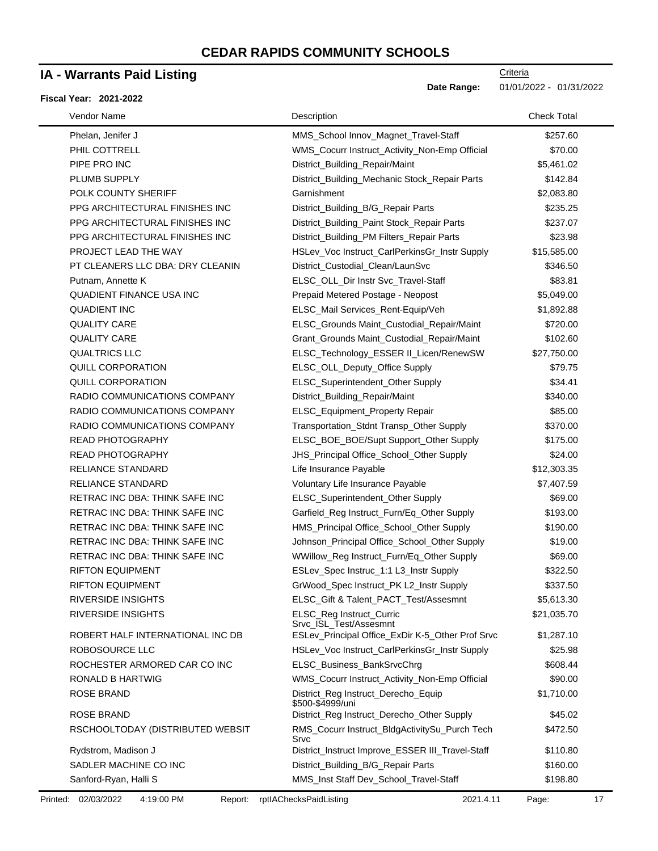### **IA - Warrants Paid Listing**

#### **Fiscal Year: 2021-2022**

| Vendor Name                      | Description                                             | <b>Check Total</b> |
|----------------------------------|---------------------------------------------------------|--------------------|
| Phelan, Jenifer J                | MMS_School Innov_Magnet_Travel-Staff                    | \$257.60           |
| PHIL COTTRELL                    | WMS_Cocurr Instruct_Activity_Non-Emp Official           | \$70.00            |
| PIPE PRO INC                     | District_Building_Repair/Maint                          | \$5,461.02         |
| PLUMB SUPPLY                     | District_Building_Mechanic Stock_Repair Parts           | \$142.84           |
| POLK COUNTY SHERIFF              | Garnishment                                             | \$2,083.80         |
| PPG ARCHITECTURAL FINISHES INC   | District_Building_B/G_Repair Parts                      | \$235.25           |
| PPG ARCHITECTURAL FINISHES INC   | District_Building_Paint Stock_Repair Parts              | \$237.07           |
| PPG ARCHITECTURAL FINISHES INC   | District_Building_PM Filters_Repair Parts               | \$23.98            |
| PROJECT LEAD THE WAY             | HSLev_Voc Instruct_CarlPerkinsGr_Instr Supply           | \$15,585.00        |
| PT CLEANERS LLC DBA: DRY CLEANIN | District_Custodial_Clean/LaunSvc                        | \$346.50           |
| Putnam, Annette K                | ELSC_OLL_Dir Instr Svc_Travel-Staff                     | \$83.81            |
| <b>QUADIENT FINANCE USA INC</b>  | Prepaid Metered Postage - Neopost                       | \$5,049.00         |
| <b>QUADIENT INC</b>              | ELSC_Mail Services_Rent-Equip/Veh                       | \$1,892.88         |
| <b>QUALITY CARE</b>              | ELSC_Grounds Maint_Custodial_Repair/Maint               | \$720.00           |
| <b>QUALITY CARE</b>              | Grant_Grounds Maint_Custodial_Repair/Maint              | \$102.60           |
| <b>QUALTRICS LLC</b>             | ELSC_Technology_ESSER II_Licen/RenewSW                  | \$27,750.00        |
| QUILL CORPORATION                | ELSC_OLL_Deputy_Office Supply                           | \$79.75            |
| QUILL CORPORATION                | ELSC_Superintendent_Other Supply                        | \$34.41            |
| RADIO COMMUNICATIONS COMPANY     | District_Building_Repair/Maint                          | \$340.00           |
| RADIO COMMUNICATIONS COMPANY     | ELSC_Equipment_Property Repair                          | \$85.00            |
| RADIO COMMUNICATIONS COMPANY     | Transportation_Stdnt Transp_Other Supply                | \$370.00           |
| READ PHOTOGRAPHY                 | ELSC_BOE_BOE/Supt Support_Other Supply                  | \$175.00           |
| READ PHOTOGRAPHY                 | JHS_Principal Office_School_Other Supply                | \$24.00            |
| <b>RELIANCE STANDARD</b>         | Life Insurance Payable                                  | \$12,303.35        |
| <b>RELIANCE STANDARD</b>         | Voluntary Life Insurance Payable                        | \$7,407.59         |
| RETRAC INC DBA: THINK SAFE INC   | ELSC_Superintendent_Other Supply                        | \$69.00            |
| RETRAC INC DBA: THINK SAFE INC   | Garfield_Reg Instruct_Furn/Eq_Other Supply              | \$193.00           |
| RETRAC INC DBA: THINK SAFE INC   | HMS_Principal Office_School_Other Supply                | \$190.00           |
| RETRAC INC DBA: THINK SAFE INC   | Johnson_Principal Office_School_Other Supply            | \$19.00            |
| RETRAC INC DBA: THINK SAFE INC   | WWillow_Reg Instruct_Furn/Eq_Other Supply               | \$69.00            |
| <b>RIFTON EQUIPMENT</b>          | ESLev_Spec Instruc_1:1 L3_Instr Supply                  | \$322.50           |
| <b>RIFTON EQUIPMENT</b>          | GrWood Spec Instruct PK L2 Instr Supply                 | \$337.50           |
| <b>RIVERSIDE INSIGHTS</b>        | ELSC_Gift & Talent_PACT_Test/Assesmnt                   | \$5,613.30         |
| <b>RIVERSIDE INSIGHTS</b>        | ELSC_Reg Instruct_Curric<br>Srvc ISL Test/Assesmnt      | \$21,035.70        |
| ROBERT HALF INTERNATIONAL INC DB | ESLev_Principal Office_ExDir K-5_Other Prof Srvc        | \$1,287.10         |
| <b>ROBOSOURCE LLC</b>            | HSLev_Voc Instruct_CarlPerkinsGr_Instr Supply           | \$25.98            |
| ROCHESTER ARMORED CAR CO INC     | ELSC_Business_BankSrvcChrg                              | \$608.44           |
| RONALD B HARTWIG                 | WMS_Cocurr Instruct_Activity_Non-Emp Official           | \$90.00            |
| <b>ROSE BRAND</b>                | District_Reg Instruct_Derecho_Equip<br>\$500-\$4999/uni | \$1,710.00         |
| ROSE BRAND                       | District_Reg Instruct_Derecho_Other Supply              | \$45.02            |
| RSCHOOLTODAY (DISTRIBUTED WEBSIT | RMS_Cocurr Instruct_BldgActivitySu_Purch Tech<br>Srvc   | \$472.50           |
| Rydstrom, Madison J              | District_Instruct Improve_ESSER III_Travel-Staff        | \$110.80           |
| SADLER MACHINE CO INC            | District_Building_B/G_Repair Parts                      | \$160.00           |
| Sanford-Ryan, Halli S            | MMS_Inst Staff Dev_School_Travel-Staff                  | \$198.80           |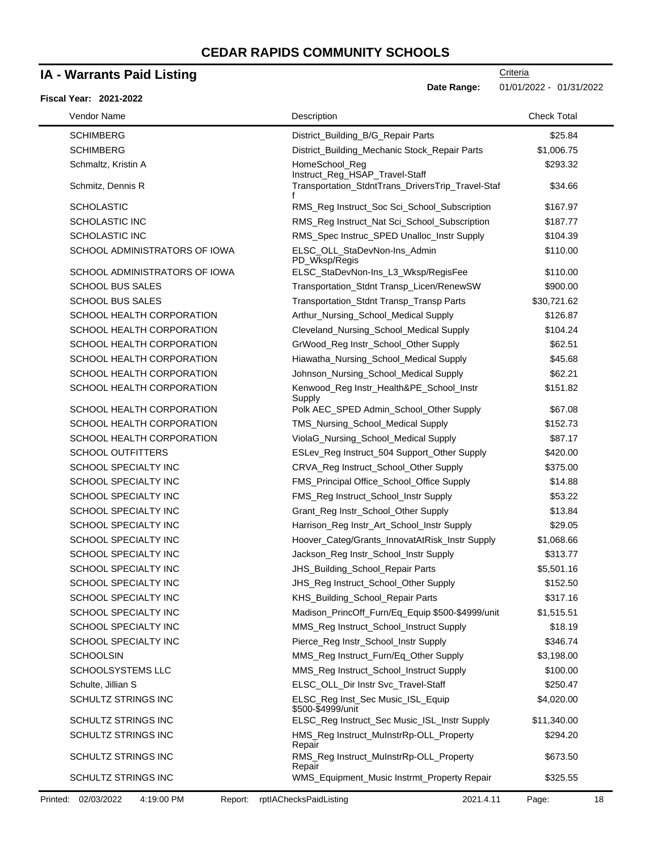### **IA - Warrants Paid Listing**

#### **Fiscal Year: 2021-2022**

-

**Date Range:** 01/01/2022 - 01/31/2022

| Vendor Name           |                               | Description                                                                         | <b>Check Total</b> |
|-----------------------|-------------------------------|-------------------------------------------------------------------------------------|--------------------|
| <b>SCHIMBERG</b>      |                               | District_Building_B/G_Repair Parts                                                  | \$25.84            |
| <b>SCHIMBERG</b>      |                               | District_Building_Mechanic Stock_Repair Parts                                       | \$1,006.75         |
| Schmaltz, Kristin A   |                               | HomeSchool_Reg                                                                      | \$293.32           |
| Schmitz, Dennis R     |                               | Instruct_Reg_HSAP_Travel-Staff<br>Transportation_StdntTrans_DriversTrip_Travel-Staf | \$34.66            |
| <b>SCHOLASTIC</b>     |                               | RMS_Reg Instruct_Soc Sci_School_Subscription                                        | \$167.97           |
| <b>SCHOLASTIC INC</b> |                               | RMS_Reg Instruct_Nat Sci_School_Subscription                                        | \$187.77           |
| <b>SCHOLASTIC INC</b> |                               | RMS_Spec Instruc_SPED Unalloc_Instr Supply                                          | \$104.39           |
|                       | SCHOOL ADMINISTRATORS OF IOWA | ELSC_OLL_StaDevNon-Ins_Admin<br>PD_Wksp/Regis                                       | \$110.00           |
|                       | SCHOOL ADMINISTRATORS OF IOWA | ELSC_StaDevNon-Ins_L3_Wksp/RegisFee                                                 | \$110.00           |
|                       | <b>SCHOOL BUS SALES</b>       | Transportation_Stdnt Transp_Licen/RenewSW                                           | \$900.00           |
|                       | <b>SCHOOL BUS SALES</b>       | Transportation_Stdnt Transp_Transp Parts                                            | \$30,721.62        |
|                       | SCHOOL HEALTH CORPORATION     | Arthur_Nursing_School_Medical Supply                                                | \$126.87           |
|                       | SCHOOL HEALTH CORPORATION     | Cleveland_Nursing_School_Medical Supply                                             | \$104.24           |
|                       | SCHOOL HEALTH CORPORATION     | GrWood_Reg Instr_School_Other Supply                                                | \$62.51            |
|                       | SCHOOL HEALTH CORPORATION     | Hiawatha_Nursing_School_Medical Supply                                              | \$45.68            |
|                       | SCHOOL HEALTH CORPORATION     | Johnson_Nursing_School_Medical Supply                                               | \$62.21            |
|                       | SCHOOL HEALTH CORPORATION     | Kenwood_Reg Instr_Health&PE_School_Instr<br>Supply                                  | \$151.82           |
|                       | SCHOOL HEALTH CORPORATION     | Polk AEC_SPED Admin_School_Other Supply                                             | \$67.08            |
|                       | SCHOOL HEALTH CORPORATION     | TMS_Nursing_School_Medical Supply                                                   | \$152.73           |
|                       | SCHOOL HEALTH CORPORATION     | ViolaG_Nursing_School_Medical Supply                                                | \$87.17            |
|                       | <b>SCHOOL OUTFITTERS</b>      | ESLev_Reg Instruct_504 Support_Other Supply                                         | \$420.00           |
|                       | SCHOOL SPECIALTY INC          | CRVA_Reg Instruct_School_Other Supply                                               | \$375.00           |
|                       | SCHOOL SPECIALTY INC          | FMS_Principal Office_School_Office Supply                                           | \$14.88            |
|                       | SCHOOL SPECIALTY INC          | FMS_Reg Instruct_School_Instr Supply                                                | \$53.22            |
|                       | SCHOOL SPECIALTY INC          | Grant_Reg Instr_School_Other Supply                                                 | \$13.84            |
|                       | SCHOOL SPECIALTY INC          | Harrison_Reg Instr_Art_School_Instr Supply                                          | \$29.05            |
|                       | <b>SCHOOL SPECIALTY INC</b>   | Hoover_Categ/Grants_InnovatAtRisk_Instr Supply                                      | \$1,068.66         |
|                       | <b>SCHOOL SPECIALTY INC</b>   | Jackson_Reg Instr_School_Instr Supply                                               | \$313.77           |
|                       | <b>SCHOOL SPECIALTY INC</b>   | JHS_Building_School_Repair Parts                                                    | \$5,501.16         |
|                       | SCHOOL SPECIALTY INC          | JHS_Reg Instruct_School_Other Supply                                                | \$152.50           |
|                       | SCHOOL SPECIALTY INC          | KHS_Building_School_Repair Parts                                                    | \$317.16           |
|                       | SCHOOL SPECIALTY INC          | Madison_PrincOff_Furn/Eq_Equip \$500-\$4999/unit                                    | \$1,515.51         |
|                       | SCHOOL SPECIALTY INC          | MMS_Reg Instruct_School_Instruct Supply                                             | \$18.19            |
|                       | <b>SCHOOL SPECIALTY INC</b>   | Pierce_Reg Instr_School_Instr Supply                                                | \$346.74           |
| <b>SCHOOLSIN</b>      |                               | MMS_Reg Instruct_Furn/Eq_Other Supply                                               | \$3,198.00         |
|                       | <b>SCHOOLSYSTEMS LLC</b>      | MMS_Reg Instruct_School_Instruct Supply                                             | \$100.00           |
| Schulte, Jillian S    |                               | ELSC_OLL_Dir Instr Svc_Travel-Staff                                                 | \$250.47           |
|                       | <b>SCHULTZ STRINGS INC</b>    | ELSC_Reg Inst_Sec Music_ISL_Equip<br>\$500-\$4999/unit                              | \$4,020.00         |
|                       | SCHULTZ STRINGS INC           | ELSC_Reg Instruct_Sec Music_ISL_Instr Supply                                        | \$11,340.00        |
|                       | <b>SCHULTZ STRINGS INC</b>    | HMS_Reg Instruct_MuInstrRp-OLL_Property<br>Repair                                   | \$294.20           |
|                       | SCHULTZ STRINGS INC           | RMS_Reg Instruct_MuInstrRp-OLL_Property<br>Repair                                   | \$673.50           |
|                       | <b>SCHULTZ STRINGS INC</b>    | WMS_Equipment_Music Instrmt_Property Repair                                         | \$325.55           |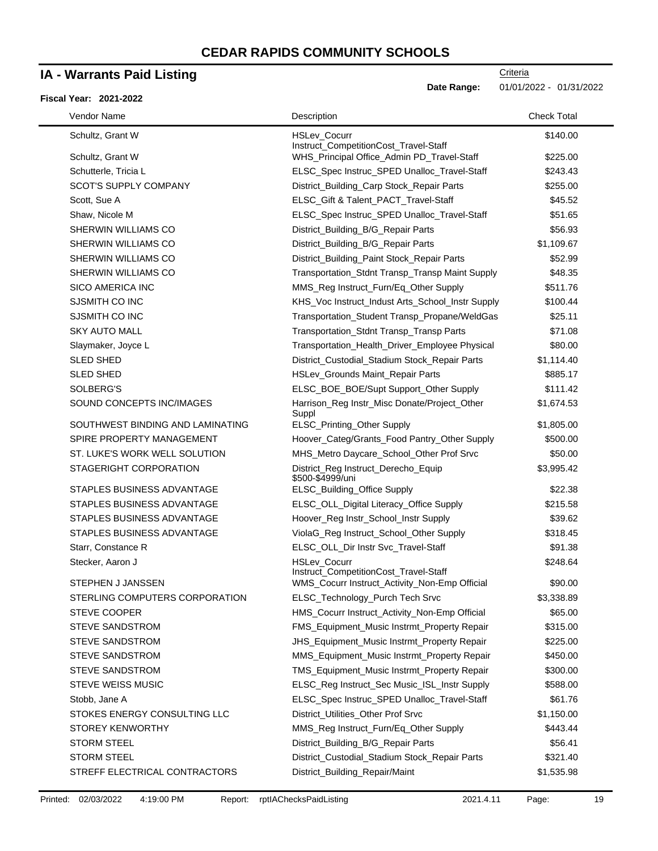### **IA - Warrants Paid Listing**

#### **Fiscal Year: 2021-2022**

| Vendor Name                      | Description                                                  | <b>Check Total</b> |
|----------------------------------|--------------------------------------------------------------|--------------------|
| Schultz, Grant W                 | <b>HSLev Cocurr</b><br>Instruct_CompetitionCost_Travel-Staff | \$140.00           |
| Schultz, Grant W                 | WHS_Principal Office_Admin PD_Travel-Staff                   | \$225.00           |
| Schutterle, Tricia L             | ELSC_Spec Instruc_SPED Unalloc_Travel-Staff                  | \$243.43           |
| <b>SCOT'S SUPPLY COMPANY</b>     | District_Building_Carp Stock_Repair Parts                    | \$255.00           |
| Scott, Sue A                     | ELSC_Gift & Talent_PACT_Travel-Staff                         | \$45.52            |
| Shaw, Nicole M                   | ELSC_Spec Instruc_SPED Unalloc_Travel-Staff                  | \$51.65            |
| SHERWIN WILLIAMS CO              | District_Building_B/G_Repair Parts                           | \$56.93            |
| SHERWIN WILLIAMS CO              | District_Building_B/G_Repair Parts                           | \$1,109.67         |
| SHERWIN WILLIAMS CO              | District_Building_Paint Stock_Repair Parts                   | \$52.99            |
| SHERWIN WILLIAMS CO              | Transportation_Stdnt Transp_Transp Maint Supply              | \$48.35            |
| <b>SICO AMERICA INC</b>          | MMS_Reg Instruct_Furn/Eq_Other Supply                        | \$511.76           |
| SJSMITH CO INC                   | KHS_Voc Instruct_Indust Arts_School_Instr Supply             | \$100.44           |
| SJSMITH CO INC                   | Transportation_Student Transp_Propane/WeldGas                | \$25.11            |
| <b>SKY AUTO MALL</b>             | Transportation_Stdnt Transp_Transp Parts                     | \$71.08            |
| Slaymaker, Joyce L               | Transportation_Health_Driver_Employee Physical               | \$80.00            |
| <b>SLED SHED</b>                 | District_Custodial_Stadium Stock_Repair Parts                | \$1,114.40         |
| <b>SLED SHED</b>                 | HSLev_Grounds Maint_Repair Parts                             | \$885.17           |
| SOLBERG'S                        | ELSC_BOE_BOE/Supt Support_Other Supply                       | \$111.42           |
| SOUND CONCEPTS INC/IMAGES        | Harrison_Reg Instr_Misc Donate/Project_Other<br>Suppl        | \$1,674.53         |
| SOUTHWEST BINDING AND LAMINATING | ELSC_Printing_Other Supply                                   | \$1,805.00         |
| SPIRE PROPERTY MANAGEMENT        | Hoover_Categ/Grants_Food Pantry_Other Supply                 | \$500.00           |
| ST. LUKE'S WORK WELL SOLUTION    | MHS_Metro Daycare_School_Other Prof Srvc                     | \$50.00            |
| STAGERIGHT CORPORATION           | District_Reg Instruct_Derecho_Equip<br>\$500-\$4999/uni      | \$3,995.42         |
| STAPLES BUSINESS ADVANTAGE       | ELSC_Building_Office Supply                                  | \$22.38            |
| STAPLES BUSINESS ADVANTAGE       | ELSC_OLL_Digital Literacy_Office Supply                      | \$215.58           |
| STAPLES BUSINESS ADVANTAGE       | Hoover_Reg Instr_School_Instr Supply                         | \$39.62            |
| STAPLES BUSINESS ADVANTAGE       | ViolaG_Reg Instruct_School_Other Supply                      | \$318.45           |
| Starr, Constance R               | ELSC_OLL_Dir Instr Svc_Travel-Staff                          | \$91.38            |
| Stecker, Aaron J                 | <b>HSLev Cocurr</b><br>Instruct_CompetitionCost_Travel-Staff | \$248.64           |
| STEPHEN J JANSSEN                | WMS_Cocurr Instruct_Activity_Non-Emp Official                | \$90.00            |
| STERLING COMPUTERS CORPORATION   | ELSC_Technology_Purch Tech Srvc                              | \$3,338.89         |
| <b>STEVE COOPER</b>              | HMS_Cocurr Instruct_Activity_Non-Emp Official                | \$65.00            |
| <b>STEVE SANDSTROM</b>           | FMS_Equipment_Music Instrmt_Property Repair                  | \$315.00           |
| STEVE SANDSTROM                  | JHS_Equipment_Music Instrmt_Property Repair                  | \$225.00           |
| <b>STEVE SANDSTROM</b>           | MMS_Equipment_Music Instrmt_Property Repair                  | \$450.00           |
| <b>STEVE SANDSTROM</b>           | TMS_Equipment_Music Instrmt_Property Repair                  | \$300.00           |
| <b>STEVE WEISS MUSIC</b>         | ELSC_Reg Instruct_Sec Music_ISL_Instr Supply                 | \$588.00           |
| Stobb, Jane A                    | ELSC_Spec Instruc_SPED Unalloc_Travel-Staff                  | \$61.76            |
| STOKES ENERGY CONSULTING LLC     | District_Utilities_Other Prof Srvc                           | \$1,150.00         |
| STOREY KENWORTHY                 | MMS_Reg Instruct_Furn/Eq_Other Supply                        | \$443.44           |
| <b>STORM STEEL</b>               | District_Building_B/G_Repair Parts                           | \$56.41            |
| <b>STORM STEEL</b>               | District_Custodial_Stadium Stock_Repair Parts                | \$321.40           |
| STREFF ELECTRICAL CONTRACTORS    | District_Building_Repair/Maint                               | \$1,535.98         |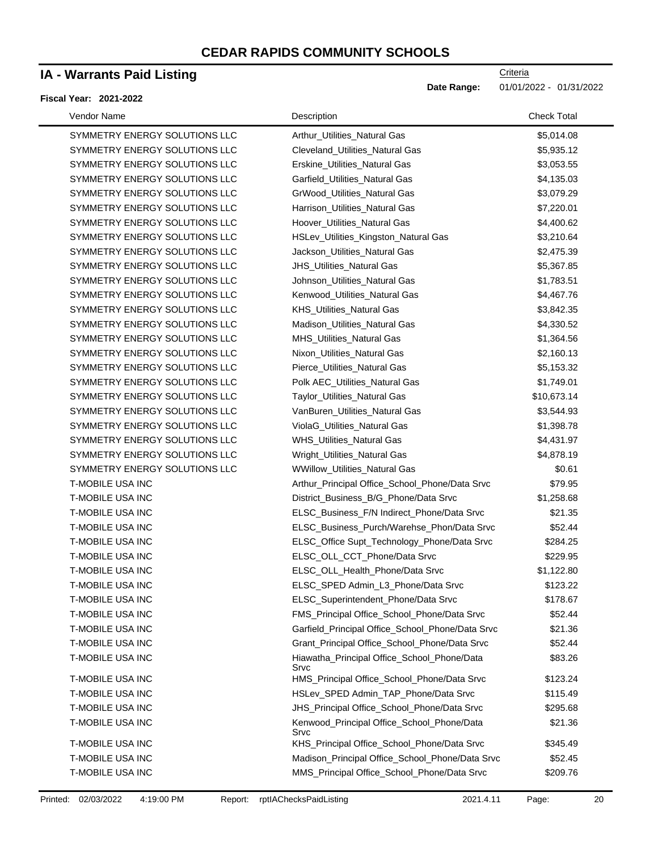### **IA - Warrants Paid Listing**

#### **Fiscal Year: 2021-2022**

 $\blacksquare$ 

| Vendor Name             |                               | Description                                         | <b>Check Total</b> |
|-------------------------|-------------------------------|-----------------------------------------------------|--------------------|
|                         | SYMMETRY ENERGY SOLUTIONS LLC | Arthur_Utilities_Natural Gas                        | \$5,014.08         |
|                         | SYMMETRY ENERGY SOLUTIONS LLC | Cleveland Utilities Natural Gas                     | \$5,935.12         |
|                         | SYMMETRY ENERGY SOLUTIONS LLC | Erskine_Utilities_Natural Gas                       | \$3,053.55         |
|                         | SYMMETRY ENERGY SOLUTIONS LLC | Garfield_Utilities_Natural Gas                      | \$4,135.03         |
|                         | SYMMETRY ENERGY SOLUTIONS LLC | GrWood_Utilities_Natural Gas                        | \$3,079.29         |
|                         | SYMMETRY ENERGY SOLUTIONS LLC | Harrison_Utilities_Natural Gas                      | \$7,220.01         |
|                         | SYMMETRY ENERGY SOLUTIONS LLC | Hoover_Utilities_Natural Gas                        | \$4,400.62         |
|                         | SYMMETRY ENERGY SOLUTIONS LLC | HSLev_Utilities_Kingston_Natural Gas                | \$3,210.64         |
|                         | SYMMETRY ENERGY SOLUTIONS LLC | Jackson_Utilities_Natural Gas                       | \$2,475.39         |
|                         | SYMMETRY ENERGY SOLUTIONS LLC | <b>JHS_Utilities_Natural Gas</b>                    | \$5,367.85         |
|                         | SYMMETRY ENERGY SOLUTIONS LLC | Johnson_Utilities_Natural Gas                       | \$1,783.51         |
|                         | SYMMETRY ENERGY SOLUTIONS LLC | Kenwood_Utilities_Natural Gas                       | \$4,467.76         |
|                         | SYMMETRY ENERGY SOLUTIONS LLC | <b>KHS_Utilities_Natural Gas</b>                    | \$3,842.35         |
|                         | SYMMETRY ENERGY SOLUTIONS LLC | Madison_Utilities_Natural Gas                       | \$4,330.52         |
|                         | SYMMETRY ENERGY SOLUTIONS LLC | MHS_Utilities_Natural Gas                           | \$1,364.56         |
|                         | SYMMETRY ENERGY SOLUTIONS LLC | Nixon Utilities Natural Gas                         | \$2,160.13         |
|                         | SYMMETRY ENERGY SOLUTIONS LLC | Pierce_Utilities_Natural Gas                        | \$5,153.32         |
|                         | SYMMETRY ENERGY SOLUTIONS LLC | Polk AEC_Utilities_Natural Gas                      | \$1,749.01         |
|                         | SYMMETRY ENERGY SOLUTIONS LLC | Taylor_Utilities_Natural Gas                        | \$10,673.14        |
|                         | SYMMETRY ENERGY SOLUTIONS LLC | VanBuren_Utilities_Natural Gas                      | \$3,544.93         |
|                         | SYMMETRY ENERGY SOLUTIONS LLC | ViolaG_Utilities_Natural Gas                        | \$1,398.78         |
|                         | SYMMETRY ENERGY SOLUTIONS LLC | WHS_Utilities_Natural Gas                           | \$4,431.97         |
|                         | SYMMETRY ENERGY SOLUTIONS LLC | Wright_Utilities_Natural Gas                        | \$4,878.19         |
|                         | SYMMETRY ENERGY SOLUTIONS LLC | <b>WWillow_Utilities_Natural Gas</b>                | \$0.61             |
| T-MOBILE USA INC        |                               | Arthur_Principal Office_School_Phone/Data Srvc      | \$79.95            |
| T-MOBILE USA INC        |                               | District_Business_B/G_Phone/Data Srvc               | \$1,258.68         |
| <b>T-MOBILE USA INC</b> |                               | ELSC_Business_F/N Indirect_Phone/Data Srvc          | \$21.35            |
| <b>T-MOBILE USA INC</b> |                               | ELSC_Business_Purch/Warehse_Phon/Data Srvc          | \$52.44            |
| T-MOBILE USA INC        |                               | ELSC_Office Supt_Technology_Phone/Data Srvc         | \$284.25           |
| <b>T-MOBILE USA INC</b> |                               | ELSC_OLL_CCT_Phone/Data Srvc                        | \$229.95           |
| <b>T-MOBILE USA INC</b> |                               | ELSC_OLL_Health_Phone/Data Srvc                     | \$1,122.80         |
| T-MOBILE USA INC        |                               | ELSC_SPED Admin_L3_Phone/Data Srvc                  | \$123.22           |
| T-MOBILE USA INC        |                               | ELSC_Superintendent_Phone/Data Srvc                 | \$178.67           |
| T-MOBILE USA INC        |                               | FMS_Principal Office_School_Phone/Data Srvc         | \$52.44            |
| T-MOBILE USA INC        |                               | Garfield_Principal Office_School_Phone/Data Srvc    | \$21.36            |
| T-MOBILE USA INC        |                               | Grant_Principal Office_School_Phone/Data Srvc       | \$52.44            |
| T-MOBILE USA INC        |                               | Hiawatha_Principal Office_School_Phone/Data         | \$83.26            |
| <b>T-MOBILE USA INC</b> |                               | Srvc<br>HMS_Principal Office_School_Phone/Data Srvc | \$123.24           |
| T-MOBILE USA INC        |                               | HSLev_SPED Admin_TAP_Phone/Data Srvc                | \$115.49           |
| T-MOBILE USA INC        |                               | JHS_Principal Office_School_Phone/Data Srvc         | \$295.68           |
| T-MOBILE USA INC        |                               | Kenwood_Principal Office_School_Phone/Data<br>Srvc  | \$21.36            |
| T-MOBILE USA INC        |                               | KHS_Principal Office_School_Phone/Data Srvc         | \$345.49           |
| <b>T-MOBILE USA INC</b> |                               | Madison_Principal Office_School_Phone/Data Srvc     | \$52.45            |
| T-MOBILE USA INC        |                               | MMS_Principal Office_School_Phone/Data Srvc         | \$209.76           |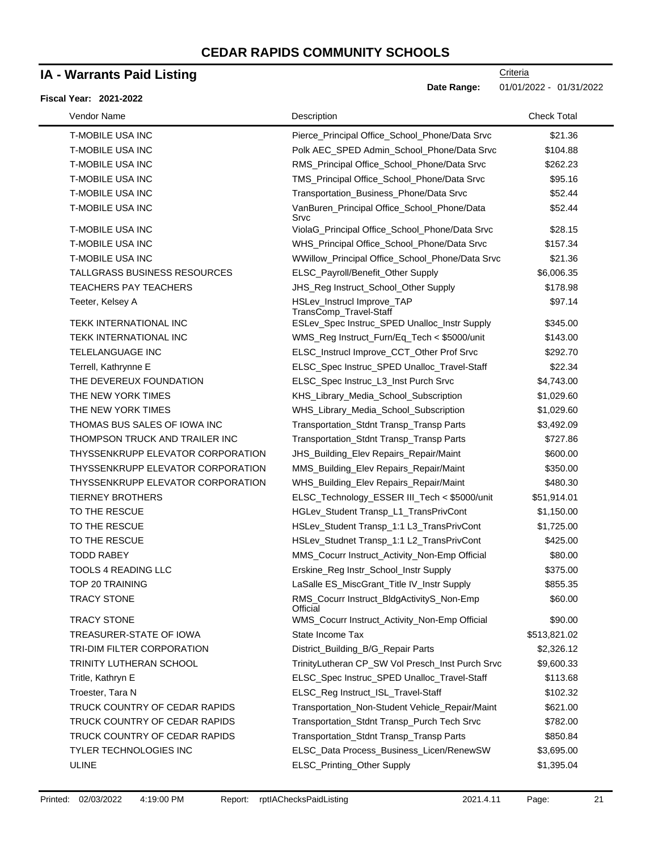### **IA - Warrants Paid Listing**

#### **Fiscal Year: 2021-2022**

| Vendor Name                       | Description                                           | <b>Check Total</b> |
|-----------------------------------|-------------------------------------------------------|--------------------|
| <b>T-MOBILE USA INC</b>           | Pierce_Principal Office_School_Phone/Data Srvc        | \$21.36            |
| <b>T-MOBILE USA INC</b>           | Polk AEC_SPED Admin_School_Phone/Data Srvc            | \$104.88           |
| <b>T-MOBILE USA INC</b>           | RMS_Principal Office_School_Phone/Data Srvc           | \$262.23           |
| <b>T-MOBILE USA INC</b>           | TMS_Principal Office_School_Phone/Data Srvc           | \$95.16            |
| <b>T-MOBILE USA INC</b>           | Transportation_Business_Phone/Data Srvc               | \$52.44            |
| <b>T-MOBILE USA INC</b>           | VanBuren_Principal Office_School_Phone/Data<br>Srvc   | \$52.44            |
| <b>T-MOBILE USA INC</b>           | ViolaG_Principal Office_School_Phone/Data Srvc        | \$28.15            |
| <b>T-MOBILE USA INC</b>           | WHS_Principal Office_School_Phone/Data Srvc           | \$157.34           |
| <b>T-MOBILE USA INC</b>           | WWillow_Principal Office_School_Phone/Data Srvc       | \$21.36            |
| TALLGRASS BUSINESS RESOURCES      | ELSC_Payroll/Benefit_Other Supply                     | \$6,006.35         |
| <b>TEACHERS PAY TEACHERS</b>      | JHS_Reg Instruct_School_Other Supply                  | \$178.98           |
| Teeter, Kelsey A                  | HSLev_Instrucl Improve_TAP<br>TransComp_Travel-Staff  | \$97.14            |
| <b>TEKK INTERNATIONAL INC</b>     | ESLev_Spec Instruc_SPED Unalloc_Instr Supply          | \$345.00           |
| TEKK INTERNATIONAL INC            | WMS_Reg Instruct_Furn/Eq_Tech < \$5000/unit           | \$143.00           |
| <b>TELELANGUAGE INC</b>           | ELSC_Instrucl Improve_CCT_Other Prof Srvc             | \$292.70           |
| Terrell, Kathrynne E              | ELSC_Spec Instruc_SPED Unalloc_Travel-Staff           | \$22.34            |
| THE DEVEREUX FOUNDATION           | ELSC_Spec Instruc_L3_Inst Purch Srvc                  | \$4,743.00         |
| THE NEW YORK TIMES                | KHS_Library_Media_School_Subscription                 | \$1,029.60         |
| THE NEW YORK TIMES                | WHS_Library_Media_School_Subscription                 | \$1,029.60         |
| THOMAS BUS SALES OF IOWA INC      | Transportation_Stdnt Transp_Transp Parts              | \$3,492.09         |
| THOMPSON TRUCK AND TRAILER INC    | Transportation_Stdnt Transp_Transp Parts              | \$727.86           |
| THYSSENKRUPP ELEVATOR CORPORATION | JHS_Building_Elev Repairs_Repair/Maint                | \$600.00           |
| THYSSENKRUPP ELEVATOR CORPORATION | MMS_Building_Elev Repairs_Repair/Maint                | \$350.00           |
| THYSSENKRUPP ELEVATOR CORPORATION | WHS_Building_Elev Repairs_Repair/Maint                | \$480.30           |
| <b>TIERNEY BROTHERS</b>           | ELSC_Technology_ESSER III_Tech < \$5000/unit          | \$51,914.01        |
| TO THE RESCUE                     | HGLev_Student Transp_L1_TransPrivCont                 | \$1,150.00         |
| TO THE RESCUE                     | HSLev_Student Transp_1:1 L3_TransPrivCont             | \$1,725.00         |
| TO THE RESCUE                     | HSLev_Studnet Transp_1:1 L2_TransPrivCont             | \$425.00           |
| <b>TODD RABEY</b>                 | MMS_Cocurr Instruct_Activity_Non-Emp Official         | \$80.00            |
| <b>TOOLS 4 READING LLC</b>        | Erskine_Reg Instr_School_Instr Supply                 | \$375.00           |
| TOP 20 TRAINING                   | LaSalle ES_MiscGrant_Title IV_Instr Supply            | \$855.35           |
| <b>TRACY STONE</b>                | RMS_Cocurr Instruct_BldgActivityS_Non-Emp<br>Official | \$60.00            |
| TRACY STONE                       | WMS_Cocurr Instruct_Activity_Non-Emp Official         | \$90.00            |
| TREASURER-STATE OF IOWA           | State Income Tax                                      | \$513,821.02       |
| TRI-DIM FILTER CORPORATION        | District_Building_B/G_Repair Parts                    | \$2,326.12         |
| TRINITY LUTHERAN SCHOOL           | TrinityLutheran CP_SW Vol Presch_Inst Purch Srvc      | \$9,600.33         |
| Tritle, Kathryn E                 | ELSC_Spec Instruc_SPED Unalloc_Travel-Staff           | \$113.68           |
| Troester, Tara N                  | ELSC_Reg Instruct_ISL_Travel-Staff                    | \$102.32           |
| TRUCK COUNTRY OF CEDAR RAPIDS     | Transportation_Non-Student Vehicle_Repair/Maint       | \$621.00           |
| TRUCK COUNTRY OF CEDAR RAPIDS     | Transportation_Stdnt Transp_Purch Tech Srvc           | \$782.00           |
| TRUCK COUNTRY OF CEDAR RAPIDS     | Transportation_Stdnt Transp_Transp Parts              | \$850.84           |
| TYLER TECHNOLOGIES INC            | ELSC_Data Process_Business_Licen/RenewSW              | \$3,695.00         |
| <b>ULINE</b>                      | ELSC_Printing_Other Supply                            | \$1,395.04         |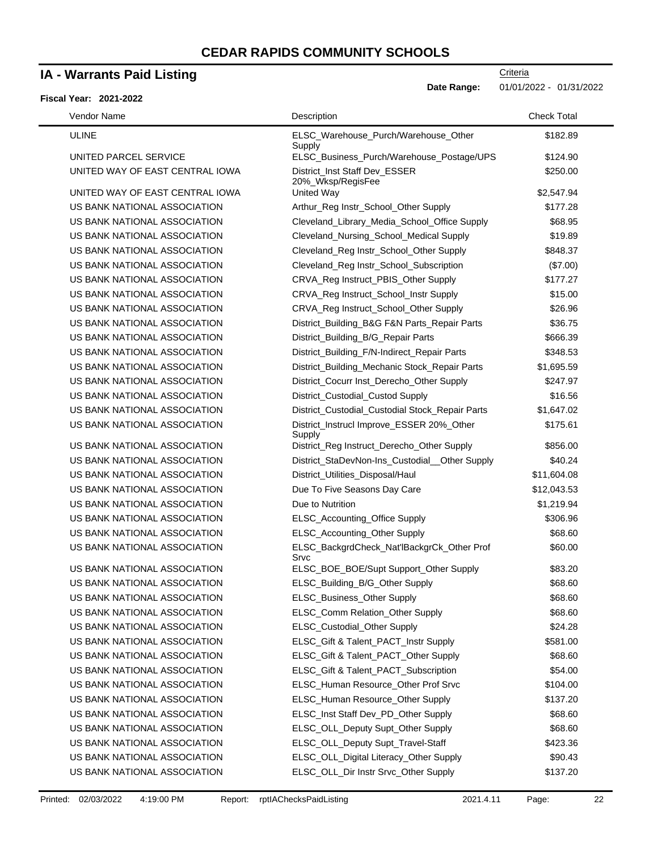### **IA - Warrants Paid Listing**

### **Fiscal Ye**

**Date Range:** 01/01/2022 - 01/31/2022

| Vendor Name                     | Description                                         | <b>Check Total</b> |
|---------------------------------|-----------------------------------------------------|--------------------|
| <b>ULINE</b>                    | ELSC_Warehouse_Purch/Warehouse_Other<br>Supply      | \$182.89           |
| UNITED PARCEL SERVICE           | ELSC_Business_Purch/Warehouse_Postage/UPS           | \$124.90           |
| UNITED WAY OF EAST CENTRAL IOWA | District_Inst Staff Dev_ESSER<br>20%_Wksp/RegisFee  | \$250.00           |
| UNITED WAY OF EAST CENTRAL IOWA | United Way                                          | \$2,547.94         |
| US BANK NATIONAL ASSOCIATION    | Arthur_Reg Instr_School_Other Supply                | \$177.28           |
| US BANK NATIONAL ASSOCIATION    | Cleveland_Library_Media_School_Office Supply        | \$68.95            |
| US BANK NATIONAL ASSOCIATION    | Cleveland_Nursing_School_Medical Supply             | \$19.89            |
| US BANK NATIONAL ASSOCIATION    | Cleveland_Reg Instr_School_Other Supply             | \$848.37           |
| US BANK NATIONAL ASSOCIATION    | Cleveland_Reg Instr_School_Subscription             | (\$7.00)           |
| US BANK NATIONAL ASSOCIATION    | CRVA_Reg Instruct_PBIS_Other Supply                 | \$177.27           |
| US BANK NATIONAL ASSOCIATION    | CRVA_Reg Instruct_School_Instr Supply               | \$15.00            |
| US BANK NATIONAL ASSOCIATION    | CRVA_Reg Instruct_School_Other Supply               | \$26.96            |
| US BANK NATIONAL ASSOCIATION    | District_Building_B&G F&N Parts_Repair Parts        | \$36.75            |
| US BANK NATIONAL ASSOCIATION    | District_Building_B/G_Repair Parts                  | \$666.39           |
| US BANK NATIONAL ASSOCIATION    | District_Building_F/N-Indirect_Repair Parts         | \$348.53           |
| US BANK NATIONAL ASSOCIATION    | District_Building_Mechanic Stock_Repair Parts       | \$1,695.59         |
| US BANK NATIONAL ASSOCIATION    | District_Cocurr Inst_Derecho_Other Supply           | \$247.97           |
| US BANK NATIONAL ASSOCIATION    | District_Custodial_Custod Supply                    | \$16.56            |
| US BANK NATIONAL ASSOCIATION    | District_Custodial_Custodial Stock_Repair Parts     | \$1,647.02         |
| US BANK NATIONAL ASSOCIATION    | District_Instrucl Improve_ESSER 20%_Other<br>Supply | \$175.61           |
| US BANK NATIONAL ASSOCIATION    | District_Reg Instruct_Derecho_Other Supply          | \$856.00           |
| US BANK NATIONAL ASSOCIATION    | District_StaDevNon-Ins_Custodial_Other Supply       | \$40.24            |
| US BANK NATIONAL ASSOCIATION    | District_Utilities_Disposal/Haul                    | \$11,604.08        |
| US BANK NATIONAL ASSOCIATION    | Due To Five Seasons Day Care                        | \$12,043.53        |
| US BANK NATIONAL ASSOCIATION    | Due to Nutrition                                    | \$1,219.94         |
| US BANK NATIONAL ASSOCIATION    | ELSC_Accounting_Office Supply                       | \$306.96           |
| US BANK NATIONAL ASSOCIATION    | ELSC_Accounting_Other Supply                        | \$68.60            |
| US BANK NATIONAL ASSOCIATION    | ELSC_BackgrdCheck_Nat'lBackgrCk_Other Prof<br>Srvc  | \$60.00            |
| US BANK NATIONAL ASSOCIATION    | ELSC_BOE_BOE/Supt Support_Other Supply              | \$83.20            |
| US BANK NATIONAL ASSOCIATION    | ELSC_Building_B/G_Other Supply                      | \$68.60            |
| US BANK NATIONAL ASSOCIATION    | ELSC_Business_Other Supply                          | \$68.60            |
| US BANK NATIONAL ASSOCIATION    | ELSC_Comm Relation_Other Supply                     | \$68.60            |
| US BANK NATIONAL ASSOCIATION    | ELSC_Custodial_Other Supply                         | \$24.28            |
| US BANK NATIONAL ASSOCIATION    | ELSC_Gift & Talent_PACT_Instr Supply                | \$581.00           |
| US BANK NATIONAL ASSOCIATION    | ELSC_Gift & Talent_PACT_Other Supply                | \$68.60            |
| US BANK NATIONAL ASSOCIATION    | ELSC_Gift & Talent_PACT_Subscription                | \$54.00            |
| US BANK NATIONAL ASSOCIATION    | ELSC_Human Resource_Other Prof Srvc                 | \$104.00           |
| US BANK NATIONAL ASSOCIATION    | ELSC_Human Resource_Other Supply                    | \$137.20           |
| US BANK NATIONAL ASSOCIATION    | ELSC_Inst Staff Dev_PD_Other Supply                 | \$68.60            |
| US BANK NATIONAL ASSOCIATION    | ELSC_OLL_Deputy Supt_Other Supply                   | \$68.60            |
| US BANK NATIONAL ASSOCIATION    | ELSC_OLL_Deputy Supt_Travel-Staff                   | \$423.36           |
| US BANK NATIONAL ASSOCIATION    | ELSC_OLL_Digital Literacy_Other Supply              | \$90.43            |
| US BANK NATIONAL ASSOCIATION    | ELSC_OLL_Dir Instr Srvc_Other Supply                | \$137.20           |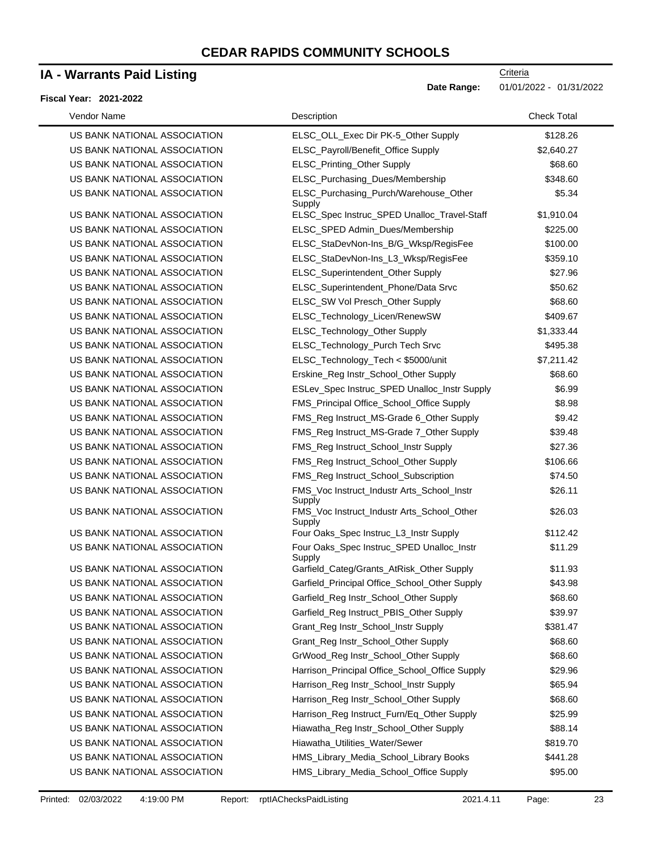### **IA - Warrants Paid Listing**

#### **Fiscal Year: 2021-2022**

**Criteria** 

**Date Range:** 01/01/2022 - 01/31/2022

| Vendor Name                  | Description                                          | <b>Check Total</b> |
|------------------------------|------------------------------------------------------|--------------------|
| US BANK NATIONAL ASSOCIATION | ELSC_OLL_Exec Dir PK-5_Other Supply                  | \$128.26           |
| US BANK NATIONAL ASSOCIATION | ELSC_Payroll/Benefit_Office Supply                   | \$2,640.27         |
| US BANK NATIONAL ASSOCIATION | ELSC_Printing_Other Supply                           | \$68.60            |
| US BANK NATIONAL ASSOCIATION | ELSC_Purchasing_Dues/Membership                      | \$348.60           |
| US BANK NATIONAL ASSOCIATION | ELSC_Purchasing_Purch/Warehouse_Other<br>Supply      | \$5.34             |
| US BANK NATIONAL ASSOCIATION | ELSC_Spec Instruc_SPED Unalloc_Travel-Staff          | \$1,910.04         |
| US BANK NATIONAL ASSOCIATION | ELSC_SPED Admin_Dues/Membership                      | \$225.00           |
| US BANK NATIONAL ASSOCIATION | ELSC_StaDevNon-Ins_B/G_Wksp/RegisFee                 | \$100.00           |
| US BANK NATIONAL ASSOCIATION | ELSC_StaDevNon-Ins_L3_Wksp/RegisFee                  | \$359.10           |
| US BANK NATIONAL ASSOCIATION | ELSC_Superintendent_Other Supply                     | \$27.96            |
| US BANK NATIONAL ASSOCIATION | ELSC_Superintendent_Phone/Data Srvc                  | \$50.62            |
| US BANK NATIONAL ASSOCIATION | ELSC_SW Vol Presch_Other Supply                      | \$68.60            |
| US BANK NATIONAL ASSOCIATION | ELSC_Technology_Licen/RenewSW                        | \$409.67           |
| US BANK NATIONAL ASSOCIATION | ELSC_Technology_Other Supply                         | \$1,333.44         |
| US BANK NATIONAL ASSOCIATION | ELSC_Technology_Purch Tech Srvc                      | \$495.38           |
| US BANK NATIONAL ASSOCIATION | ELSC_Technology_Tech < \$5000/unit                   | \$7,211.42         |
| US BANK NATIONAL ASSOCIATION | Erskine_Reg Instr_School_Other Supply                | \$68.60            |
| US BANK NATIONAL ASSOCIATION | ESLev_Spec Instruc_SPED Unalloc_Instr Supply         | \$6.99             |
| US BANK NATIONAL ASSOCIATION | FMS_Principal Office_School_Office Supply            | \$8.98             |
| US BANK NATIONAL ASSOCIATION | FMS_Reg Instruct_MS-Grade 6_Other Supply             | \$9.42             |
| US BANK NATIONAL ASSOCIATION | FMS_Reg Instruct_MS-Grade 7_Other Supply             | \$39.48            |
| US BANK NATIONAL ASSOCIATION | FMS_Reg Instruct_School_Instr Supply                 | \$27.36            |
| US BANK NATIONAL ASSOCIATION | FMS_Reg Instruct_School_Other Supply                 | \$106.66           |
| US BANK NATIONAL ASSOCIATION | FMS_Reg Instruct_School_Subscription                 | \$74.50            |
| US BANK NATIONAL ASSOCIATION | FMS_Voc Instruct_Industr Arts_School_Instr<br>Supply | \$26.11            |
| US BANK NATIONAL ASSOCIATION | FMS_Voc Instruct_Industr Arts_School_Other<br>Supply | \$26.03            |
| US BANK NATIONAL ASSOCIATION | Four Oaks_Spec Instruc_L3_Instr Supply               | \$112.42           |
| US BANK NATIONAL ASSOCIATION | Four Oaks_Spec Instruc_SPED Unalloc_Instr<br>Supply  | \$11.29            |
| US BANK NATIONAL ASSOCIATION | Garfield_Categ/Grants_AtRisk_Other Supply            | \$11.93            |
| US BANK NATIONAL ASSOCIATION | Garfield_Principal Office_School_Other Supply        | \$43.98            |
| US BANK NATIONAL ASSOCIATION | Garfield_Reg Instr_School_Other Supply               | \$68.60            |
| US BANK NATIONAL ASSOCIATION | Garfield_Reg Instruct_PBIS_Other Supply              | \$39.97            |
| US BANK NATIONAL ASSOCIATION | Grant_Reg Instr_School_Instr Supply                  | \$381.47           |
| US BANK NATIONAL ASSOCIATION | Grant_Reg Instr_School_Other Supply                  | \$68.60            |
| US BANK NATIONAL ASSOCIATION | GrWood_Reg Instr_School_Other Supply                 | \$68.60            |
| US BANK NATIONAL ASSOCIATION | Harrison_Principal Office_School_Office Supply       | \$29.96            |
| US BANK NATIONAL ASSOCIATION | Harrison_Reg Instr_School_Instr Supply               | \$65.94            |
| US BANK NATIONAL ASSOCIATION | Harrison_Reg Instr_School_Other Supply               | \$68.60            |
| US BANK NATIONAL ASSOCIATION | Harrison_Reg Instruct_Furn/Eq_Other Supply           | \$25.99            |
| US BANK NATIONAL ASSOCIATION | Hiawatha_Reg Instr_School_Other Supply               | \$88.14            |
| US BANK NATIONAL ASSOCIATION | Hiawatha_Utilities_Water/Sewer                       | \$819.70           |
| US BANK NATIONAL ASSOCIATION | HMS_Library_Media_School_Library Books               | \$441.28           |
| US BANK NATIONAL ASSOCIATION | HMS_Library_Media_School_Office Supply               | \$95.00            |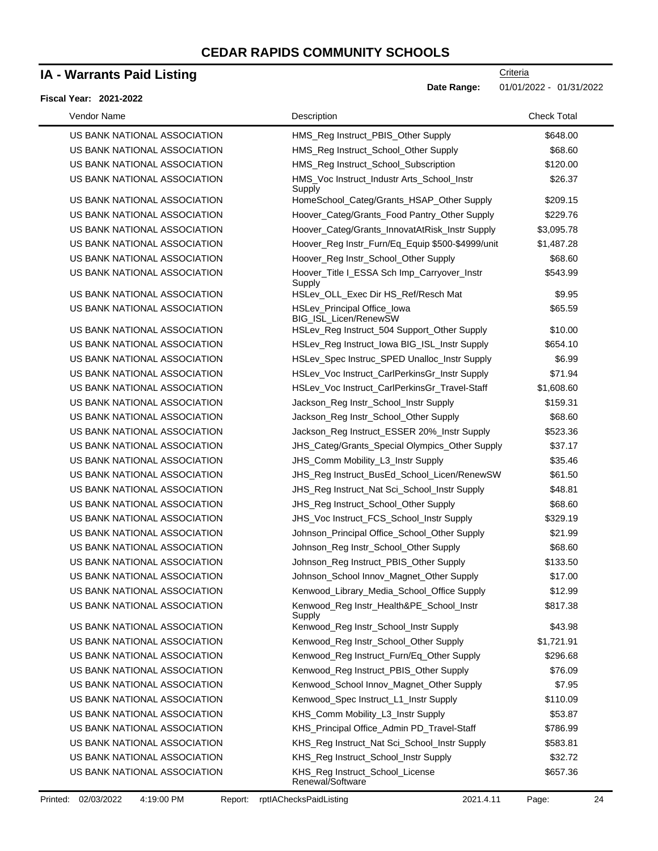# **IA - Warrants Paid Listing**

#### **Fiscal Year: 2021-2022**

 $\blacksquare$ 

**Date Range:** 01/01/2022 - 01/31/2022

| Vendor Name                  | Description                                           | <b>Check Total</b> |
|------------------------------|-------------------------------------------------------|--------------------|
| US BANK NATIONAL ASSOCIATION | HMS_Reg Instruct_PBIS_Other Supply                    | \$648.00           |
| US BANK NATIONAL ASSOCIATION | HMS_Reg Instruct_School_Other Supply                  | \$68.60            |
| US BANK NATIONAL ASSOCIATION | HMS_Reg Instruct_School_Subscription                  | \$120.00           |
| US BANK NATIONAL ASSOCIATION | HMS_Voc Instruct_Industr Arts_School_Instr<br>Supply  | \$26.37            |
| US BANK NATIONAL ASSOCIATION | HomeSchool_Categ/Grants_HSAP_Other Supply             | \$209.15           |
| US BANK NATIONAL ASSOCIATION | Hoover_Categ/Grants_Food Pantry_Other Supply          | \$229.76           |
| US BANK NATIONAL ASSOCIATION | Hoover_Categ/Grants_InnovatAtRisk_Instr Supply        | \$3,095.78         |
| US BANK NATIONAL ASSOCIATION | Hoover_Reg Instr_Furn/Eq_Equip \$500-\$4999/unit      | \$1,487.28         |
| US BANK NATIONAL ASSOCIATION | Hoover_Reg Instr_School_Other Supply                  | \$68.60            |
| US BANK NATIONAL ASSOCIATION | Hoover_Title I_ESSA Sch Imp_Carryover_Instr<br>Supply | \$543.99           |
| US BANK NATIONAL ASSOCIATION | HSLev_OLL_Exec Dir HS_Ref/Resch Mat                   | \$9.95             |
| US BANK NATIONAL ASSOCIATION | HSLev_Principal Office_lowa<br>BIG_ISL_Licen/RenewSW  | \$65.59            |
| US BANK NATIONAL ASSOCIATION | HSLev_Reg Instruct_504 Support_Other Supply           | \$10.00            |
| US BANK NATIONAL ASSOCIATION | HSLev_Reg Instruct_Iowa BIG_ISL_Instr Supply          | \$654.10           |
| US BANK NATIONAL ASSOCIATION | HSLev_Spec Instruc_SPED Unalloc_Instr Supply          | \$6.99             |
| US BANK NATIONAL ASSOCIATION | HSLev_Voc Instruct_CarlPerkinsGr_Instr Supply         | \$71.94            |
| US BANK NATIONAL ASSOCIATION | HSLev_Voc Instruct_CarlPerkinsGr_Travel-Staff         | \$1,608.60         |
| US BANK NATIONAL ASSOCIATION | Jackson_Reg Instr_School_Instr Supply                 | \$159.31           |
| US BANK NATIONAL ASSOCIATION | Jackson_Reg Instr_School_Other Supply                 | \$68.60            |
| US BANK NATIONAL ASSOCIATION | Jackson_Reg Instruct_ESSER 20%_Instr Supply           | \$523.36           |
| US BANK NATIONAL ASSOCIATION | JHS_Categ/Grants_Special Olympics_Other Supply        | \$37.17            |
| US BANK NATIONAL ASSOCIATION | JHS_Comm Mobility_L3_Instr Supply                     | \$35.46            |
| US BANK NATIONAL ASSOCIATION | JHS_Reg Instruct_BusEd_School_Licen/RenewSW           | \$61.50            |
| US BANK NATIONAL ASSOCIATION | JHS_Reg Instruct_Nat Sci_School_Instr Supply          | \$48.81            |
| US BANK NATIONAL ASSOCIATION | JHS_Reg Instruct_School_Other Supply                  | \$68.60            |
| US BANK NATIONAL ASSOCIATION | JHS_Voc Instruct_FCS_School_Instr Supply              | \$329.19           |
| US BANK NATIONAL ASSOCIATION | Johnson_Principal Office_School_Other Supply          | \$21.99            |
| US BANK NATIONAL ASSOCIATION | Johnson_Reg Instr_School_Other Supply                 | \$68.60            |
| US BANK NATIONAL ASSOCIATION | Johnson_Reg Instruct_PBIS_Other Supply                | \$133.50           |
| US BANK NATIONAL ASSOCIATION | Johnson_School Innov_Magnet_Other Supply              | \$17.00            |
| US BANK NATIONAL ASSOCIATION | Kenwood_Library_Media_School_Office Supply            | \$12.99            |
| US BANK NATIONAL ASSOCIATION | Kenwood_Reg Instr_Health&PE_School_Instr<br>Supply    | \$817.38           |
| US BANK NATIONAL ASSOCIATION | Kenwood_Reg Instr_School_Instr Supply                 | \$43.98            |
| US BANK NATIONAL ASSOCIATION | Kenwood_Reg Instr_School_Other Supply                 | \$1,721.91         |
| US BANK NATIONAL ASSOCIATION | Kenwood_Reg Instruct_Furn/Eq_Other Supply             | \$296.68           |
| US BANK NATIONAL ASSOCIATION | Kenwood_Reg Instruct_PBIS_Other Supply                | \$76.09            |
| US BANK NATIONAL ASSOCIATION | Kenwood_School Innov_Magnet_Other Supply              | \$7.95             |
| US BANK NATIONAL ASSOCIATION | Kenwood_Spec Instruct_L1_Instr Supply                 | \$110.09           |
| US BANK NATIONAL ASSOCIATION | KHS_Comm Mobility_L3_Instr Supply                     | \$53.87            |
| US BANK NATIONAL ASSOCIATION | KHS_Principal Office_Admin PD_Travel-Staff            | \$786.99           |
| US BANK NATIONAL ASSOCIATION | KHS_Reg Instruct_Nat Sci_School_Instr Supply          | \$583.81           |
| US BANK NATIONAL ASSOCIATION | KHS_Reg Instruct_School_Instr Supply                  | \$32.72            |
| US BANK NATIONAL ASSOCIATION | KHS_Reg Instruct_School_License<br>Renewal/Software   | \$657.36           |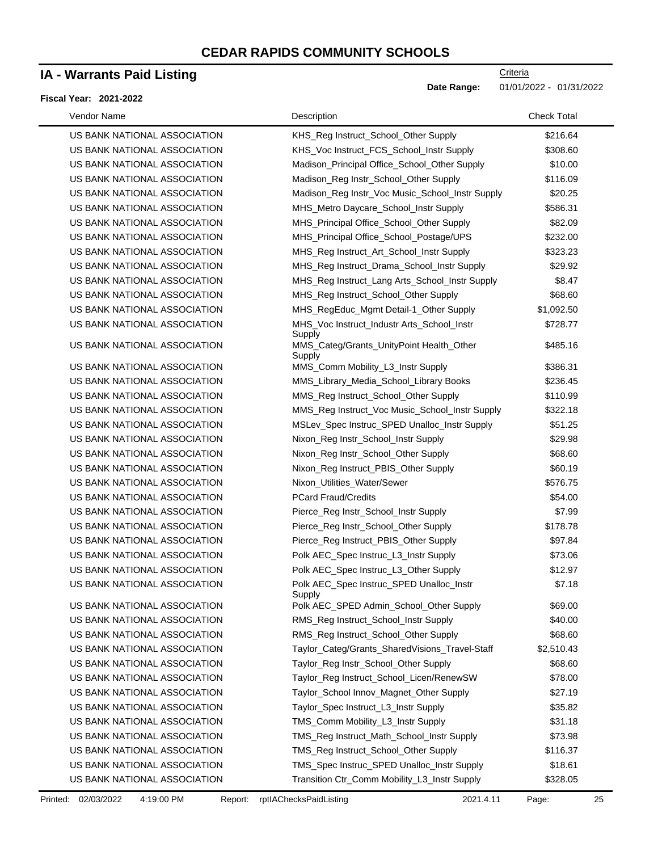### **IA - Warrants Paid Listing**

#### **Fiscal Year: 2021-2022**

| Vendor Name                  | Description                                                  | <b>Check Total</b> |
|------------------------------|--------------------------------------------------------------|--------------------|
| US BANK NATIONAL ASSOCIATION | KHS_Reg Instruct_School_Other Supply                         | \$216.64           |
| US BANK NATIONAL ASSOCIATION | KHS_Voc Instruct_FCS_School_Instr Supply                     | \$308.60           |
| US BANK NATIONAL ASSOCIATION | Madison_Principal Office_School_Other Supply                 | \$10.00            |
| US BANK NATIONAL ASSOCIATION | Madison_Reg Instr_School_Other Supply                        | \$116.09           |
| US BANK NATIONAL ASSOCIATION | Madison_Reg Instr_Voc Music_School_Instr Supply              | \$20.25            |
| US BANK NATIONAL ASSOCIATION | MHS_Metro Daycare_School_Instr Supply                        | \$586.31           |
| US BANK NATIONAL ASSOCIATION | MHS_Principal Office_School_Other Supply                     | \$82.09            |
| US BANK NATIONAL ASSOCIATION | MHS_Principal Office_School_Postage/UPS                      | \$232.00           |
| US BANK NATIONAL ASSOCIATION | MHS_Reg Instruct_Art_School_Instr Supply                     | \$323.23           |
| US BANK NATIONAL ASSOCIATION | MHS_Reg Instruct_Drama_School_Instr Supply                   | \$29.92            |
| US BANK NATIONAL ASSOCIATION | MHS_Reg Instruct_Lang Arts_School_Instr Supply               | \$8.47             |
| US BANK NATIONAL ASSOCIATION | MHS_Reg Instruct_School_Other Supply                         | \$68.60            |
| US BANK NATIONAL ASSOCIATION | MHS_RegEduc_Mgmt Detail-1_Other Supply                       | \$1,092.50         |
| US BANK NATIONAL ASSOCIATION | MHS_Voc Instruct_Industr Arts_School_Instr                   | \$728.77           |
| US BANK NATIONAL ASSOCIATION | Supply<br>MMS_Categ/Grants_UnityPoint Health_Other<br>Supply | \$485.16           |
| US BANK NATIONAL ASSOCIATION | MMS_Comm Mobility_L3_Instr Supply                            | \$386.31           |
| US BANK NATIONAL ASSOCIATION | MMS_Library_Media_School_Library Books                       | \$236.45           |
| US BANK NATIONAL ASSOCIATION | MMS_Reg Instruct_School_Other Supply                         | \$110.99           |
| US BANK NATIONAL ASSOCIATION | MMS_Reg Instruct_Voc Music_School_Instr Supply               | \$322.18           |
| US BANK NATIONAL ASSOCIATION | MSLev_Spec Instruc_SPED Unalloc_Instr Supply                 | \$51.25            |
| US BANK NATIONAL ASSOCIATION | Nixon_Reg Instr_School_Instr Supply                          | \$29.98            |
| US BANK NATIONAL ASSOCIATION | Nixon_Reg Instr_School_Other Supply                          | \$68.60            |
| US BANK NATIONAL ASSOCIATION | Nixon_Reg Instruct_PBIS_Other Supply                         | \$60.19            |
| US BANK NATIONAL ASSOCIATION | Nixon_Utilities_Water/Sewer                                  | \$576.75           |
| US BANK NATIONAL ASSOCIATION | <b>PCard Fraud/Credits</b>                                   | \$54.00            |
| US BANK NATIONAL ASSOCIATION | Pierce_Reg Instr_School_Instr Supply                         | \$7.99             |
| US BANK NATIONAL ASSOCIATION | Pierce_Reg Instr_School_Other Supply                         | \$178.78           |
| US BANK NATIONAL ASSOCIATION | Pierce_Reg Instruct_PBIS_Other Supply                        | \$97.84            |
| US BANK NATIONAL ASSOCIATION | Polk AEC_Spec Instruc_L3_Instr Supply                        | \$73.06            |
| US BANK NATIONAL ASSOCIATION | Polk AEC_Spec Instruc_L3_Other Supply                        | \$12.97            |
| US BANK NATIONAL ASSOCIATION | Polk AEC_Spec Instruc_SPED Unalloc_Instr<br>Supply           | \$7.18             |
| US BANK NATIONAL ASSOCIATION | Polk AEC_SPED Admin_School_Other Supply                      | \$69.00            |
| US BANK NATIONAL ASSOCIATION | RMS_Reg Instruct_School_Instr Supply                         | \$40.00            |
| US BANK NATIONAL ASSOCIATION | RMS_Reg Instruct_School_Other Supply                         | \$68.60            |
| US BANK NATIONAL ASSOCIATION | Taylor_Categ/Grants_SharedVisions_Travel-Staff               | \$2,510.43         |
| US BANK NATIONAL ASSOCIATION | Taylor_Reg Instr_School_Other Supply                         | \$68.60            |
| US BANK NATIONAL ASSOCIATION | Taylor_Reg Instruct_School_Licen/RenewSW                     | \$78.00            |
| US BANK NATIONAL ASSOCIATION | Taylor_School Innov_Magnet_Other Supply                      | \$27.19            |
| US BANK NATIONAL ASSOCIATION | Taylor_Spec Instruct_L3_Instr Supply                         | \$35.82            |
| US BANK NATIONAL ASSOCIATION | TMS_Comm Mobility_L3_Instr Supply                            | \$31.18            |
| US BANK NATIONAL ASSOCIATION | TMS_Reg Instruct_Math_School_Instr Supply                    | \$73.98            |
| US BANK NATIONAL ASSOCIATION | TMS_Reg Instruct_School_Other Supply                         | \$116.37           |
| US BANK NATIONAL ASSOCIATION | TMS_Spec Instruc_SPED Unalloc_Instr Supply                   | \$18.61            |
| US BANK NATIONAL ASSOCIATION | Transition Ctr_Comm Mobility_L3_Instr Supply                 | \$328.05           |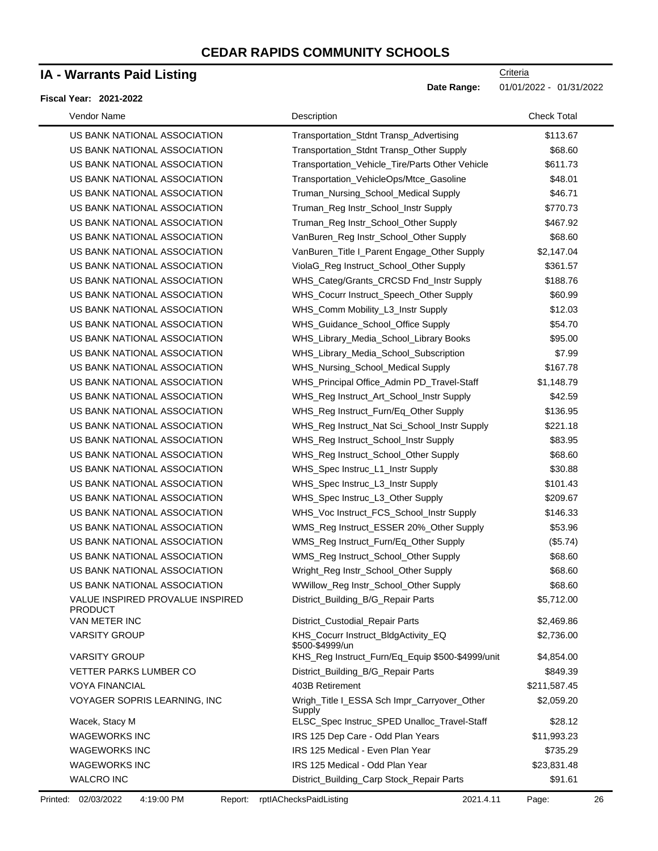### **IA - Warrants Paid Listing**

#### **Fiscal Year: 2021-2022**

| Vendor Name                                        | Description                                            | <b>Check Total</b> |
|----------------------------------------------------|--------------------------------------------------------|--------------------|
| US BANK NATIONAL ASSOCIATION                       | Transportation_Stdnt Transp_Advertising                | \$113.67           |
| US BANK NATIONAL ASSOCIATION                       | Transportation_Stdnt Transp_Other Supply               | \$68.60            |
| US BANK NATIONAL ASSOCIATION                       | Transportation_Vehicle_Tire/Parts Other Vehicle        | \$611.73           |
| US BANK NATIONAL ASSOCIATION                       | Transportation_VehicleOps/Mtce_Gasoline                | \$48.01            |
| US BANK NATIONAL ASSOCIATION                       | Truman_Nursing_School_Medical Supply                   | \$46.71            |
| US BANK NATIONAL ASSOCIATION                       | Truman_Reg Instr_School_Instr Supply                   | \$770.73           |
| US BANK NATIONAL ASSOCIATION                       | Truman_Reg Instr_School_Other Supply                   | \$467.92           |
| US BANK NATIONAL ASSOCIATION                       | VanBuren_Reg Instr_School_Other Supply                 | \$68.60            |
| US BANK NATIONAL ASSOCIATION                       | VanBuren_Title I_Parent Engage_Other Supply            | \$2,147.04         |
| US BANK NATIONAL ASSOCIATION                       | ViolaG_Reg Instruct_School_Other Supply                | \$361.57           |
| US BANK NATIONAL ASSOCIATION                       | WHS_Categ/Grants_CRCSD Fnd_Instr Supply                | \$188.76           |
| US BANK NATIONAL ASSOCIATION                       | WHS_Cocurr Instruct_Speech_Other Supply                | \$60.99            |
| US BANK NATIONAL ASSOCIATION                       | WHS_Comm Mobility_L3_Instr Supply                      | \$12.03            |
| US BANK NATIONAL ASSOCIATION                       | WHS_Guidance_School_Office Supply                      | \$54.70            |
| US BANK NATIONAL ASSOCIATION                       | WHS_Library_Media_School_Library Books                 | \$95.00            |
| US BANK NATIONAL ASSOCIATION                       | WHS_Library_Media_School_Subscription                  | \$7.99             |
| US BANK NATIONAL ASSOCIATION                       | WHS_Nursing_School_Medical Supply                      | \$167.78           |
| US BANK NATIONAL ASSOCIATION                       | WHS_Principal Office_Admin PD_Travel-Staff             | \$1,148.79         |
| US BANK NATIONAL ASSOCIATION                       | WHS_Reg Instruct_Art_School_Instr Supply               | \$42.59            |
| US BANK NATIONAL ASSOCIATION                       | WHS_Reg Instruct_Furn/Eq_Other Supply                  | \$136.95           |
| US BANK NATIONAL ASSOCIATION                       | WHS_Reg Instruct_Nat Sci_School_Instr Supply           | \$221.18           |
| US BANK NATIONAL ASSOCIATION                       | WHS_Reg Instruct_School_Instr Supply                   | \$83.95            |
| US BANK NATIONAL ASSOCIATION                       | WHS_Reg Instruct_School_Other Supply                   | \$68.60            |
| US BANK NATIONAL ASSOCIATION                       | WHS_Spec Instruc_L1_Instr Supply                       | \$30.88            |
| US BANK NATIONAL ASSOCIATION                       | WHS_Spec Instruc_L3_Instr Supply                       | \$101.43           |
| US BANK NATIONAL ASSOCIATION                       | WHS_Spec Instruc_L3_Other Supply                       | \$209.67           |
| US BANK NATIONAL ASSOCIATION                       | WHS_Voc Instruct_FCS_School_Instr Supply               | \$146.33           |
| US BANK NATIONAL ASSOCIATION                       | WMS_Reg Instruct_ESSER 20%_Other Supply                | \$53.96            |
| US BANK NATIONAL ASSOCIATION                       | WMS_Reg Instruct_Furn/Eq_Other Supply                  | (\$5.74)           |
| US BANK NATIONAL ASSOCIATION                       | WMS_Reg Instruct_School_Other Supply                   | \$68.60            |
| US BANK NATIONAL ASSOCIATION                       | Wright_Reg Instr_School_Other Supply                   | \$68.60            |
| US BANK NATIONAL ASSOCIATION                       | WWillow_Reg Instr_School_Other Supply                  | \$68.60            |
| VALUE INSPIRED PROVALUE INSPIRED<br><b>PRODUCT</b> | District_Building_B/G_Repair Parts                     | \$5,712.00         |
| VAN METER INC                                      | District_Custodial_Repair Parts                        | \$2,469.86         |
| <b>VARSITY GROUP</b>                               | KHS_Cocurr Instruct_BldgActivity_EQ<br>\$500-\$4999/un | \$2,736.00         |
| <b>VARSITY GROUP</b>                               | KHS_Reg Instruct_Furn/Eq_Equip \$500-\$4999/unit       | \$4,854.00         |
| <b>VETTER PARKS LUMBER CO</b>                      | District_Building_B/G_Repair Parts                     | \$849.39           |
| <b>VOYA FINANCIAL</b>                              | 403B Retirement                                        | \$211,587.45       |
| VOYAGER SOPRIS LEARNING, INC                       | Wrigh_Title I_ESSA Sch Impr_Carryover_Other<br>Supply  | \$2,059.20         |
| Wacek, Stacy M                                     | ELSC_Spec Instruc_SPED Unalloc_Travel-Staff            | \$28.12            |
| <b>WAGEWORKS INC</b>                               | IRS 125 Dep Care - Odd Plan Years                      | \$11,993.23        |
| <b>WAGEWORKS INC</b>                               | IRS 125 Medical - Even Plan Year                       | \$735.29           |
| <b>WAGEWORKS INC</b>                               | IRS 125 Medical - Odd Plan Year                        | \$23,831.48        |
| <b>WALCRO INC</b>                                  | District_Building_Carp Stock_Repair Parts              | \$91.61            |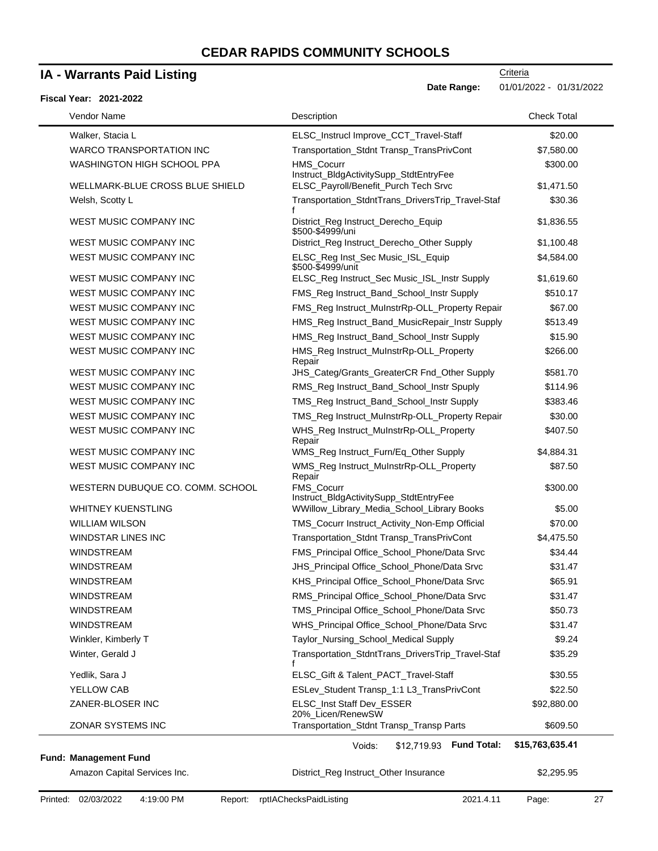### **IA - Warrants Paid Listing**

#### **Fiscal Year: 2021-2022**

Date Range: 01/01/2022 - 01/31/2022

**Criteria** 

| FISCAI TEAN. ZUZ PZUZZ           |                                                             |                    |
|----------------------------------|-------------------------------------------------------------|--------------------|
| Vendor Name                      | Description                                                 | <b>Check Total</b> |
| Walker, Stacia L                 | ELSC_Instrucl Improve_CCT_Travel-Staff                      | \$20.00            |
| <b>WARCO TRANSPORTATION INC</b>  | Transportation_Stdnt Transp_TransPrivCont                   | \$7,580.00         |
| WASHINGTON HIGH SCHOOL PPA       | HMS_Cocurr<br>Instruct_BldgActivitySupp_StdtEntryFee        | \$300.00           |
| WELLMARK-BLUE CROSS BLUE SHIELD  | ELSC_Payroll/Benefit_Purch Tech Srvc                        | \$1,471.50         |
| Welsh, Scotty L                  | Transportation_StdntTrans_DriversTrip_Travel-Staf           | \$30.36            |
| <b>WEST MUSIC COMPANY INC</b>    | District_Reg Instruct_Derecho_Equip<br>\$500-\$4999/uni     | \$1,836.55         |
| WEST MUSIC COMPANY INC           | District_Reg Instruct_Derecho_Other Supply                  | \$1,100.48         |
| WEST MUSIC COMPANY INC           | ELSC_Reg Inst_Sec Music_ISL_Equip<br>\$500-\$4999/unit      | \$4,584.00         |
| WEST MUSIC COMPANY INC           | ELSC_Reg Instruct_Sec Music_ISL_Instr Supply                | \$1,619.60         |
| WEST MUSIC COMPANY INC           | FMS_Reg Instruct_Band_School_Instr Supply                   | \$510.17           |
| WEST MUSIC COMPANY INC           | FMS_Reg Instruct_MuInstrRp-OLL_Property Repair              | \$67.00            |
| WEST MUSIC COMPANY INC           | HMS_Reg Instruct_Band_MusicRepair_Instr Supply              | \$513.49           |
| WEST MUSIC COMPANY INC           | HMS_Reg Instruct_Band_School_Instr Supply                   | \$15.90            |
| WEST MUSIC COMPANY INC           | HMS_Reg Instruct_MuInstrRp-OLL_Property<br>Repair           | \$266.00           |
| WEST MUSIC COMPANY INC           | JHS Categ/Grants GreaterCR Fnd Other Supply                 | \$581.70           |
| WEST MUSIC COMPANY INC           | RMS_Reg Instruct_Band_School_Instr Spuply                   | \$114.96           |
| <b>WEST MUSIC COMPANY INC</b>    | TMS_Reg Instruct_Band_School_Instr Supply                   | \$383.46           |
| WEST MUSIC COMPANY INC           | TMS_Reg Instruct_MuInstrRp-OLL_Property Repair              | \$30.00            |
| WEST MUSIC COMPANY INC           | WHS_Reg Instruct_MuInstrRp-OLL_Property<br>Repair           | \$407.50           |
| WEST MUSIC COMPANY INC           | WMS_Reg Instruct_Furn/Eq_Other Supply                       | \$4,884.31         |
| WEST MUSIC COMPANY INC           | WMS_Reg Instruct_MuInstrRp-OLL_Property<br>Repair           | \$87.50            |
| WESTERN DUBUQUE CO. COMM. SCHOOL | <b>FMS Cocurr</b><br>Instruct_BldgActivitySupp_StdtEntryFee | \$300.00           |
| <b>WHITNEY KUENSTLING</b>        | WWillow_Library_Media_School_Library Books                  | \$5.00             |
| <b>WILLIAM WILSON</b>            | TMS_Cocurr Instruct_Activity_Non-Emp Official               | \$70.00            |
| <b>WINDSTAR LINES INC</b>        | Transportation_Stdnt Transp_TransPrivCont                   | \$4,475.50         |
| <b>WINDSTREAM</b>                | FMS_Principal Office_School_Phone/Data Srvc                 | \$34.44            |
| <b>WINDSTREAM</b>                | JHS_Principal Office_School_Phone/Data Srvc                 | \$31.47            |
| WINDSTREAM                       | KHS_Principal Office_School_Phone/Data Srvc                 | \$65.91            |
| <b>WINDSTREAM</b>                | RMS_Principal Office_School_Phone/Data Srvc                 | \$31.47            |
| WINDSTREAM                       | TMS_Principal Office_School_Phone/Data Srvc                 | \$50.73            |
| <b>WINDSTREAM</b>                | WHS_Principal Office_School_Phone/Data Srvc                 | \$31.47            |
| Winkler, Kimberly T              | Taylor_Nursing_School_Medical Supply                        | \$9.24             |
| Winter, Gerald J                 | Transportation_StdntTrans_DriversTrip_Travel-Staf           | \$35.29            |
| Yedlik, Sara J                   | ELSC_Gift & Talent_PACT_Travel-Staff                        | \$30.55            |
| YELLOW CAB                       | ESLev_Student Transp_1:1 L3_TransPrivCont                   | \$22.50            |
| ZANER-BLOSER INC                 | ELSC Inst Staff Dev ESSER<br>20%_Licen/RenewSW              | \$92,880.00        |
| ZONAR SYSTEMS INC                | Transportation_Stdnt Transp_Transp Parts                    | \$609.50           |

#### **Fund: Management Fund**

Amazon Capital Services Inc. District\_Reg Instruct\_Other Insurance \$2,295.95

**Fund Total: \$15,763,635.41** Voids: \$12,719.93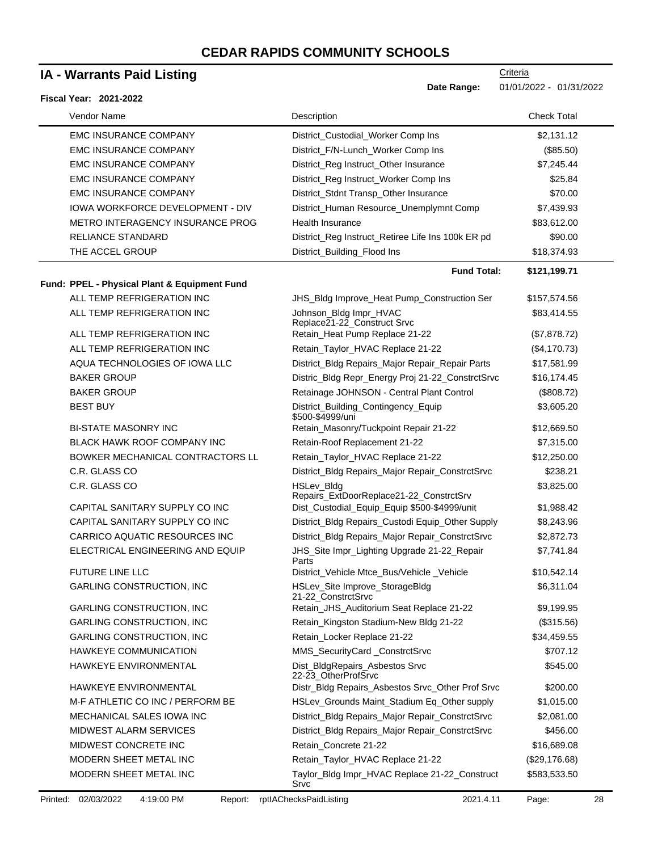# **IA - Warrants Paid Listing**

| <b>IA - Warrants Paid Listing</b>            |                                                         | Criteria                |
|----------------------------------------------|---------------------------------------------------------|-------------------------|
|                                              | Date Range:                                             | 01/01/2022 - 01/31/2022 |
| Fiscal Year: 2021-2022                       |                                                         |                         |
| Vendor Name                                  | Description                                             | <b>Check Total</b>      |
| <b>EMC INSURANCE COMPANY</b>                 | District_Custodial_Worker Comp Ins                      | \$2,131.12              |
| <b>EMC INSURANCE COMPANY</b>                 | District_F/N-Lunch_Worker Comp Ins                      | (\$85.50)               |
| <b>EMC INSURANCE COMPANY</b>                 | District_Reg Instruct_Other Insurance                   | \$7,245.44              |
| <b>EMC INSURANCE COMPANY</b>                 | District_Reg Instruct_Worker Comp Ins                   | \$25.84                 |
| <b>EMC INSURANCE COMPANY</b>                 | District_Stdnt Transp_Other Insurance                   | \$70.00                 |
| <b>IOWA WORKFORCE DEVELOPMENT - DIV</b>      | District_Human Resource_Unemplymnt Comp                 | \$7,439.93              |
| METRO INTERAGENCY INSURANCE PROG             | Health Insurance                                        | \$83,612.00             |
| <b>RELIANCE STANDARD</b>                     | District_Reg Instruct_Retiree Life Ins 100k ER pd       | \$90.00                 |
| THE ACCEL GROUP                              | District_Building_Flood Ins                             | \$18,374.93             |
|                                              | <b>Fund Total:</b>                                      | \$121,199.71            |
| Fund: PPEL - Physical Plant & Equipment Fund |                                                         |                         |
| ALL TEMP REFRIGERATION INC                   | JHS_Bldg Improve_Heat Pump_Construction Ser             | \$157,574.56            |
| ALL TEMP REFRIGERATION INC                   | Johnson_Bldg Impr_HVAC                                  | \$83,414.55             |
|                                              | Replace21-22_Construct Srvc                             |                         |
| ALL TEMP REFRIGERATION INC                   | Retain_Heat Pump Replace 21-22                          | (\$7,878.72)            |
| ALL TEMP REFRIGERATION INC                   | Retain_Taylor_HVAC Replace 21-22                        | (\$4,170.73)            |
| AQUA TECHNOLOGIES OF IOWA LLC                | District_Bldg Repairs_Major Repair_Repair Parts         | \$17,581.99             |
| <b>BAKER GROUP</b>                           | Distric_Bldg Repr_Energy Proj 21-22_ConstrctSrvc        | \$16,174.45             |
| <b>BAKER GROUP</b>                           | Retainage JOHNSON - Central Plant Control               | (\$808.72)              |
| <b>BEST BUY</b>                              | District_Building_Contingency_Equip<br>\$500-\$4999/uni | \$3,605.20              |
| <b>BI-STATE MASONRY INC</b>                  | Retain_Masonry/Tuckpoint Repair 21-22                   | \$12,669.50             |
| <b>BLACK HAWK ROOF COMPANY INC</b>           | Retain-Roof Replacement 21-22                           | \$7,315.00              |
| BOWKER MECHANICAL CONTRACTORS LL             | Retain_Taylor_HVAC Replace 21-22                        | \$12,250.00             |
| C.R. GLASS CO                                | District_Bldg Repairs_Major Repair_ConstrctSrvc         | \$238.21                |
| C.R. GLASS CO                                | HSLev_Bldg<br>Repairs_ExtDoorReplace21-22_ConstrctSrv   | \$3,825.00              |
| CAPITAL SANITARY SUPPLY CO INC               | Dist_Custodial_Equip_Equip \$500-\$4999/unit            | \$1,988.42              |
| CAPITAL SANITARY SUPPLY CO INC               | District_Bldg Repairs_Custodi Equip_Other Supply        | \$8,243.96              |
| CARRICO AQUATIC RESOURCES INC                | District_Bldg Repairs_Major Repair_ConstrctSrvc         | \$2,872.73              |
| ELECTRICAL ENGINEERING AND EQUIP             | JHS_Site Impr_Lighting Upgrade 21-22_Repair<br>Parts    | \$7,741.84              |
| <b>FUTURE LINE LLC</b>                       | District_Vehicle Mtce_Bus/Vehicle _Vehicle              | \$10,542.14             |
| <b>GARLING CONSTRUCTION, INC</b>             | HSLev_Site Improve_StorageBldg<br>21-22 ConstrctSrvc    | \$6,311.04              |
| <b>GARLING CONSTRUCTION, INC</b>             | Retain_JHS_Auditorium Seat Replace 21-22                | \$9,199.95              |
| <b>GARLING CONSTRUCTION, INC</b>             | Retain_Kingston Stadium-New Bldg 21-22                  | (\$315.56)              |
| <b>GARLING CONSTRUCTION, INC</b>             | Retain_Locker Replace 21-22                             | \$34,459.55             |
| HAWKEYE COMMUNICATION                        | MMS_SecurityCard_ConstrctSrvc                           | \$707.12                |
| HAWKEYE ENVIRONMENTAL                        | Dist_BldgRepairs_Asbestos Srvc<br>22-23_OtherProfSrvc   | \$545.00                |
| HAWKEYE ENVIRONMENTAL                        | Distr_Bldg Repairs_Asbestos Srvc_Other Prof Srvc        | \$200.00                |
| M-F ATHLETIC CO INC / PERFORM BE             | HSLev_Grounds Maint_Stadium Eq_Other supply             | \$1,015.00              |
| MECHANICAL SALES IOWA INC                    | District_Bldg Repairs_Major Repair_ConstrctSrvc         | \$2,081.00              |
| <b>MIDWEST ALARM SERVICES</b>                | District_Bldg Repairs_Major Repair_ConstrctSrvc         | \$456.00                |
| MIDWEST CONCRETE INC                         | Retain_Concrete 21-22                                   | \$16,689.08             |
| MODERN SHEET METAL INC                       | Retain_Taylor_HVAC Replace 21-22                        | (\$29,176.68)           |
| MODERN SHEET METAL INC                       | Taylor_Bldg Impr_HVAC Replace 21-22_Construct<br>Srvc   | \$583,533.50            |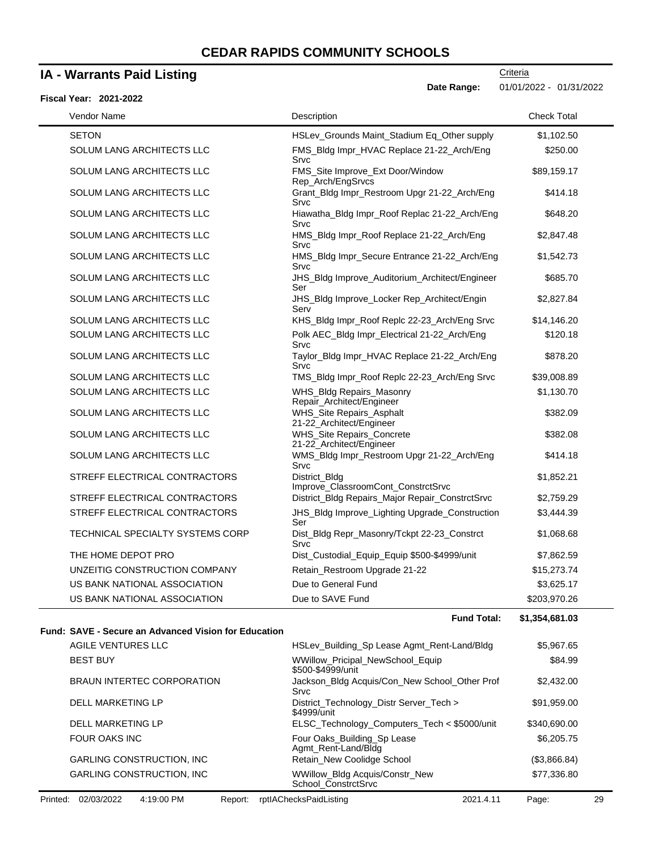# **IA - Warrants Paid Listing**

**Criteria Date Range:** 01/01/2022 - 01/31/2022

| Fiscal Year: 2021-2022           |                                                       |                    |
|----------------------------------|-------------------------------------------------------|--------------------|
| Vendor Name                      | Description                                           | <b>Check Total</b> |
| <b>SETON</b>                     | HSLev_Grounds Maint_Stadium Eq_Other supply           | \$1,102.50         |
| SOLUM LANG ARCHITECTS LLC        | FMS_Bldg Impr_HVAC Replace 21-22_Arch/Eng<br>Srvc     | \$250.00           |
| SOLUM LANG ARCHITECTS LLC        | FMS_Site Improve_Ext Door/Window<br>Rep_Arch/EngSrvcs | \$89,159.17        |
| SOLUM LANG ARCHITECTS LLC        | Grant_Bldg Impr_Restroom Upgr 21-22_Arch/Eng<br>Srvc  | \$414.18           |
| SOLUM LANG ARCHITECTS LLC        | Hiawatha_Bldg Impr_Roof Replac 21-22_Arch/Eng<br>Srvc | \$648.20           |
| SOLUM LANG ARCHITECTS LLC        | HMS_Bldg Impr_Roof Replace 21-22_Arch/Eng<br>Srvc     | \$2,847.48         |
| SOLUM LANG ARCHITECTS LLC        | HMS_Bldg Impr_Secure Entrance 21-22_Arch/Eng<br>Srvc  | \$1,542.73         |
| SOLUM LANG ARCHITECTS LLC        | JHS_Bldg Improve_Auditorium_Architect/Engineer<br>Ser | \$685.70           |
| SOLUM LANG ARCHITECTS LLC        | JHS_Bldg Improve_Locker Rep_Architect/Engin<br>Serv   | \$2,827.84         |
| SOLUM LANG ARCHITECTS LLC        | KHS_Bldg Impr_Roof Replc 22-23_Arch/Eng Srvc          | \$14,146.20        |
| SOLUM LANG ARCHITECTS LLC        | Polk AEC_Bldg Impr_Electrical 21-22_Arch/Eng<br>Srvc  | \$120.18           |
| SOLUM LANG ARCHITECTS LLC        | Taylor_Bldg Impr_HVAC Replace 21-22_Arch/Eng<br>Srvc  | \$878.20           |
| SOLUM LANG ARCHITECTS LLC        | TMS_Bldg Impr_Roof Replc 22-23_Arch/Eng Srvc          | \$39,008.89        |
| SOLUM LANG ARCHITECTS LLC        | WHS_Bldg Repairs_Masonry<br>Repair_Architect/Engineer | \$1,130.70         |
| SOLUM LANG ARCHITECTS LLC        | WHS_Site Repairs_Asphalt<br>21-22_Architect/Engineer  | \$382.09           |
| <b>SOLUM LANG ARCHITECTS LLC</b> | WHS_Site Repairs_Concrete<br>21-22_Architect/Engineer | \$382.08           |
| SOLUM LANG ARCHITECTS LLC        | WMS_Bldg Impr_Restroom Upgr 21-22_Arch/Eng<br>Srvc    | \$414.18           |
| STREFF ELECTRICAL CONTRACTORS    | District_Bldg<br>Improve_ClassroomCont_ConstrctSrvc   | \$1,852.21         |
| STREFF ELECTRICAL CONTRACTORS    | District_Bldg Repairs_Major Repair_ConstrctSrvc       | \$2,759.29         |
| STREFF ELECTRICAL CONTRACTORS    | JHS_Bldg Improve_Lighting Upgrade_Construction<br>Ser | \$3,444.39         |
| TECHNICAL SPECIALTY SYSTEMS CORP | Dist_Bldg Repr_Masonry/Tckpt 22-23_Constrct<br>Srvc   | \$1,068.68         |
| THE HOME DEPOT PRO               | Dist_Custodial_Equip_Equip \$500-\$4999/unit          | \$7,862.59         |
| UNZEITIG CONSTRUCTION COMPANY    | Retain_Restroom Upgrade 21-22                         | \$15,273.74        |
| US BANK NATIONAL ASSOCIATION     | Due to General Fund                                   | \$3,625.17         |
| US BANK NATIONAL ASSOCIATION     | Due to SAVE Fund                                      | \$203,970.26       |

**Fund Total: \$1,354,681.03**

|          | Fund: SAVE - Secure an Advanced Vision for Education |         |                                                              |           |              |    |
|----------|------------------------------------------------------|---------|--------------------------------------------------------------|-----------|--------------|----|
|          | AGILE VENTURES LLC                                   |         | HSLev Building Sp Lease Agmt Rent-Land/Bldg                  |           | \$5,967.65   |    |
|          | <b>BEST BUY</b>                                      |         | <b>WWillow Pricipal NewSchool Equip</b><br>\$500-\$4999/unit |           | \$84.99      |    |
|          | BRAUN INTERTEC CORPORATION                           |         | Jackson Bldg Acquis/Con New School Other Prof<br>Srvc        |           | \$2,432.00   |    |
|          | DELL MARKETING LP                                    |         | District_Technology_Distr Server_Tech ><br>\$4999/unit       |           | \$91,959.00  |    |
|          | <b>DELL MARKETING LP</b>                             |         | ELSC_Technology_Computers_Tech < \$5000/unit                 |           | \$340,690.00 |    |
|          | FOUR OAKS INC                                        |         | Four Oaks_Building_Sp Lease<br>Agmt Rent-Land/Bldg           |           | \$6,205.75   |    |
|          | <b>GARLING CONSTRUCTION, INC.</b>                    |         | Retain_New Coolidge School                                   |           | (\$3,866.84) |    |
|          | <b>GARLING CONSTRUCTION, INC.</b>                    |         | WWillow_Bldg Acquis/Constr_New<br>School ConstrctSrvc        |           | \$77,336.80  |    |
| Printed: | 02/03/2022<br>4:19:00 PM                             | Report: | rptlAChecksPaidListing                                       | 2021.4.11 | Page:        | 29 |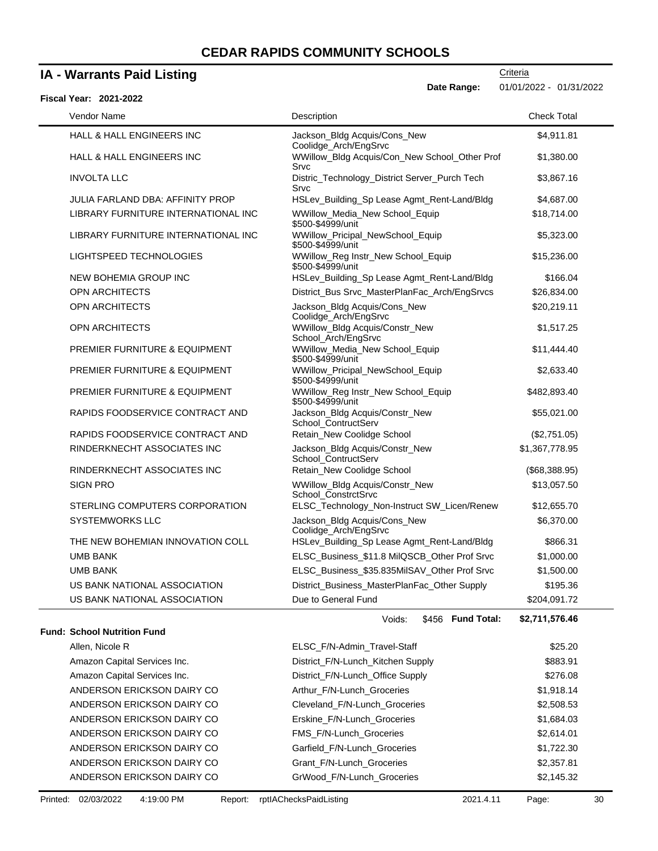# **IA - Warrants Paid Listing**

| <b>Fiscal Year: 2021-2022</b>            | Date Range:                                             | 01/01/2022 - 01/31/2022 |
|------------------------------------------|---------------------------------------------------------|-------------------------|
| Vendor Name                              | Description                                             | <b>Check Total</b>      |
| <b>HALL &amp; HALL ENGINEERS INC</b>     | Jackson_Bldg Acquis/Cons_New<br>Coolidge_Arch/EngSrvc   | \$4,911.81              |
| <b>HALL &amp; HALL ENGINEERS INC</b>     | WWillow_Bldg Acquis/Con_New School_Other Prof<br>Srvc   | \$1,380.00              |
| <b>INVOLTA LLC</b>                       | Distric_Technology_District Server_Purch Tech<br>Srvc   | \$3,867.16              |
| JULIA FARLAND DBA: AFFINITY PROP         | HSLev_Building_Sp Lease Agmt_Rent-Land/Bldg             | \$4,687.00              |
| LIBRARY FURNITURE INTERNATIONAL INC      | WWillow_Media_New School_Equip<br>\$500-\$4999/unit     | \$18,714.00             |
| LIBRARY FURNITURE INTERNATIONAL INC      | WWillow_Pricipal_NewSchool_Equip<br>\$500-\$4999/unit   | \$5,323.00              |
| LIGHTSPEED TECHNOLOGIES                  | WWillow_Reg Instr_New School_Equip<br>\$500-\$4999/unit | \$15,236.00             |
| <b>NEW BOHEMIA GROUP INC</b>             | HSLev_Building_Sp Lease Agmt_Rent-Land/Bldg             | \$166.04                |
| <b>OPN ARCHITECTS</b>                    | District_Bus Srvc_MasterPlanFac_Arch/EngSrvcs           | \$26,834.00             |
| <b>OPN ARCHITECTS</b>                    | Jackson_Bldg Acquis/Cons_New<br>Coolidge_Arch/EngSrvc   | \$20,219.11             |
| <b>OPN ARCHITECTS</b>                    | WWillow_Bldg Acquis/Constr_New<br>School_Arch/EngSrvc   | \$1,517.25              |
| <b>PREMIER FURNITURE &amp; EQUIPMENT</b> | WWillow_Media_New School_Equip<br>\$500-\$4999/unit     | \$11,444.40             |
| <b>PREMIER FURNITURE &amp; EQUIPMENT</b> | WWillow_Pricipal_NewSchool_Equip<br>\$500-\$4999/unit   | \$2,633.40              |
| <b>PREMIER FURNITURE &amp; EQUIPMENT</b> | WWillow_Reg Instr_New School_Equip<br>\$500-\$4999/unit | \$482,893.40            |
| RAPIDS FOODSERVICE CONTRACT AND          | Jackson_Bldg Acquis/Constr_New<br>School_ContructServ   | \$55,021.00             |
| RAPIDS FOODSERVICE CONTRACT AND          | Retain_New Coolidge School                              | (\$2,751.05)            |
| RINDERKNECHT ASSOCIATES INC              | Jackson_Bldg Acquis/Constr_New<br>School_ContructServ   | \$1,367,778.95          |
| RINDERKNECHT ASSOCIATES INC              | Retain New Coolidge School                              | (\$68,388.95)           |
| <b>SIGN PRO</b>                          | WWillow_Bldg Acquis/Constr_New<br>School_ConstrctSrvc   | \$13,057.50             |
| STERLING COMPUTERS CORPORATION           | ELSC_Technology_Non-Instruct SW_Licen/Renew             | \$12,655.70             |
| <b>SYSTEMWORKS LLC</b>                   | Jackson_Bldg Acquis/Cons_New<br>Coolidge_Arch/EngSrvc   | \$6,370.00              |
| THE NEW BOHEMIAN INNOVATION COLL         | HSLev_Building_Sp Lease Agmt_Rent-Land/Bldg             | \$866.31                |
| <b>UMB BANK</b>                          | ELSC_Business_\$11.8 MilQSCB_Other Prof Srvc            | \$1,000.00              |
| <b>UMB BANK</b>                          | ELSC_Business_\$35.835MilSAV_Other Prof Srvc            | \$1,500.00              |
| US BANK NATIONAL ASSOCIATION             | District_Business_MasterPlanFac_Other Supply            | \$195.36                |
| US BANK NATIONAL ASSOCIATION             | Due to General Fund                                     | \$204,091.72            |
|                                          | <b>CA56 Eund Total:</b><br><i>Noide</i>                 | <b>CO 711 576 AG</b>    |

### **Fund: School Nutrition Fund**

Voids: \$456

**Fund Total: \$2,711,576.46**

| Allen, Nicole R              | ELSC_F/N-Admin_Travel-Staff       | \$25.20    |
|------------------------------|-----------------------------------|------------|
| Amazon Capital Services Inc. | District_F/N-Lunch_Kitchen Supply | \$883.91   |
| Amazon Capital Services Inc. | District_F/N-Lunch_Office Supply  | \$276.08   |
| ANDERSON ERICKSON DAIRY CO   | Arthur F/N-Lunch Groceries        | \$1,918.14 |
| ANDERSON ERICKSON DAIRY CO   | Cleveland F/N-Lunch Groceries     | \$2,508.53 |
| ANDERSON ERICKSON DAIRY CO   | Erskine F/N-Lunch Groceries       | \$1,684.03 |
| ANDERSON ERICKSON DAIRY CO   | <b>FMS F/N-Lunch Groceries</b>    | \$2,614.01 |
| ANDERSON ERICKSON DAIRY CO   | Garfield_F/N-Lunch_Groceries      | \$1,722.30 |
| ANDERSON ERICKSON DAIRY CO   | Grant F/N-Lunch Groceries         | \$2,357.81 |
| ANDERSON ERICKSON DAIRY CO   | GrWood F/N-Lunch Groceries        | \$2,145.32 |
|                              |                                   |            |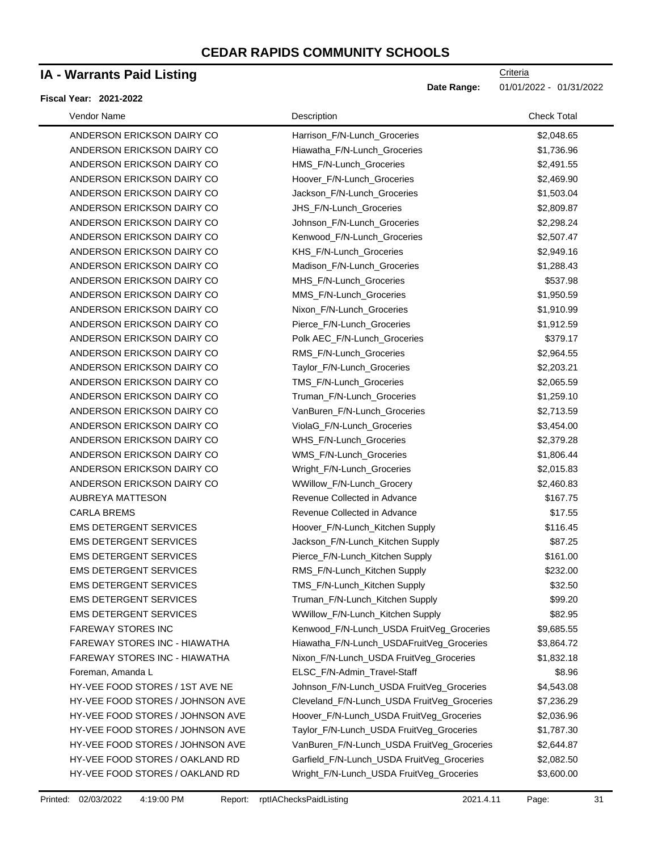### **IA - Warrants Paid Listing**

#### **Fiscal Year: 2021-2022**

| Vendor Name                      | Description                                 | <b>Check Total</b> |
|----------------------------------|---------------------------------------------|--------------------|
| ANDERSON ERICKSON DAIRY CO       | Harrison_F/N-Lunch_Groceries                | \$2,048.65         |
| ANDERSON ERICKSON DAIRY CO       | Hiawatha_F/N-Lunch_Groceries                | \$1,736.96         |
| ANDERSON ERICKSON DAIRY CO       | HMS F/N-Lunch Groceries                     | \$2,491.55         |
| ANDERSON ERICKSON DAIRY CO       | Hoover_F/N-Lunch_Groceries                  | \$2,469.90         |
| ANDERSON ERICKSON DAIRY CO       | Jackson_F/N-Lunch_Groceries                 | \$1,503.04         |
| ANDERSON ERICKSON DAIRY CO       | JHS_F/N-Lunch_Groceries                     | \$2,809.87         |
| ANDERSON ERICKSON DAIRY CO       | Johnson_F/N-Lunch_Groceries                 | \$2,298.24         |
| ANDERSON ERICKSON DAIRY CO       | Kenwood_F/N-Lunch_Groceries                 | \$2,507.47         |
| ANDERSON ERICKSON DAIRY CO       | KHS_F/N-Lunch_Groceries                     | \$2,949.16         |
| ANDERSON ERICKSON DAIRY CO       | Madison_F/N-Lunch_Groceries                 | \$1,288.43         |
| ANDERSON ERICKSON DAIRY CO       | MHS_F/N-Lunch_Groceries                     | \$537.98           |
| ANDERSON ERICKSON DAIRY CO       | MMS_F/N-Lunch_Groceries                     | \$1,950.59         |
| ANDERSON ERICKSON DAIRY CO       | Nixon_F/N-Lunch_Groceries                   | \$1,910.99         |
| ANDERSON ERICKSON DAIRY CO       | Pierce_F/N-Lunch_Groceries                  | \$1,912.59         |
| ANDERSON ERICKSON DAIRY CO       | Polk AEC_F/N-Lunch_Groceries                | \$379.17           |
| ANDERSON ERICKSON DAIRY CO       | RMS_F/N-Lunch_Groceries                     | \$2,964.55         |
| ANDERSON ERICKSON DAIRY CO       | Taylor_F/N-Lunch_Groceries                  | \$2,203.21         |
| ANDERSON ERICKSON DAIRY CO       | TMS_F/N-Lunch_Groceries                     | \$2,065.59         |
| ANDERSON ERICKSON DAIRY CO       | Truman F/N-Lunch Groceries                  | \$1,259.10         |
| ANDERSON ERICKSON DAIRY CO       | VanBuren_F/N-Lunch_Groceries                | \$2,713.59         |
| ANDERSON ERICKSON DAIRY CO       | ViolaG_F/N-Lunch_Groceries                  | \$3,454.00         |
| ANDERSON ERICKSON DAIRY CO       | WHS_F/N-Lunch_Groceries                     | \$2,379.28         |
| ANDERSON ERICKSON DAIRY CO       | WMS_F/N-Lunch_Groceries                     | \$1,806.44         |
| ANDERSON ERICKSON DAIRY CO       | Wright_F/N-Lunch_Groceries                  | \$2,015.83         |
| ANDERSON ERICKSON DAIRY CO       | WWillow_F/N-Lunch_Grocery                   | \$2,460.83         |
| AUBREYA MATTESON                 | Revenue Collected in Advance                | \$167.75           |
| <b>CARLA BREMS</b>               | Revenue Collected in Advance                | \$17.55            |
| <b>EMS DETERGENT SERVICES</b>    | Hoover_F/N-Lunch_Kitchen Supply             | \$116.45           |
| <b>EMS DETERGENT SERVICES</b>    | Jackson_F/N-Lunch_Kitchen Supply            | \$87.25            |
| <b>EMS DETERGENT SERVICES</b>    | Pierce_F/N-Lunch_Kitchen Supply             | \$161.00           |
| <b>EMS DETERGENT SERVICES</b>    | RMS_F/N-Lunch_Kitchen Supply                | \$232.00           |
| <b>EMS DETERGENT SERVICES</b>    | TMS F/N-Lunch Kitchen Supply                | \$32.50            |
| <b>EMS DETERGENT SERVICES</b>    | Truman_F/N-Lunch_Kitchen Supply             | \$99.20            |
| <b>EMS DETERGENT SERVICES</b>    | WWillow_F/N-Lunch_Kitchen Supply            | \$82.95            |
| <b>FAREWAY STORES INC</b>        | Kenwood_F/N-Lunch_USDA FruitVeg_Groceries   | \$9,685.55         |
| FAREWAY STORES INC - HIAWATHA    | Hiawatha_F/N-Lunch_USDAFruitVeg_Groceries   | \$3,864.72         |
| FAREWAY STORES INC - HIAWATHA    | Nixon_F/N-Lunch_USDA FruitVeg_Groceries     | \$1,832.18         |
| Foreman, Amanda L                | ELSC_F/N-Admin_Travel-Staff                 | \$8.96             |
| HY-VEE FOOD STORES / 1ST AVE NE  | Johnson_F/N-Lunch_USDA FruitVeg_Groceries   | \$4,543.08         |
| HY-VEE FOOD STORES / JOHNSON AVE | Cleveland_F/N-Lunch_USDA FruitVeg_Groceries | \$7,236.29         |
| HY-VEE FOOD STORES / JOHNSON AVE | Hoover_F/N-Lunch_USDA FruitVeg_Groceries    | \$2,036.96         |
| HY-VEE FOOD STORES / JOHNSON AVE | Taylor_F/N-Lunch_USDA FruitVeg_Groceries    | \$1,787.30         |
| HY-VEE FOOD STORES / JOHNSON AVE | VanBuren_F/N-Lunch_USDA FruitVeg_Groceries  | \$2,644.87         |
| HY-VEE FOOD STORES / OAKLAND RD  | Garfield_F/N-Lunch_USDA FruitVeg_Groceries  | \$2,082.50         |
| HY-VEE FOOD STORES / OAKLAND RD  | Wright_F/N-Lunch_USDA FruitVeg_Groceries    | \$3,600.00         |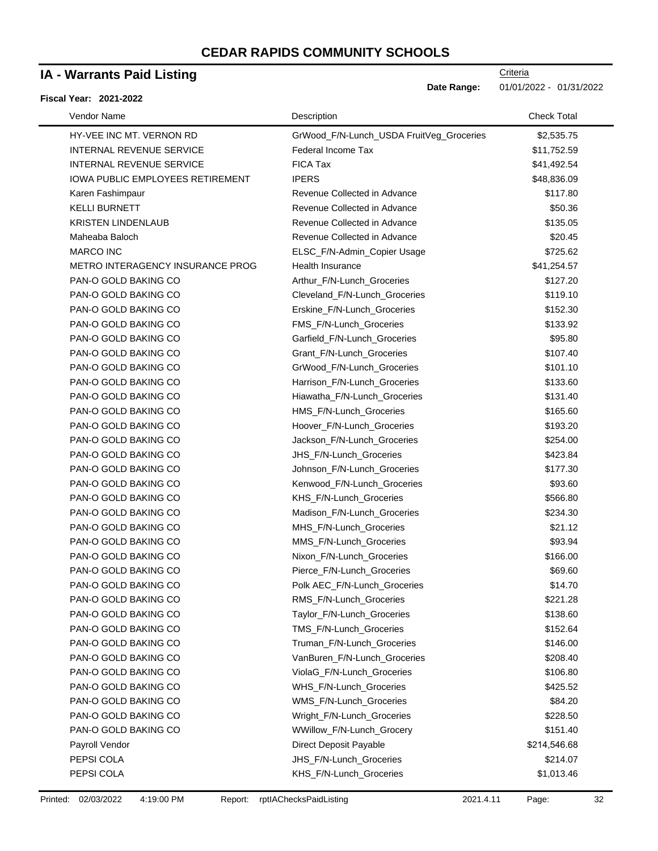### **IA - Warrants Paid Listing**

#### **Fiscal Year: 2021-2022**

Date Range: 01/01/2022 - 01/31/2022

| Vendor Name                             | Description                              | <b>Check Total</b> |
|-----------------------------------------|------------------------------------------|--------------------|
| HY-VEE INC MT. VERNON RD                | GrWood_F/N-Lunch_USDA FruitVeg_Groceries | \$2,535.75         |
| <b>INTERNAL REVENUE SERVICE</b>         | Federal Income Tax                       | \$11,752.59        |
| <b>INTERNAL REVENUE SERVICE</b>         | <b>FICA Tax</b>                          | \$41,492.54        |
| <b>IOWA PUBLIC EMPLOYEES RETIREMENT</b> | <b>IPERS</b>                             | \$48,836.09        |
| Karen Fashimpaur                        | Revenue Collected in Advance             | \$117.80           |
| <b>KELLI BURNETT</b>                    | Revenue Collected in Advance             | \$50.36            |
| <b>KRISTEN LINDENLAUB</b>               | Revenue Collected in Advance             | \$135.05           |
| Maheaba Baloch                          | Revenue Collected in Advance             | \$20.45            |
| <b>MARCO INC</b>                        | ELSC_F/N-Admin_Copier Usage              | \$725.62           |
| METRO INTERAGENCY INSURANCE PROG        | Health Insurance                         | \$41,254.57        |
| PAN-O GOLD BAKING CO                    | Arthur_F/N-Lunch_Groceries               | \$127.20           |
| PAN-O GOLD BAKING CO                    | Cleveland_F/N-Lunch_Groceries            | \$119.10           |
| PAN-O GOLD BAKING CO                    | Erskine_F/N-Lunch_Groceries              | \$152.30           |
| PAN-O GOLD BAKING CO                    | FMS_F/N-Lunch_Groceries                  | \$133.92           |
| PAN-O GOLD BAKING CO                    | Garfield_F/N-Lunch_Groceries             | \$95.80            |
| PAN-O GOLD BAKING CO                    | Grant_F/N-Lunch_Groceries                | \$107.40           |
| PAN-O GOLD BAKING CO                    | GrWood_F/N-Lunch_Groceries               | \$101.10           |
| PAN-O GOLD BAKING CO                    | Harrison_F/N-Lunch_Groceries             | \$133.60           |
| PAN-O GOLD BAKING CO                    | Hiawatha_F/N-Lunch_Groceries             | \$131.40           |
| PAN-O GOLD BAKING CO                    | HMS_F/N-Lunch_Groceries                  | \$165.60           |
| PAN-O GOLD BAKING CO                    | Hoover_F/N-Lunch_Groceries               | \$193.20           |
| PAN-O GOLD BAKING CO                    | Jackson_F/N-Lunch_Groceries              | \$254.00           |
| PAN-O GOLD BAKING CO                    | JHS_F/N-Lunch_Groceries                  | \$423.84           |
| PAN-O GOLD BAKING CO                    | Johnson_F/N-Lunch_Groceries              | \$177.30           |
| PAN-O GOLD BAKING CO                    | Kenwood_F/N-Lunch_Groceries              | \$93.60            |
| PAN-O GOLD BAKING CO                    | KHS_F/N-Lunch_Groceries                  | \$566.80           |
| PAN-O GOLD BAKING CO                    | Madison_F/N-Lunch_Groceries              | \$234.30           |
| PAN-O GOLD BAKING CO                    | MHS_F/N-Lunch_Groceries                  | \$21.12            |
| PAN-O GOLD BAKING CO                    | MMS_F/N-Lunch_Groceries                  | \$93.94            |
| PAN-O GOLD BAKING CO                    | Nixon_F/N-Lunch_Groceries                | \$166.00           |
| PAN-O GOLD BAKING CO                    | Pierce_F/N-Lunch_Groceries               | \$69.60            |
| PAN-O GOLD BAKING CO                    | Polk AEC_F/N-Lunch_Groceries             | \$14.70            |
| PAN-O GOLD BAKING CO                    | RMS_F/N-Lunch_Groceries                  | \$221.28           |
| PAN-O GOLD BAKING CO                    | Taylor_F/N-Lunch_Groceries               | \$138.60           |
| PAN-O GOLD BAKING CO                    | TMS_F/N-Lunch_Groceries                  | \$152.64           |
| PAN-O GOLD BAKING CO                    | Truman_F/N-Lunch_Groceries               | \$146.00           |
| PAN-O GOLD BAKING CO                    | VanBuren_F/N-Lunch_Groceries             | \$208.40           |
| PAN-O GOLD BAKING CO                    | ViolaG_F/N-Lunch_Groceries               | \$106.80           |
| PAN-O GOLD BAKING CO                    | WHS_F/N-Lunch_Groceries                  | \$425.52           |
| PAN-O GOLD BAKING CO                    | WMS_F/N-Lunch_Groceries                  | \$84.20            |
| PAN-O GOLD BAKING CO                    | Wright_F/N-Lunch_Groceries               | \$228.50           |
| PAN-O GOLD BAKING CO                    | WWillow_F/N-Lunch_Grocery                | \$151.40           |
| Payroll Vendor                          | Direct Deposit Payable                   | \$214,546.68       |
| PEPSI COLA                              | JHS_F/N-Lunch_Groceries                  | \$214.07           |
| PEPSI COLA                              | KHS_F/N-Lunch_Groceries                  | \$1,013.46         |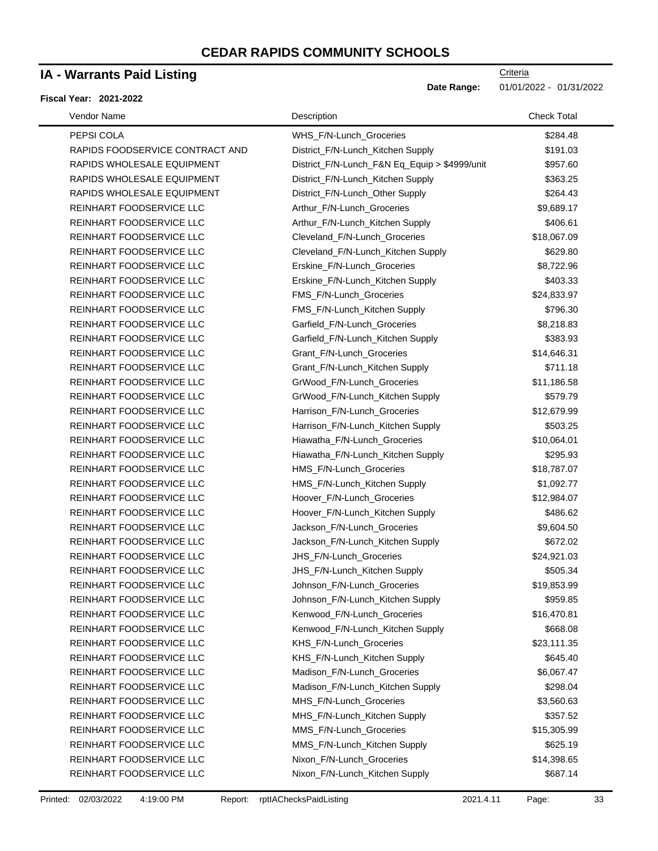### **IA - Warrants Paid Listing**

#### **Fiscal Year: 2021-2022**

| Vendor Name                     | Description                                   | <b>Check Total</b> |
|---------------------------------|-----------------------------------------------|--------------------|
| PEPSI COLA                      | WHS_F/N-Lunch_Groceries                       | \$284.48           |
| RAPIDS FOODSERVICE CONTRACT AND | District_F/N-Lunch_Kitchen Supply             | \$191.03           |
| RAPIDS WHOLESALE EQUIPMENT      | District_F/N-Lunch_F&N Eq_Equip > \$4999/unit | \$957.60           |
| RAPIDS WHOLESALE EQUIPMENT      | District_F/N-Lunch_Kitchen Supply             | \$363.25           |
| RAPIDS WHOLESALE EQUIPMENT      | District_F/N-Lunch_Other Supply               | \$264.43           |
| REINHART FOODSERVICE LLC        | Arthur_F/N-Lunch_Groceries                    | \$9,689.17         |
| REINHART FOODSERVICE LLC        | Arthur_F/N-Lunch_Kitchen Supply               | \$406.61           |
| REINHART FOODSERVICE LLC        | Cleveland_F/N-Lunch_Groceries                 | \$18,067.09        |
| REINHART FOODSERVICE LLC        | Cleveland_F/N-Lunch_Kitchen Supply            | \$629.80           |
| REINHART FOODSERVICE LLC        | Erskine_F/N-Lunch_Groceries                   | \$8,722.96         |
| REINHART FOODSERVICE LLC        | Erskine_F/N-Lunch_Kitchen Supply              | \$403.33           |
| REINHART FOODSERVICE LLC        | FMS_F/N-Lunch_Groceries                       | \$24,833.97        |
| REINHART FOODSERVICE LLC        | FMS_F/N-Lunch_Kitchen Supply                  | \$796.30           |
| REINHART FOODSERVICE LLC        | Garfield_F/N-Lunch_Groceries                  | \$8,218.83         |
| REINHART FOODSERVICE LLC        | Garfield_F/N-Lunch_Kitchen Supply             | \$383.93           |
| REINHART FOODSERVICE LLC        | Grant_F/N-Lunch_Groceries                     | \$14,646.31        |
| REINHART FOODSERVICE LLC        | Grant_F/N-Lunch_Kitchen Supply                | \$711.18           |
| REINHART FOODSERVICE LLC        | GrWood_F/N-Lunch_Groceries                    | \$11,186.58        |
| REINHART FOODSERVICE LLC        | GrWood_F/N-Lunch_Kitchen Supply               | \$579.79           |
| REINHART FOODSERVICE LLC        | Harrison_F/N-Lunch_Groceries                  | \$12,679.99        |
| REINHART FOODSERVICE LLC        | Harrison_F/N-Lunch_Kitchen Supply             | \$503.25           |
| REINHART FOODSERVICE LLC        | Hiawatha_F/N-Lunch_Groceries                  | \$10,064.01        |
| REINHART FOODSERVICE LLC        | Hiawatha_F/N-Lunch_Kitchen Supply             | \$295.93           |
| REINHART FOODSERVICE LLC        | HMS_F/N-Lunch_Groceries                       | \$18,787.07        |
| REINHART FOODSERVICE LLC        | HMS_F/N-Lunch_Kitchen Supply                  | \$1,092.77         |
| REINHART FOODSERVICE LLC        | Hoover_F/N-Lunch_Groceries                    | \$12,984.07        |
| REINHART FOODSERVICE LLC        | Hoover_F/N-Lunch_Kitchen Supply               | \$486.62           |
| REINHART FOODSERVICE LLC        | Jackson F/N-Lunch Groceries                   | \$9,604.50         |
| REINHART FOODSERVICE LLC        | Jackson_F/N-Lunch_Kitchen Supply              | \$672.02           |
| REINHART FOODSERVICE LLC        | JHS_F/N-Lunch_Groceries                       | \$24,921.03        |
| REINHART FOODSERVICE LLC        | JHS_F/N-Lunch_Kitchen Supply                  | \$505.34           |
| REINHART FOODSERVICE LLC        | Johnson_F/N-Lunch_Groceries                   | \$19,853.99        |
| REINHART FOODSERVICE LLC        | Johnson_F/N-Lunch_Kitchen Supply              | \$959.85           |
| REINHART FOODSERVICE LLC        | Kenwood_F/N-Lunch_Groceries                   | \$16,470.81        |
| REINHART FOODSERVICE LLC        | Kenwood_F/N-Lunch_Kitchen Supply              | \$668.08           |
| REINHART FOODSERVICE LLC        | KHS_F/N-Lunch_Groceries                       | \$23,111.35        |
| REINHART FOODSERVICE LLC        | KHS_F/N-Lunch_Kitchen Supply                  | \$645.40           |
| REINHART FOODSERVICE LLC        | Madison_F/N-Lunch_Groceries                   | \$6,067.47         |
| REINHART FOODSERVICE LLC        | Madison_F/N-Lunch_Kitchen Supply              | \$298.04           |
| REINHART FOODSERVICE LLC        | MHS F/N-Lunch Groceries                       | \$3,560.63         |
| REINHART FOODSERVICE LLC        | MHS_F/N-Lunch_Kitchen Supply                  | \$357.52           |
| REINHART FOODSERVICE LLC        | MMS_F/N-Lunch_Groceries                       | \$15,305.99        |
| REINHART FOODSERVICE LLC        | MMS_F/N-Lunch_Kitchen Supply                  | \$625.19           |
| REINHART FOODSERVICE LLC        | Nixon_F/N-Lunch_Groceries                     | \$14,398.65        |
| REINHART FOODSERVICE LLC        | Nixon_F/N-Lunch_Kitchen Supply                | \$687.14           |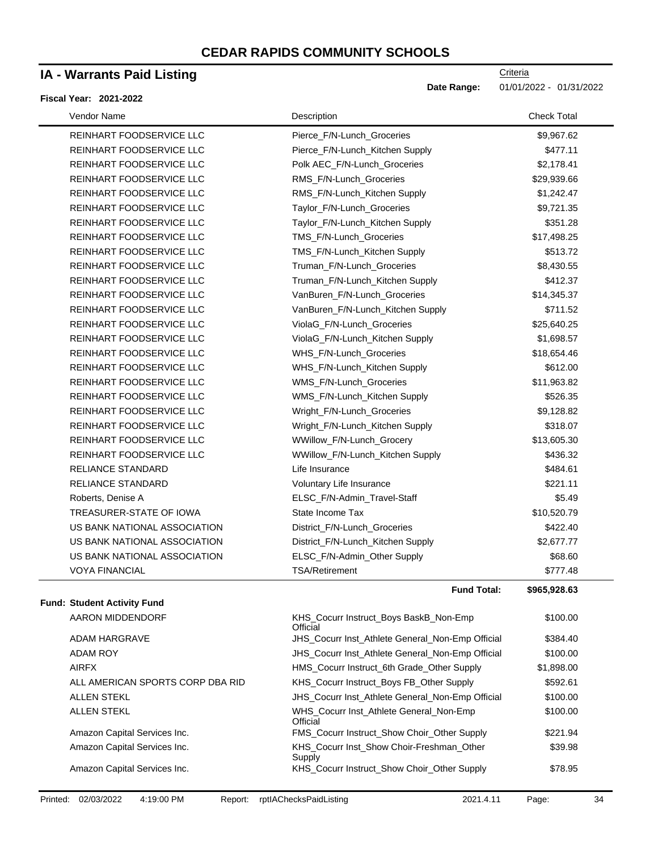### **IA - Warrants Paid Listing**

#### **Fiscal Year: 2021-2022**

| Vendor Name                                            | Description                                        | <b>Check Total</b> |
|--------------------------------------------------------|----------------------------------------------------|--------------------|
| REINHART FOODSERVICE LLC                               | Pierce_F/N-Lunch_Groceries                         | \$9,967.62         |
| REINHART FOODSERVICE LLC                               | Pierce_F/N-Lunch_Kitchen Supply                    | \$477.11           |
| REINHART FOODSERVICE LLC                               | Polk AEC_F/N-Lunch_Groceries                       | \$2,178.41         |
| REINHART FOODSERVICE LLC                               | RMS_F/N-Lunch_Groceries                            | \$29,939.66        |
| REINHART FOODSERVICE LLC                               | RMS_F/N-Lunch_Kitchen Supply                       | \$1,242.47         |
| REINHART FOODSERVICE LLC                               | Taylor_F/N-Lunch_Groceries                         | \$9,721.35         |
| REINHART FOODSERVICE LLC                               | Taylor_F/N-Lunch_Kitchen Supply                    | \$351.28           |
| REINHART FOODSERVICE LLC                               | TMS_F/N-Lunch_Groceries                            | \$17,498.25        |
| REINHART FOODSERVICE LLC                               | TMS_F/N-Lunch_Kitchen Supply                       | \$513.72           |
| REINHART FOODSERVICE LLC                               | Truman_F/N-Lunch_Groceries                         | \$8,430.55         |
| REINHART FOODSERVICE LLC                               | Truman_F/N-Lunch_Kitchen Supply                    | \$412.37           |
| REINHART FOODSERVICE LLC                               | VanBuren_F/N-Lunch_Groceries                       | \$14,345.37        |
| REINHART FOODSERVICE LLC                               | VanBuren_F/N-Lunch_Kitchen Supply                  | \$711.52           |
| REINHART FOODSERVICE LLC                               | ViolaG_F/N-Lunch_Groceries                         | \$25,640.25        |
| REINHART FOODSERVICE LLC                               | ViolaG_F/N-Lunch_Kitchen Supply                    | \$1,698.57         |
| REINHART FOODSERVICE LLC                               | WHS_F/N-Lunch_Groceries                            | \$18,654.46        |
| REINHART FOODSERVICE LLC                               | WHS_F/N-Lunch_Kitchen Supply                       | \$612.00           |
| REINHART FOODSERVICE LLC                               | WMS_F/N-Lunch_Groceries                            | \$11,963.82        |
| REINHART FOODSERVICE LLC                               | WMS_F/N-Lunch_Kitchen Supply                       | \$526.35           |
| REINHART FOODSERVICE LLC                               | Wright_F/N-Lunch_Groceries                         | \$9,128.82         |
| REINHART FOODSERVICE LLC                               | Wright_F/N-Lunch_Kitchen Supply                    | \$318.07           |
| REINHART FOODSERVICE LLC                               | WWillow_F/N-Lunch_Grocery                          | \$13,605.30        |
| REINHART FOODSERVICE LLC                               | WWillow_F/N-Lunch_Kitchen Supply                   | \$436.32           |
| <b>RELIANCE STANDARD</b>                               | Life Insurance                                     | \$484.61           |
| <b>RELIANCE STANDARD</b>                               | Voluntary Life Insurance                           | \$221.11           |
| Roberts, Denise A                                      | ELSC_F/N-Admin_Travel-Staff                        | \$5.49             |
| TREASURER-STATE OF IOWA                                | State Income Tax                                   | \$10,520.79        |
| US BANK NATIONAL ASSOCIATION                           | District_F/N-Lunch_Groceries                       | \$422.40           |
| US BANK NATIONAL ASSOCIATION                           | District_F/N-Lunch_Kitchen Supply                  | \$2,677.77         |
| US BANK NATIONAL ASSOCIATION                           | ELSC_F/N-Admin_Other Supply                        | \$68.60            |
| <b>VOYA FINANCIAL</b>                                  | <b>TSA/Retirement</b>                              | \$777.48           |
|                                                        | <b>Fund Total:</b>                                 | \$965,928.63       |
| <b>Fund: Student Activity Fund</b><br>AARON MIDDENDORF | KHS_Cocurr Instruct_Boys BaskB_Non-Emp<br>Official | \$100.00           |

|                                  | UIIICIƏI                                                |            |
|----------------------------------|---------------------------------------------------------|------------|
| ADAM HARGRAVE                    | JHS_Cocurr Inst_Athlete General_Non-Emp Official        | \$384.40   |
| ADAM ROY                         | <b>JHS Cocurr Inst Athlete General Non-Emp Official</b> | \$100.00   |
| <b>AIRFX</b>                     | HMS_Cocurr Instruct_6th Grade_Other Supply              | \$1,898.00 |
| ALL AMERICAN SPORTS CORP DBA RID | KHS Cocurr Instruct Boys FB Other Supply                | \$592.61   |
| <b>ALLEN STEKL</b>               | <b>JHS Cocurr Inst Athlete General Non-Emp Official</b> | \$100.00   |
| <b>ALLEN STEKL</b>               | WHS_Cocurr Inst_Athlete General_Non-Emp<br>Official     | \$100.00   |
| Amazon Capital Services Inc.     | FMS_Cocurr Instruct_Show Choir_Other Supply             | \$221.94   |
| Amazon Capital Services Inc.     | KHS Cocurr Inst Show Choir-Freshman Other<br>Supply     | \$39.98    |
| Amazon Capital Services Inc.     | KHS_Cocurr Instruct_Show Choir_Other Supply             | \$78.95    |
|                                  |                                                         |            |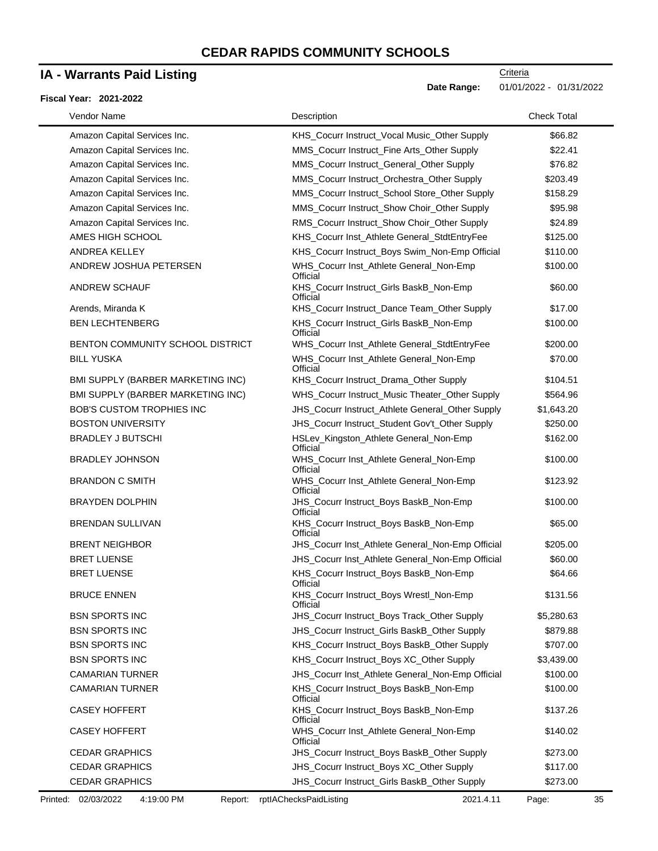### **IA - Warrants Paid Listing**

#### **Fiscal Year: 2021-2022**

| Vendor Name                       | Description                                         | <b>Check Total</b> |
|-----------------------------------|-----------------------------------------------------|--------------------|
| Amazon Capital Services Inc.      | KHS_Cocurr Instruct_Vocal Music_Other Supply        | \$66.82            |
| Amazon Capital Services Inc.      | MMS_Cocurr Instruct_Fine Arts_Other Supply          | \$22.41            |
| Amazon Capital Services Inc.      | MMS_Cocurr Instruct_General_Other Supply            | \$76.82            |
| Amazon Capital Services Inc.      | MMS_Cocurr Instruct_Orchestra_Other Supply          | \$203.49           |
| Amazon Capital Services Inc.      | MMS_Cocurr Instruct_School Store_Other Supply       | \$158.29           |
| Amazon Capital Services Inc.      | MMS_Cocurr Instruct_Show Choir_Other Supply         | \$95.98            |
| Amazon Capital Services Inc.      | RMS_Cocurr Instruct_Show Choir_Other Supply         | \$24.89            |
| AMES HIGH SCHOOL                  | KHS_Cocurr Inst_Athlete General_StdtEntryFee        | \$125.00           |
| <b>ANDREA KELLEY</b>              | KHS_Cocurr Instruct_Boys Swim_Non-Emp Official      | \$110.00           |
| ANDREW JOSHUA PETERSEN            | WHS_Cocurr Inst_Athlete General_Non-Emp<br>Official | \$100.00           |
| ANDREW SCHAUF                     | KHS_Cocurr Instruct_Girls BaskB_Non-Emp<br>Official | \$60.00            |
| Arends, Miranda K                 | KHS_Cocurr Instruct_Dance Team_Other Supply         | \$17.00            |
| <b>BEN LECHTENBERG</b>            | KHS_Cocurr Instruct_Girls BaskB_Non-Emp<br>Official | \$100.00           |
| BENTON COMMUNITY SCHOOL DISTRICT  | WHS_Cocurr Inst_Athlete General_StdtEntryFee        | \$200.00           |
| <b>BILL YUSKA</b>                 | WHS_Cocurr Inst_Athlete General_Non-Emp<br>Official | \$70.00            |
| BMI SUPPLY (BARBER MARKETING INC) | KHS_Cocurr Instruct_Drama_Other Supply              | \$104.51           |
| BMI SUPPLY (BARBER MARKETING INC) | WHS_Cocurr Instruct_Music Theater_Other Supply      | \$564.96           |
| <b>BOB'S CUSTOM TROPHIES INC</b>  | JHS_Cocurr Instruct_Athlete General_Other Supply    | \$1,643.20         |
| <b>BOSTON UNIVERSITY</b>          | JHS_Cocurr Instruct_Student Gov't_Other Supply      | \$250.00           |
| <b>BRADLEY J BUTSCHI</b>          | HSLev_Kingston_Athlete General_Non-Emp<br>Official  | \$162.00           |
| <b>BRADLEY JOHNSON</b>            | WHS_Cocurr Inst_Athlete General_Non-Emp<br>Official | \$100.00           |
| <b>BRANDON C SMITH</b>            | WHS_Cocurr Inst_Athlete General_Non-Emp<br>Official | \$123.92           |
| <b>BRAYDEN DOLPHIN</b>            | JHS_Cocurr Instruct_Boys BaskB_Non-Emp<br>Official  | \$100.00           |
| <b>BRENDAN SULLIVAN</b>           | KHS_Cocurr Instruct_Boys BaskB_Non-Emp<br>Official  | \$65.00            |
| <b>BRENT NEIGHBOR</b>             | JHS_Cocurr Inst_Athlete General_Non-Emp Official    | \$205.00           |
| <b>BRET LUENSE</b>                | JHS_Cocurr Inst_Athlete General_Non-Emp Official    | \$60.00            |
| <b>BRET LUENSE</b>                | KHS_Cocurr Instruct_Boys BaskB_Non-Emp<br>Official  | \$64.66            |
| <b>BRUCE ENNEN</b>                | KHS_Cocurr Instruct_Boys Wrestl_Non-Emp<br>Official | \$131.56           |
| <b>BSN SPORTS INC</b>             | JHS_Cocurr Instruct_Boys Track_Other Supply         | \$5,280.63         |
| <b>BSN SPORTS INC</b>             | JHS_Cocurr Instruct_Girls BaskB_Other Supply        | \$879.88           |
| <b>BSN SPORTS INC</b>             | KHS_Cocurr Instruct_Boys BaskB_Other Supply         | \$707.00           |
| <b>BSN SPORTS INC</b>             | KHS_Cocurr Instruct_Boys XC_Other Supply            | \$3,439.00         |
| <b>CAMARIAN TURNER</b>            | JHS_Cocurr Inst_Athlete General_Non-Emp Official    | \$100.00           |
| <b>CAMARIAN TURNER</b>            | KHS_Cocurr Instruct_Boys BaskB_Non-Emp<br>Official  | \$100.00           |
| <b>CASEY HOFFERT</b>              | KHS_Cocurr Instruct_Boys BaskB_Non-Emp<br>Official  | \$137.26           |
| <b>CASEY HOFFERT</b>              | WHS_Cocurr Inst_Athlete General_Non-Emp<br>Official | \$140.02           |
| <b>CEDAR GRAPHICS</b>             | JHS_Cocurr Instruct_Boys BaskB_Other Supply         | \$273.00           |
| <b>CEDAR GRAPHICS</b>             | JHS_Cocurr Instruct_Boys XC_Other Supply            | \$117.00           |
| <b>CEDAR GRAPHICS</b>             | JHS_Cocurr Instruct_Girls BaskB_Other Supply        | \$273.00           |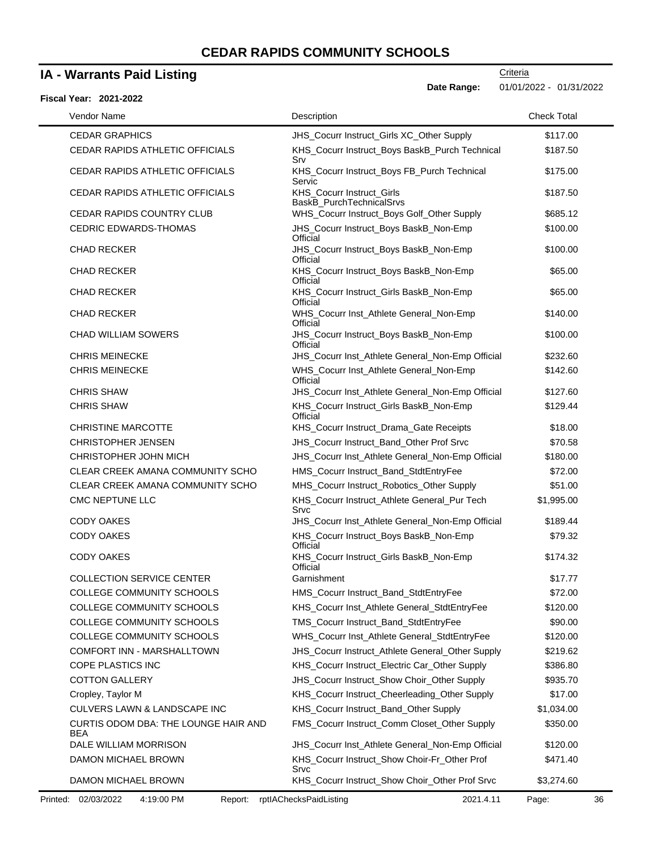### **IA - Warrants Paid Listing**

### **Fiscal Year: 2021-2022**

| scal Year: 2021-2022                        |                                                       |                    |
|---------------------------------------------|-------------------------------------------------------|--------------------|
| Vendor Name                                 | Description                                           | <b>Check Total</b> |
| <b>CEDAR GRAPHICS</b>                       | JHS_Cocurr Instruct_Girls XC_Other Supply             | \$117.00           |
| CEDAR RAPIDS ATHLETIC OFFICIALS             | KHS_Cocurr Instruct_Boys BaskB_Purch Technical<br>Srv | \$187.50           |
| CEDAR RAPIDS ATHLETIC OFFICIALS             | KHS_Cocurr Instruct_Boys FB_Purch Technical<br>Servic | \$175.00           |
| CEDAR RAPIDS ATHLETIC OFFICIALS             | KHS_Cocurr Instruct_Girls<br>BaskB_PurchTechnicalSrvs | \$187.50           |
| <b>CEDAR RAPIDS COUNTRY CLUB</b>            | WHS_Cocurr Instruct_Boys Golf_Other Supply            | \$685.12           |
| <b>CEDRIC EDWARDS-THOMAS</b>                | JHS_Cocurr Instruct_Boys BaskB_Non-Emp<br>Official    | \$100.00           |
| CHAD RECKER                                 | JHS_Cocurr Instruct_Boys BaskB_Non-Emp<br>Official    | \$100.00           |
| <b>CHAD RECKER</b>                          | KHS_Cocurr Instruct_Boys BaskB_Non-Emp<br>Official    | \$65.00            |
| <b>CHAD RECKER</b>                          | KHS_Cocurr Instruct_Girls BaskB_Non-Emp<br>Official   | \$65.00            |
| <b>CHAD RECKER</b>                          | WHS_Cocurr Inst_Athlete General_Non-Emp<br>Official   | \$140.00           |
| <b>CHAD WILLIAM SOWERS</b>                  | JHS_Cocurr Instruct_Boys BaskB_Non-Emp<br>Official    | \$100.00           |
| <b>CHRIS MEINECKE</b>                       | JHS_Cocurr Inst_Athlete General_Non-Emp Official      | \$232.60           |
| <b>CHRIS MEINECKE</b>                       | WHS_Cocurr Inst_Athlete General_Non-Emp<br>Official   | \$142.60           |
| <b>CHRIS SHAW</b>                           | JHS Cocurr Inst Athlete General Non-Emp Official      | \$127.60           |
| <b>CHRIS SHAW</b>                           | KHS_Cocurr Instruct_Girls BaskB_Non-Emp<br>Official   | \$129.44           |
| <b>CHRISTINE MARCOTTE</b>                   | KHS_Cocurr Instruct_Drama_Gate Receipts               | \$18.00            |
| <b>CHRISTOPHER JENSEN</b>                   | JHS_Cocurr Instruct_Band_Other Prof Srvc              | \$70.58            |
| CHRISTOPHER JOHN MICH                       | JHS_Cocurr Inst_Athlete General_Non-Emp Official      | \$180.00           |
| CLEAR CREEK AMANA COMMUNITY SCHO            | HMS_Cocurr Instruct_Band_StdtEntryFee                 | \$72.00            |
| CLEAR CREEK AMANA COMMUNITY SCHO            | MHS_Cocurr Instruct_Robotics_Other Supply             | \$51.00            |
| CMC NEPTUNE LLC                             | KHS_Cocurr Instruct_Athlete General_Pur Tech<br>Srvc  | \$1,995.00         |
| <b>CODY OAKES</b>                           | JHS_Cocurr Inst_Athlete General_Non-Emp Official      | \$189.44           |
| <b>CODY OAKES</b>                           | KHS_Cocurr Instruct_Boys BaskB_Non-Emp<br>Official    | \$79.32            |
| <b>CODY OAKES</b>                           | KHS_Cocurr Instruct_Girls BaskB_Non-Emp<br>Official   | \$174.32           |
| <b>COLLECTION SERVICE CENTER</b>            | Garnishment                                           | \$17.77            |
| COLLEGE COMMUNITY SCHOOLS                   | HMS_Cocurr Instruct_Band_StdtEntryFee                 | \$72.00            |
| COLLEGE COMMUNITY SCHOOLS                   | KHS_Cocurr Inst_Athlete General_StdtEntryFee          | \$120.00           |
| COLLEGE COMMUNITY SCHOOLS                   | TMS_Cocurr Instruct_Band_StdtEntryFee                 | \$90.00            |
| COLLEGE COMMUNITY SCHOOLS                   | WHS_Cocurr Inst_Athlete General_StdtEntryFee          | \$120.00           |
| COMFORT INN - MARSHALLTOWN                  | JHS_Cocurr Instruct_Athlete General_Other Supply      | \$219.62           |
| COPE PLASTICS INC                           | KHS_Cocurr Instruct_Electric Car_Other Supply         | \$386.80           |
| <b>COTTON GALLERY</b>                       | JHS_Cocurr Instruct_Show Choir_Other Supply           | \$935.70           |
| Cropley, Taylor M                           | KHS_Cocurr Instruct_Cheerleading_Other Supply         | \$17.00            |
| CULVERS LAWN & LANDSCAPE INC                | KHS_Cocurr Instruct_Band_Other Supply                 | \$1,034.00         |
| CURTIS ODOM DBA: THE LOUNGE HAIR AND<br>BEA | FMS_Cocurr Instruct_Comm Closet_Other Supply          | \$350.00           |
| DALE WILLIAM MORRISON                       | JHS_Cocurr Inst_Athlete General_Non-Emp Official      | \$120.00           |
| DAMON MICHAEL BROWN                         | KHS_Cocurr Instruct_Show Choir-Fr_Other Prof<br>Srvc  | \$471.40           |
| DAMON MICHAEL BROWN                         | KHS_Cocurr Instruct_Show Choir_Other Prof Srvc        | \$3,274.60         |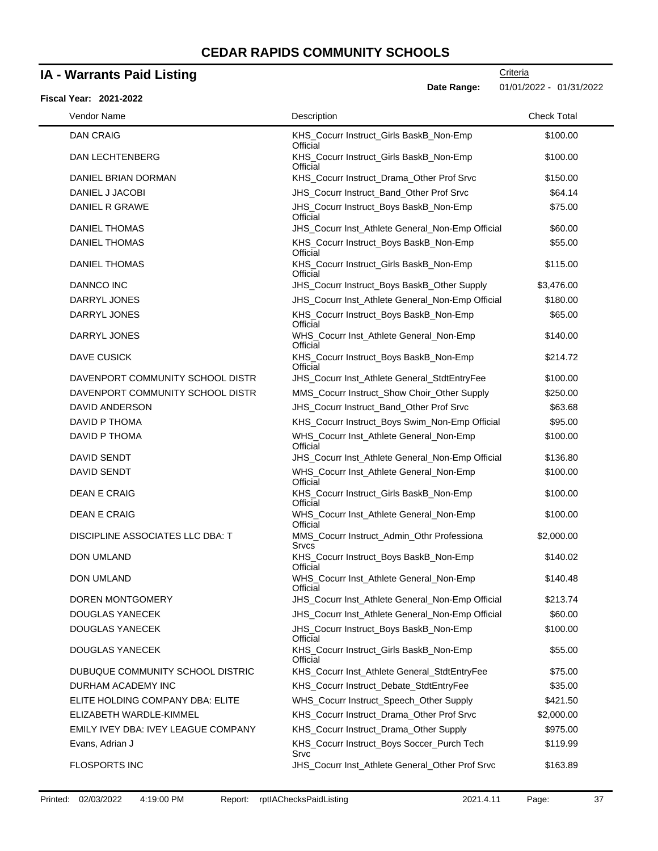### **IA - Warrants Paid Listing**

#### **Fiscal Year: 2021-2022**

**Criteria** 

**Date Range:** 01/01/2022 - 01/31/2022

| Vendor Name                         | Description                                                | <b>Check Total</b> |
|-------------------------------------|------------------------------------------------------------|--------------------|
| <b>DAN CRAIG</b>                    | KHS_Cocurr Instruct_Girls BaskB_Non-Emp<br>Official        | \$100.00           |
| <b>DAN LECHTENBERG</b>              | KHS_Cocurr Instruct_Girls BaskB_Non-Emp<br>Official        | \$100.00           |
| DANIEL BRIAN DORMAN                 | KHS_Cocurr Instruct_Drama_Other Prof Srvc                  | \$150.00           |
| DANIEL J JACOBI                     | JHS_Cocurr Instruct_Band_Other Prof Srvc                   | \$64.14            |
| DANIEL R GRAWE                      | JHS_Cocurr Instruct_Boys BaskB_Non-Emp<br>Official         | \$75.00            |
| <b>DANIEL THOMAS</b>                | JHS_Cocurr Inst_Athlete General_Non-Emp Official           | \$60.00            |
| <b>DANIEL THOMAS</b>                | KHS_Cocurr Instruct_Boys BaskB_Non-Emp<br>Official         | \$55.00            |
| <b>DANIEL THOMAS</b>                | KHS_Cocurr Instruct_Girls BaskB_Non-Emp<br>Official        | \$115.00           |
| <b>DANNCO INC</b>                   | JHS_Cocurr Instruct_Boys BaskB_Other Supply                | \$3,476.00         |
| DARRYL JONES                        | JHS_Cocurr Inst_Athlete General_Non-Emp Official           | \$180.00           |
| DARRYL JONES                        | KHS_Cocurr Instruct_Boys BaskB_Non-Emp<br>Official         | \$65.00            |
| DARRYL JONES                        | WHS_Cocurr Inst_Athlete General_Non-Emp<br>Official        | \$140.00           |
| <b>DAVE CUSICK</b>                  | KHS_Cocurr Instruct_Boys BaskB_Non-Emp<br>Official         | \$214.72           |
| DAVENPORT COMMUNITY SCHOOL DISTR    | JHS_Cocurr Inst_Athlete General_StdtEntryFee               | \$100.00           |
| DAVENPORT COMMUNITY SCHOOL DISTR    | MMS_Cocurr Instruct_Show Choir_Other Supply                | \$250.00           |
| DAVID ANDERSON                      | JHS_Cocurr Instruct_Band_Other Prof Srvc                   | \$63.68            |
| DAVID P THOMA                       | KHS_Cocurr Instruct_Boys Swim_Non-Emp Official             | \$95.00            |
| DAVID P THOMA                       | WHS_Cocurr Inst_Athlete General_Non-Emp<br>Official        | \$100.00           |
| <b>DAVID SENDT</b>                  | JHS_Cocurr Inst_Athlete General_Non-Emp Official           | \$136.80           |
| <b>DAVID SENDT</b>                  | WHS_Cocurr Inst_Athlete General_Non-Emp<br>Official        | \$100.00           |
| <b>DEAN E CRAIG</b>                 | KHS_Cocurr Instruct_Girls BaskB_Non-Emp<br>Official        | \$100.00           |
| DEAN E CRAIG                        | WHS_Cocurr Inst_Athlete General_Non-Emp<br>Official        | \$100.00           |
| DISCIPLINE ASSOCIATES LLC DBA: T    | MMS_Cocurr Instruct_Admin_Othr Professiona<br><b>Srvcs</b> | \$2,000.00         |
| <b>DON UMLAND</b>                   | KHS_Cocurr Instruct_Boys BaskB_Non-Emp<br>Official         | \$140.02           |
| <b>DON UMLAND</b>                   | WHS Cocurr Inst Athlete General Non-Emp<br>Official        | \$140.48           |
| DOREN MONTGOMERY                    | JHS_Cocurr Inst_Athlete General_Non-Emp Official           | \$213.74           |
| DOUGLAS YANECEK                     | JHS_Cocurr Inst_Athlete General_Non-Emp Official           | \$60.00            |
| DOUGLAS YANECEK                     | JHS_Cocurr Instruct_Boys BaskB_Non-Emp<br>Official         | \$100.00           |
| DOUGLAS YANECEK                     | KHS_Cocurr Instruct_Girls BaskB_Non-Emp<br>Official        | \$55.00            |
| DUBUQUE COMMUNITY SCHOOL DISTRIC    | KHS_Cocurr Inst_Athlete General_StdtEntryFee               | \$75.00            |
| DURHAM ACADEMY INC                  | KHS Cocurr Instruct Debate StdtEntryFee                    | \$35.00            |
| ELITE HOLDING COMPANY DBA: ELITE    | WHS_Cocurr Instruct_Speech_Other Supply                    | \$421.50           |
| ELIZABETH WARDLE-KIMMEL             | KHS_Cocurr Instruct_Drama_Other Prof Srvc                  | \$2,000.00         |
| EMILY IVEY DBA: IVEY LEAGUE COMPANY | KHS_Cocurr Instruct_Drama_Other Supply                     | \$975.00           |
| Evans, Adrian J                     | KHS_Cocurr Instruct_Boys Soccer_Purch Tech<br>Srvc         | \$119.99           |
| FLOSPORTS INC                       | JHS_Cocurr Inst_Athlete General_Other Prof Srvc            | \$163.89           |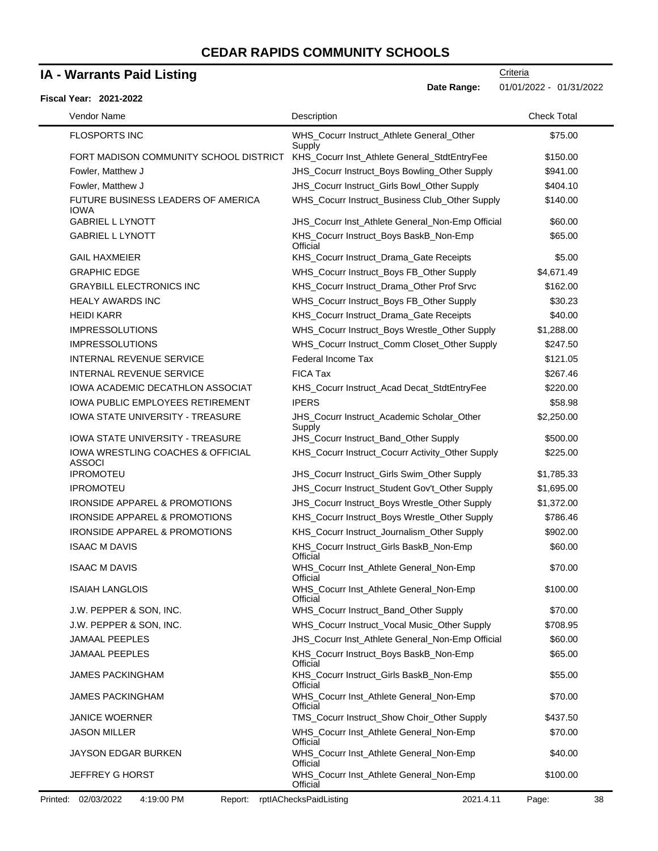### **IA - Warrants Paid Listing**

#### FLOSPORTS INC WHS\_Cocurr Instruct\_Athlete General\_Other Supply \$75.00 FORT MADISON COMMUNITY SCHOOL DISTRICT KHS\_Cocurr Inst\_Athlete General\_StdtEntryFee \$150.00 Fowler, Matthew J **Fowler, Matthew J 3941.00** JHS\_Cocurr Instruct\_Boys Bowling\_Other Supply \$941.00 Fowler, Matthew J **Frankling Community Community** JHS\_Cocurr Instruct\_Girls Bowl\_Other Supply \$404.10 FUTURE BUSINESS LEADERS OF AMERICA IOWA WHS\_Cocurr Instruct\_Business Club\_Other Supply \$140.00 GABRIEL L LYNOTT **SECUT AT A SECUTE AT A SECUTE AT A SECUTE AT A SECUTE AT A SECUTE AT A SECUTE AT A SECUTE AT A** GABRIEL L LYNOTT **KHS\_Cocurr Instruct\_Boys BaskB\_Non-Emp Official** \$65.00 GAIL HAXMEIER **KHS** Cocurr Instruct Drama Gate Receipts \$5.00 GRAPHIC EDGE **EXAMPLE SERVICES** WHS\_Cocurr Instruct\_Boys FB\_Other Supply \$4,671.49 GRAYBILL ELECTRONICS INC **KHS** Cocurr Instruct Drama Other Prof Srvc \$162.00 HEALY AWARDS INC THEALY AWARDS INC THEALY AWARDS INC THEALY AWARDS INC HEIDI KARR **KHS** Cocurr Instruct Drama Gate Receipts 640.00 IMPRESSOLUTIONS **MHS** Cocurr Instruct\_Boys Wrestle\_Other Supply \$1,288.00 IMPRESSOLUTIONS THE SECTION OF SALL WHS Cocurr Instruct\_Comm Closet\_Other Supply \$247.50 INTERNAL REVENUE SERVICE Federal Income Tax \$121.05 INTERNAL REVENUE SERVICE FICA Tax **FIGA Tax 1998** FIGA Tax **\$267.46** IOWA ACADEMIC DECATHLON ASSOCIAT KHS\_Cocurr Instruct\_Acad Decat\_StdtEntryFee \$220.00 IOWA PUBLIC EMPLOYEES RETIREMENT IPERS ISSUED AND RESSUED ASSAULT AND SSS.98 IOWA STATE UNIVERSITY - TREASURE **JHS** Cocurr Instruct Academic Scholar Other Supply \$2,250.00 IOWA STATE UNIVERSITY - TREASURE **JHS\_Cocurr Instruct\_Band\_Other Supply** \$500.00 IOWA WRESTLING COACHES & OFFICIAL ASSOCI KHS\_Cocurr Instruct\_Cocurr Activity\_Other Supply \$225.00 IPROMOTEU **Interversity Community** JHS Cocurr Instruct Girls Swim Other Supply \$1,785.33 IPROMOTEU **Interversity Community** JHS Cocurr Instruct Student Gov't Other Supply \$1,695.00 IRONSIDE APPAREL & PROMOTIONS JHS\_Cocurr Instruct\_Boys Wrestle\_Other Supply \$1,372.00 IRONSIDE APPAREL & PROMOTIONS KHS\_Cocurr Instruct\_Boys Wrestle\_Other Supply \$786.46 IRONSIDE APPAREL & PROMOTIONS KHS\_Cocurr Instruct\_Journalism\_Other Supply \$902.00 ISAAC M DAVIS **EXECUTE:** KHS\_Cocurr Instruct\_Girls BaskB\_Non-Emp Official \$60.00 ISAAC M DAVIS WHS\_Cocurr Inst\_Athlete General\_Non-Emp **Official** \$70.00 ISAIAH LANGLOIS WHS\_Cocurr Inst\_Athlete General\_Non-Emp **Official** \$100.00 J.W. PEPPER & SON, INC. WHS\_Cocurr Instruct\_Band\_Other Supply \$70.00 J.W. PEPPER & SON, INC. WHS\_Cocurr Instruct\_Vocal Music\_Other Supply \$708.95 JAMAAL PEEPLES **SEPLES** SERVICE THE SERVICE OF SERVICE OF THE SERVICE OF SERVICE Athlete General\_Non-Emp Official \$60.00 JAMAAL PEEPLES **KHS\_Cocurr Instruct\_Boys BaskB\_Non-Emp Official** \$65.00 JAMES PACKINGHAM KHS\_Cocurr Instruct\_Girls BaskB\_Non-Emp **Official** \$55.00 JAMES PACKINGHAM WHS\_Cocurr Inst\_Athlete General\_Non-Emp **Official** \$70.00 JANICE WOERNER **TMS\_Cocurr Instruct\_Show Choir\_Other Supply** \$437.50 JASON MILLER WHS\_Cocurr Inst\_Athlete General\_Non-Emp **Official** \$70.00 JAYSON EDGAR BURKEN WHS\_Cocurr Inst\_Athlete General\_Non-Emp **Official** \$40.00 JEFFREY G HORST **WHS** Cocurr Inst Athlete General Non-Emp \$100.00 **Fiscal Year: 2021-2022 Date Range:** 01/01/2022 - 01/31/2022 Vendor Name **Description** Check Total Description Check Total Description Check Total Description Check Total Description

**Official**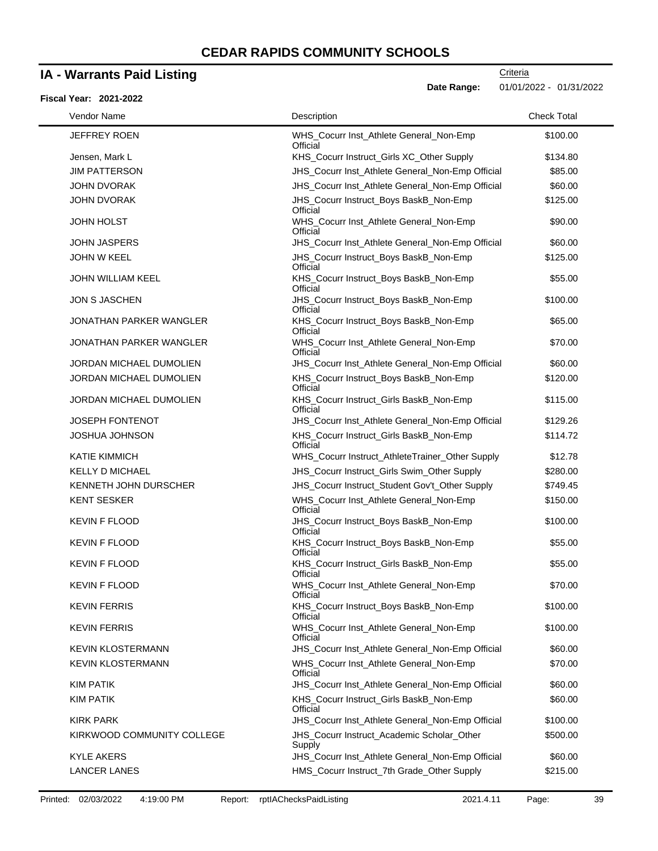### **IA - Warrants Paid Listing**

#### **Fiscal Year: 2021-2022**

| Vendor Name                    | Description                                          | <b>Check Total</b> |
|--------------------------------|------------------------------------------------------|--------------------|
| <b>JEFFREY ROEN</b>            | WHS_Cocurr Inst_Athlete General_Non-Emp<br>Official  | \$100.00           |
| Jensen, Mark L                 | KHS_Cocurr Instruct_Girls XC_Other Supply            | \$134.80           |
| <b>JIM PATTERSON</b>           | JHS_Cocurr Inst_Athlete General_Non-Emp Official     | \$85.00            |
| <b>JOHN DVORAK</b>             | JHS_Cocurr Inst_Athlete General_Non-Emp Official     | \$60.00            |
| <b>JOHN DVORAK</b>             | JHS_Cocurr Instruct_Boys BaskB_Non-Emp<br>Official   | \$125.00           |
| <b>JOHN HOLST</b>              | WHS_Cocurr Inst_Athlete General_Non-Emp<br>Official  | \$90.00            |
| <b>JOHN JASPERS</b>            | JHS_Cocurr Inst_Athlete General_Non-Emp Official     | \$60.00            |
| <b>JOHN W KEEL</b>             | JHS_Cocurr Instruct_Boys BaskB_Non-Emp<br>Official   | \$125.00           |
| JOHN WILLIAM KEEL              | KHS_Cocurr Instruct_Boys BaskB_Non-Emp<br>Official   | \$55.00            |
| <b>JON S JASCHEN</b>           | JHS_Cocurr Instruct_Boys BaskB_Non-Emp<br>Official   | \$100.00           |
| JONATHAN PARKER WANGLER        | KHS_Cocurr Instruct_Boys BaskB_Non-Emp<br>Official   | \$65.00            |
| <b>JONATHAN PARKER WANGLER</b> | WHS_Cocurr Inst_Athlete General_Non-Emp<br>Official  | \$70.00            |
| JORDAN MICHAEL DUMOLIEN        | JHS_Cocurr Inst_Athlete General_Non-Emp Official     | \$60.00            |
| JORDAN MICHAEL DUMOLIEN        | KHS_Cocurr Instruct_Boys BaskB_Non-Emp<br>Official   | \$120.00           |
| JORDAN MICHAEL DUMOLIEN        | KHS_Cocurr Instruct_Girls BaskB_Non-Emp<br>Official  | \$115.00           |
| <b>JOSEPH FONTENOT</b>         | JHS_Cocurr Inst_Athlete General_Non-Emp Official     | \$129.26           |
| <b>JOSHUA JOHNSON</b>          | KHS_Cocurr Instruct_Girls BaskB_Non-Emp<br>Official  | \$114.72           |
| <b>KATIE KIMMICH</b>           | WHS_Cocurr Instruct_AthleteTrainer_Other Supply      | \$12.78            |
| <b>KELLY D MICHAEL</b>         | JHS_Cocurr Instruct_Girls Swim_Other Supply          | \$280.00           |
| KENNETH JOHN DURSCHER          | JHS_Cocurr Instruct_Student Gov't_Other Supply       | \$749.45           |
| <b>KENT SESKER</b>             | WHS_Cocurr Inst_Athlete General_Non-Emp<br>Official  | \$150.00           |
| <b>KEVIN F FLOOD</b>           | JHS_Cocurr Instruct_Boys BaskB_Non-Emp<br>Official   | \$100.00           |
| <b>KEVIN F FLOOD</b>           | KHS_Cocurr Instruct_Boys BaskB_Non-Emp<br>Official   | \$55.00            |
| <b>KEVIN F FLOOD</b>           | KHS_Cocurr Instruct_Girls BaskB_Non-Emp<br>Official  | \$55.00            |
| <b>KEVIN F FLOOD</b>           | WHS_Cocurr Inst_Athlete General_Non-Emp<br>Official  | \$70.00            |
| <b>KEVIN FERRIS</b>            | KHS Cocurr Instruct Boys BaskB Non-Emp<br>Official   | \$100.00           |
| <b>KEVIN FERRIS</b>            | WHS_Cocurr Inst_Athlete General_Non-Emp<br>Official  | \$100.00           |
| <b>KEVIN KLOSTERMANN</b>       | JHS_Cocurr Inst_Athlete General_Non-Emp Official     | \$60.00            |
| <b>KEVIN KLOSTERMANN</b>       | WHS_Cocurr Inst_Athlete General_Non-Emp<br>Official  | \$70.00            |
| KIM PATIK                      | JHS_Cocurr Inst_Athlete General_Non-Emp Official     | \$60.00            |
| <b>KIM PATIK</b>               | KHS_Cocurr Instruct_Girls BaskB_Non-Emp<br>Official  | \$60.00            |
| <b>KIRK PARK</b>               | JHS_Cocurr Inst_Athlete General_Non-Emp Official     | \$100.00           |
| KIRKWOOD COMMUNITY COLLEGE     | JHS_Cocurr Instruct_Academic Scholar_Other<br>Supply | \$500.00           |
| <b>KYLE AKERS</b>              | JHS_Cocurr Inst_Athlete General_Non-Emp Official     | \$60.00            |
| <b>LANCER LANES</b>            | HMS_Cocurr Instruct_7th Grade_Other Supply           | \$215.00           |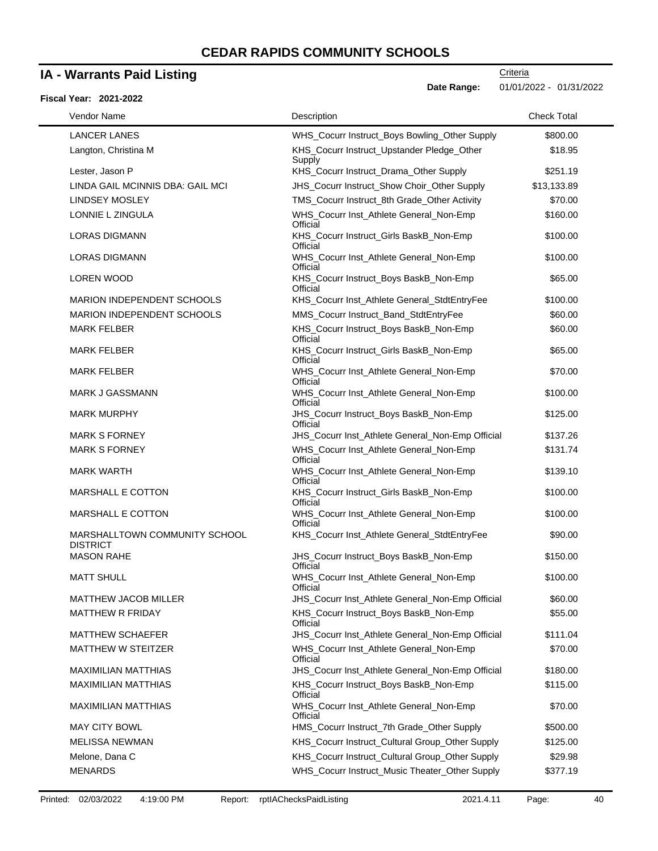### **IA - Warrants Paid Listing**

#### **Fiscal Year: 2021-2022**

| Vendor Name                                      | Description                                          | <b>Check Total</b> |
|--------------------------------------------------|------------------------------------------------------|--------------------|
| <b>LANCER LANES</b>                              | WHS_Cocurr Instruct_Boys Bowling_Other Supply        | \$800.00           |
| Langton, Christina M                             | KHS_Cocurr Instruct_Upstander Pledge_Other<br>Supply | \$18.95            |
| Lester, Jason P                                  | KHS_Cocurr Instruct_Drama_Other Supply               | \$251.19           |
| LINDA GAIL MCINNIS DBA: GAIL MCI                 | JHS_Cocurr Instruct_Show Choir_Other Supply          | \$13,133.89        |
| <b>LINDSEY MOSLEY</b>                            | TMS_Cocurr Instruct_8th Grade_Other Activity         | \$70.00            |
| LONNIE L ZINGULA                                 | WHS_Cocurr Inst_Athlete General_Non-Emp<br>Official  | \$160.00           |
| <b>LORAS DIGMANN</b>                             | KHS_Cocurr Instruct_Girls BaskB_Non-Emp<br>Official  | \$100.00           |
| <b>LORAS DIGMANN</b>                             | WHS_Cocurr Inst_Athlete General_Non-Emp<br>Official  | \$100.00           |
| LOREN WOOD                                       | KHS_Cocurr Instruct_Boys BaskB_Non-Emp<br>Official   | \$65.00            |
| <b>MARION INDEPENDENT SCHOOLS</b>                | KHS_Cocurr Inst_Athlete General_StdtEntryFee         | \$100.00           |
| MARION INDEPENDENT SCHOOLS                       | MMS_Cocurr Instruct_Band_StdtEntryFee                | \$60.00            |
| <b>MARK FELBER</b>                               | KHS_Cocurr Instruct_Boys BaskB_Non-Emp<br>Official   | \$60.00            |
| <b>MARK FELBER</b>                               | KHS_Cocurr Instruct_Girls BaskB_Non-Emp<br>Official  | \$65.00            |
| <b>MARK FELBER</b>                               | WHS_Cocurr Inst_Athlete General_Non-Emp<br>Official  | \$70.00            |
| <b>MARK J GASSMANN</b>                           | WHS_Cocurr Inst_Athlete General_Non-Emp<br>Official  | \$100.00           |
| <b>MARK MURPHY</b>                               | JHS_Cocurr Instruct_Boys BaskB_Non-Emp<br>Official   | \$125.00           |
| <b>MARK S FORNEY</b>                             | JHS_Cocurr Inst_Athlete General_Non-Emp Official     | \$137.26           |
| <b>MARK S FORNEY</b>                             | WHS_Cocurr Inst_Athlete General_Non-Emp<br>Official  | \$131.74           |
| <b>MARK WARTH</b>                                | WHS_Cocurr Inst_Athlete General_Non-Emp<br>Official  | \$139.10           |
| MARSHALL E COTTON                                | KHS_Cocurr Instruct_Girls BaskB_Non-Emp<br>Official  | \$100.00           |
| MARSHALL E COTTON                                | WHS_Cocurr Inst_Athlete General_Non-Emp<br>Official  | \$100.00           |
| MARSHALLTOWN COMMUNITY SCHOOL<br><b>DISTRICT</b> | KHS_Cocurr Inst_Athlete General_StdtEntryFee         | \$90.00            |
| <b>MASON RAHE</b>                                | JHS_Cocurr Instruct_Boys BaskB_Non-Emp<br>Official   | \$150.00           |
| <b>MATT SHULL</b>                                | WHS_Cocurr Inst_Athlete General_Non-Emp<br>Official  | \$100.00           |
| <b>MATTHEW JACOB MILLER</b>                      | JHS_Cocurr Inst_Athlete General_Non-Emp Official     | \$60.00            |
| <b>MATTHEW R FRIDAY</b>                          | KHS_Cocurr Instruct_Boys BaskB_Non-Emp<br>Official   | \$55.00            |
| <b>MATTHEW SCHAEFER</b>                          | JHS_Cocurr Inst_Athlete General_Non-Emp Official     | \$111.04           |
| MATTHEW W STEITZER                               | WHS Cocurr Inst Athlete General Non-Emp<br>Official  | \$70.00            |
| <b>MAXIMILIAN MATTHIAS</b>                       | JHS_Cocurr Inst_Athlete General_Non-Emp Official     | \$180.00           |
| <b>MAXIMILIAN MATTHIAS</b>                       | KHS_Cocurr Instruct_Boys BaskB_Non-Emp<br>Official   | \$115.00           |
| <b>MAXIMILIAN MATTHIAS</b>                       | WHS_Cocurr Inst_Athlete General_Non-Emp<br>Official  | \$70.00            |
| <b>MAY CITY BOWL</b>                             | HMS_Cocurr Instruct_7th Grade_Other Supply           | \$500.00           |
| <b>MELISSA NEWMAN</b>                            | KHS_Cocurr Instruct_Cultural Group_Other Supply      | \$125.00           |
| Melone, Dana C                                   | KHS_Cocurr Instruct_Cultural Group_Other Supply      | \$29.98            |
| <b>MENARDS</b>                                   | WHS_Cocurr Instruct_Music Theater_Other Supply       | \$377.19           |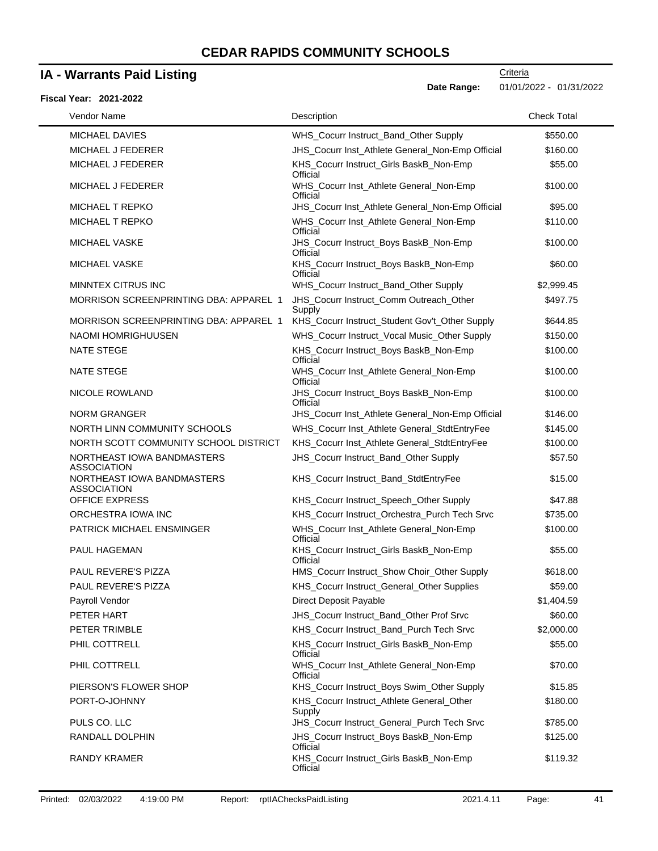### **IA - Warrants Paid Listing**

#### **Fiscal Year: 2021-2022**

**Date Range:** 01/01/2022 - 01/31/2022

| Vendor Name                                      | Description                                         | <b>Check Total</b> |
|--------------------------------------------------|-----------------------------------------------------|--------------------|
| <b>MICHAEL DAVIES</b>                            | WHS_Cocurr Instruct_Band_Other Supply               | \$550.00           |
| <b>MICHAEL J FEDERER</b>                         | JHS_Cocurr Inst_Athlete General_Non-Emp Official    | \$160.00           |
| MICHAEL J FEDERER                                | KHS_Cocurr Instruct_Girls BaskB_Non-Emp<br>Official | \$55.00            |
| MICHAEL J FEDERER                                | WHS_Cocurr Inst_Athlete General_Non-Emp<br>Official | \$100.00           |
| MICHAEL T REPKO                                  | JHS_Cocurr Inst_Athlete General_Non-Emp Official    | \$95.00            |
| MICHAEL T REPKO                                  | WHS_Cocurr Inst_Athlete General_Non-Emp<br>Official | \$110.00           |
| <b>MICHAEL VASKE</b>                             | JHS_Cocurr Instruct_Boys BaskB_Non-Emp<br>Official  | \$100.00           |
| <b>MICHAEL VASKE</b>                             | KHS_Cocurr Instruct_Boys BaskB_Non-Emp<br>Official  | \$60.00            |
| MINNTEX CITRUS INC                               | WHS_Cocurr Instruct_Band_Other Supply               | \$2,999.45         |
| <b>MORRISON SCREENPRINTING DBA: APPAREL 1</b>    | JHS_Cocurr Instruct_Comm Outreach_Other<br>Supply   | \$497.75           |
| <b>MORRISON SCREENPRINTING DBA: APPAREL 1</b>    | KHS_Cocurr Instruct_Student Gov't_Other Supply      | \$644.85           |
| NAOMI HOMRIGHUUSEN                               | WHS_Cocurr Instruct_Vocal Music_Other Supply        | \$150.00           |
| <b>NATE STEGE</b>                                | KHS_Cocurr Instruct_Boys BaskB_Non-Emp<br>Official  | \$100.00           |
| <b>NATE STEGE</b>                                | WHS_Cocurr Inst_Athlete General_Non-Emp<br>Official | \$100.00           |
| NICOLE ROWLAND                                   | JHS_Cocurr Instruct_Boys BaskB_Non-Emp<br>Official  | \$100.00           |
| <b>NORM GRANGER</b>                              | JHS_Cocurr Inst_Athlete General_Non-Emp Official    | \$146.00           |
| NORTH LINN COMMUNITY SCHOOLS                     | WHS_Cocurr Inst_Athlete General_StdtEntryFee        | \$145.00           |
| NORTH SCOTT COMMUNITY SCHOOL DISTRICT            | KHS_Cocurr Inst_Athlete General_StdtEntryFee        | \$100.00           |
| NORTHEAST IOWA BANDMASTERS<br><b>ASSOCIATION</b> | JHS_Cocurr Instruct_Band_Other Supply               | \$57.50            |
| NORTHEAST IOWA BANDMASTERS<br><b>ASSOCIATION</b> | KHS_Cocurr Instruct_Band_StdtEntryFee               | \$15.00            |
| <b>OFFICE EXPRESS</b>                            | KHS_Cocurr Instruct_Speech_Other Supply             | \$47.88            |
| ORCHESTRA IOWA INC                               | KHS_Cocurr Instruct_Orchestra_Purch Tech Srvc       | \$735.00           |
| PATRICK MICHAEL ENSMINGER                        | WHS_Cocurr Inst_Athlete General_Non-Emp<br>Official | \$100.00           |
| PAUL HAGEMAN                                     | KHS_Cocurr Instruct_Girls BaskB_Non-Emp<br>Official | \$55.00            |
| PAUL REVERE'S PIZZA                              | HMS_Cocurr Instruct_Show Choir_Other Supply         | \$618.00           |
| PAUL REVERE'S PIZZA                              | KHS_Cocurr Instruct_General_Other Supplies          | \$59.00            |
| Payroll Vendor                                   | Direct Deposit Payable                              | \$1,404.59         |
| PETER HART                                       | JHS_Cocurr Instruct_Band_Other Prof Srvc            | \$60.00            |
| PETER TRIMBLE                                    | KHS_Cocurr Instruct_Band_Purch Tech Srvc            | \$2,000.00         |
| PHIL COTTRELL                                    | KHS_Cocurr Instruct_Girls BaskB_Non-Emp<br>Official | \$55.00            |
| PHIL COTTRELL                                    | WHS_Cocurr Inst_Athlete General_Non-Emp<br>Official | \$70.00            |
| PIERSON'S FLOWER SHOP                            | KHS_Cocurr Instruct_Boys Swim_Other Supply          | \$15.85            |
| PORT-O-JOHNNY                                    | KHS_Cocurr Instruct_Athlete General_Other<br>Supply | \$180.00           |
| PULS CO. LLC                                     | JHS_Cocurr Instruct_General_Purch Tech Srvc         | \$785.00           |
| RANDALL DOLPHIN                                  | JHS_Cocurr Instruct_Boys BaskB_Non-Emp<br>Official  | \$125.00           |
| RANDY KRAMER                                     | KHS_Cocurr Instruct_Girls BaskB_Non-Emp<br>Official | \$119.32           |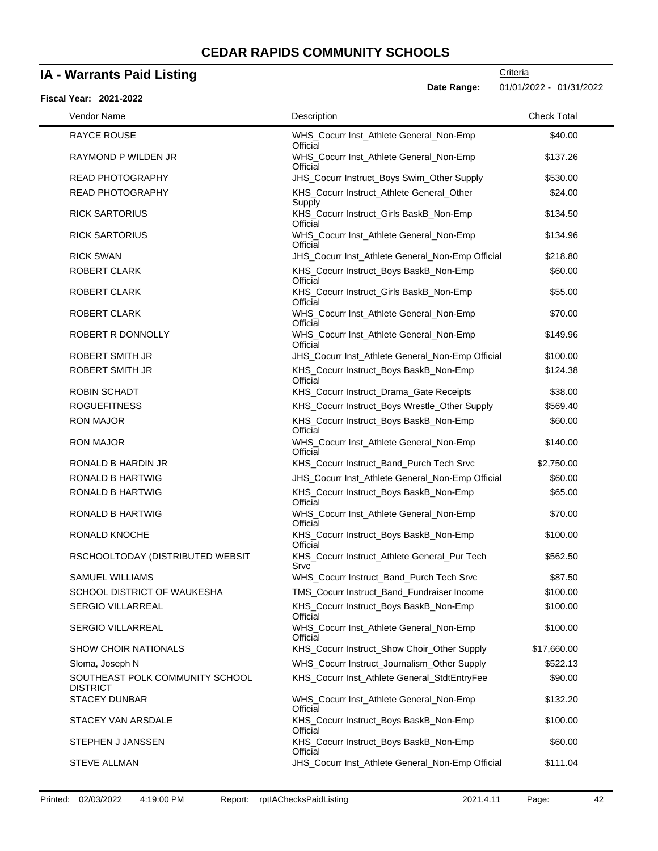### **IA - Warrants Paid Listing**

#### **Fiscal Year: 2021-2022**

**Criteria** 

**Date Range:** 01/01/2022 - 01/31/2022

| Vendor Name                                 | Description                                          | <b>Check Total</b> |
|---------------------------------------------|------------------------------------------------------|--------------------|
| <b>RAYCE ROUSE</b>                          | WHS_Cocurr Inst_Athlete General_Non-Emp<br>Official  | \$40.00            |
| RAYMOND P WILDEN JR                         | WHS_Cocurr Inst_Athlete General_Non-Emp<br>Official  | \$137.26           |
| <b>READ PHOTOGRAPHY</b>                     | JHS_Cocurr Instruct_Boys Swim_Other Supply           | \$530.00           |
| <b>READ PHOTOGRAPHY</b>                     | KHS_Cocurr Instruct_Athlete General_Other<br>Supply  | \$24.00            |
| <b>RICK SARTORIUS</b>                       | KHS_Cocurr Instruct_Girls BaskB_Non-Emp<br>Official  | \$134.50           |
| <b>RICK SARTORIUS</b>                       | WHS_Cocurr Inst_Athlete General_Non-Emp<br>Official  | \$134.96           |
| <b>RICK SWAN</b>                            | JHS_Cocurr Inst_Athlete General_Non-Emp Official     | \$218.80           |
| <b>ROBERT CLARK</b>                         | KHS_Cocurr Instruct_Boys BaskB_Non-Emp<br>Official   | \$60.00            |
| <b>ROBERT CLARK</b>                         | KHS_Cocurr Instruct_Girls BaskB_Non-Emp<br>Official  | \$55.00            |
| ROBERT CLARK                                | WHS_Cocurr Inst_Athlete General_Non-Emp<br>Official  | \$70.00            |
| ROBERT R DONNOLLY                           | WHS_Cocurr Inst_Athlete General_Non-Emp<br>Official  | \$149.96           |
| ROBERT SMITH JR                             | JHS_Cocurr Inst_Athlete General_Non-Emp Official     | \$100.00           |
| ROBERT SMITH JR                             | KHS_Cocurr Instruct_Boys BaskB_Non-Emp<br>Official   | \$124.38           |
| <b>ROBIN SCHADT</b>                         | KHS_Cocurr Instruct_Drama_Gate Receipts              | \$38.00            |
| <b>ROGUEFITNESS</b>                         | KHS_Cocurr Instruct_Boys Wrestle_Other Supply        | \$569.40           |
| <b>RON MAJOR</b>                            | KHS_Cocurr Instruct_Boys BaskB_Non-Emp<br>Official   | \$60.00            |
| <b>RON MAJOR</b>                            | WHS_Cocurr Inst_Athlete General_Non-Emp<br>Official  | \$140.00           |
| RONALD B HARDIN JR                          | KHS_Cocurr Instruct_Band_Purch Tech Srvc             | \$2,750.00         |
| <b>RONALD B HARTWIG</b>                     | JHS_Cocurr Inst_Athlete General_Non-Emp Official     | \$60.00            |
| <b>RONALD B HARTWIG</b>                     | KHS_Cocurr Instruct_Boys BaskB_Non-Emp<br>Official   | \$65.00            |
| <b>RONALD B HARTWIG</b>                     | WHS_Cocurr Inst_Athlete General_Non-Emp<br>Official  | \$70.00            |
| <b>RONALD KNOCHE</b>                        | KHS_Cocurr Instruct_Boys BaskB_Non-Emp<br>Official   | \$100.00           |
| RSCHOOLTODAY (DISTRIBUTED WEBSIT            | KHS_Cocurr Instruct_Athlete General_Pur Tech<br>Srvc | \$562.50           |
| SAMUEL WILLIAMS                             | WHS_Cocurr Instruct_Band_Purch Tech Srvc             | \$87.50            |
| SCHOOL DISTRICT OF WAUKESHA                 | TMS_Cocurr Instruct_Band_Fundraiser Income           | \$100.00           |
| SERGIO VILLARREAL                           | KHS_Cocurr Instruct_Boys BaskB_Non-Emp<br>Official   | \$100.00           |
| SERGIO VILLARREAL                           | WHS_Cocurr Inst_Athlete General_Non-Emp<br>Official  | \$100.00           |
| <b>SHOW CHOIR NATIONALS</b>                 | KHS_Cocurr Instruct_Show Choir_Other Supply          | \$17,660.00        |
| Sloma, Joseph N                             | WHS_Cocurr Instruct_Journalism_Other Supply          | \$522.13           |
| SOUTHEAST POLK COMMUNITY SCHOOL<br>DISTRICT | KHS_Cocurr Inst_Athlete General_StdtEntryFee         | \$90.00            |
| STACEY DUNBAR                               | WHS_Cocurr Inst_Athlete General_Non-Emp<br>Official  | \$132.20           |
| STACEY VAN ARSDALE                          | KHS_Cocurr Instruct_Boys BaskB_Non-Emp<br>Official   | \$100.00           |
| STEPHEN J JANSSEN                           | KHS_Cocurr Instruct_Boys BaskB_Non-Emp<br>Official   | \$60.00            |
| <b>STEVE ALLMAN</b>                         | JHS_Cocurr Inst_Athlete General_Non-Emp Official     | \$111.04           |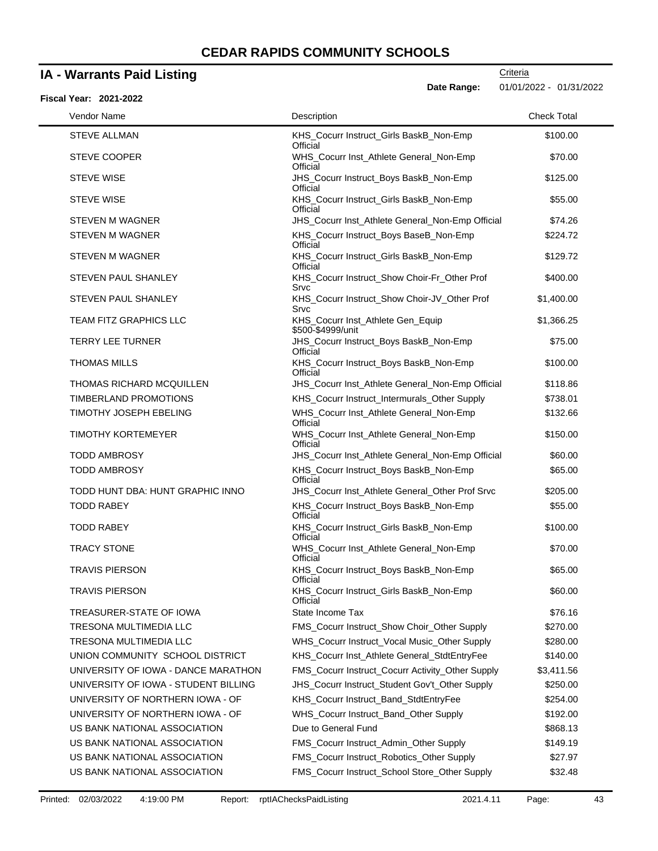### **IA - Warrants Paid Listing**

**Criteria** 

**Date Range:** 01/01/2022 - 01/31/2022

| <b>Fiscal Year: 2021-2022</b>        |                                                        |                    |
|--------------------------------------|--------------------------------------------------------|--------------------|
| Vendor Name                          | Description                                            | <b>Check Total</b> |
| <b>STEVE ALLMAN</b>                  | KHS_Cocurr Instruct_Girls BaskB_Non-Emp<br>Official    | \$100.00           |
| <b>STEVE COOPER</b>                  | WHS_Cocurr Inst_Athlete General_Non-Emp<br>Official    | \$70.00            |
| <b>STEVE WISE</b>                    | JHS_Cocurr Instruct_Boys BaskB_Non-Emp<br>Official     | \$125.00           |
| <b>STEVE WISE</b>                    | KHS_Cocurr Instruct_Girls BaskB_Non-Emp<br>Official    | \$55.00            |
| STEVEN M WAGNER                      | JHS_Cocurr Inst_Athlete General_Non-Emp Official       | \$74.26            |
| <b>STEVEN M WAGNER</b>               | KHS_Cocurr Instruct_Boys BaseB_Non-Emp<br>Official     | \$224.72           |
| <b>STEVEN M WAGNER</b>               | KHS_Cocurr Instruct_Girls BaskB_Non-Emp<br>Official    | \$129.72           |
| STEVEN PAUL SHANLEY                  | KHS_Cocurr Instruct_Show Choir-Fr_Other Prof<br>Srvc   | \$400.00           |
| <b>STEVEN PAUL SHANLEY</b>           | KHS_Cocurr Instruct_Show Choir-JV_Other Prof<br>Srvc   | \$1,400.00         |
| <b>TEAM FITZ GRAPHICS LLC</b>        | KHS_Cocurr Inst_Athlete Gen_Equip<br>\$500-\$4999/unit | \$1,366.25         |
| <b>TERRY LEE TURNER</b>              | JHS_Cocurr Instruct_Boys BaskB_Non-Emp<br>Official     | \$75.00            |
| <b>THOMAS MILLS</b>                  | KHS_Cocurr Instruct_Boys BaskB_Non-Emp<br>Official     | \$100.00           |
| <b>THOMAS RICHARD MCQUILLEN</b>      | JHS_Cocurr Inst_Athlete General_Non-Emp Official       | \$118.86           |
| TIMBERLAND PROMOTIONS                | KHS_Cocurr Instruct_Intermurals_Other Supply           | \$738.01           |
| TIMOTHY JOSEPH EBELING               | WHS_Cocurr Inst_Athlete General_Non-Emp<br>Official    | \$132.66           |
| <b>TIMOTHY KORTEMEYER</b>            | WHS_Cocurr Inst_Athlete General_Non-Emp<br>Official    | \$150.00           |
| <b>TODD AMBROSY</b>                  | JHS_Cocurr Inst_Athlete General_Non-Emp Official       | \$60.00            |
| <b>TODD AMBROSY</b>                  | KHS_Cocurr Instruct_Boys BaskB_Non-Emp<br>Official     | \$65.00            |
| TODD HUNT DBA: HUNT GRAPHIC INNO     | JHS_Cocurr Inst_Athlete General_Other Prof Srvc        | \$205.00           |
| <b>TODD RABEY</b>                    | KHS_Cocurr Instruct_Boys BaskB_Non-Emp<br>Official     | \$55.00            |
| <b>TODD RABEY</b>                    | KHS_Cocurr Instruct_Girls BaskB_Non-Emp<br>Official    | \$100.00           |
| <b>TRACY STONE</b>                   | WHS_Cocurr Inst_Athlete General_Non-Emp<br>Official    | \$70.00            |
| <b>TRAVIS PIERSON</b>                | KHS_Cocurr Instruct_Boys BaskB_Non-Emp<br>Official     | \$65.00            |
| <b>TRAVIS PIERSON</b>                | KHS Cocurr Instruct Girls BaskB Non-Emp<br>Official    | \$60.00            |
| TREASURER-STATE OF IOWA              | State Income Tax                                       | \$76.16            |
| TRESONA MULTIMEDIA LLC               | FMS_Cocurr Instruct_Show Choir_Other Supply            | \$270.00           |
| <b>TRESONA MULTIMEDIA LLC</b>        | WHS_Cocurr Instruct_Vocal Music_Other Supply           | \$280.00           |
| UNION COMMUNITY SCHOOL DISTRICT      | KHS_Cocurr Inst_Athlete General_StdtEntryFee           | \$140.00           |
| UNIVERSITY OF IOWA - DANCE MARATHON  | FMS_Cocurr Instruct_Cocurr Activity_Other Supply       | \$3,411.56         |
| UNIVERSITY OF IOWA - STUDENT BILLING | JHS_Cocurr Instruct_Student Gov't_Other Supply         | \$250.00           |
| UNIVERSITY OF NORTHERN IOWA - OF     | KHS_Cocurr Instruct_Band_StdtEntryFee                  | \$254.00           |
| UNIVERSITY OF NORTHERN IOWA - OF     | WHS_Cocurr Instruct_Band_Other Supply                  | \$192.00           |
| US BANK NATIONAL ASSOCIATION         | Due to General Fund                                    | \$868.13           |
| US BANK NATIONAL ASSOCIATION         | FMS_Cocurr Instruct_Admin_Other Supply                 | \$149.19           |
| US BANK NATIONAL ASSOCIATION         | FMS_Cocurr Instruct_Robotics_Other Supply              | \$27.97            |
|                                      |                                                        |                    |
| US BANK NATIONAL ASSOCIATION         | FMS_Cocurr Instruct_School Store_Other Supply          | \$32.48            |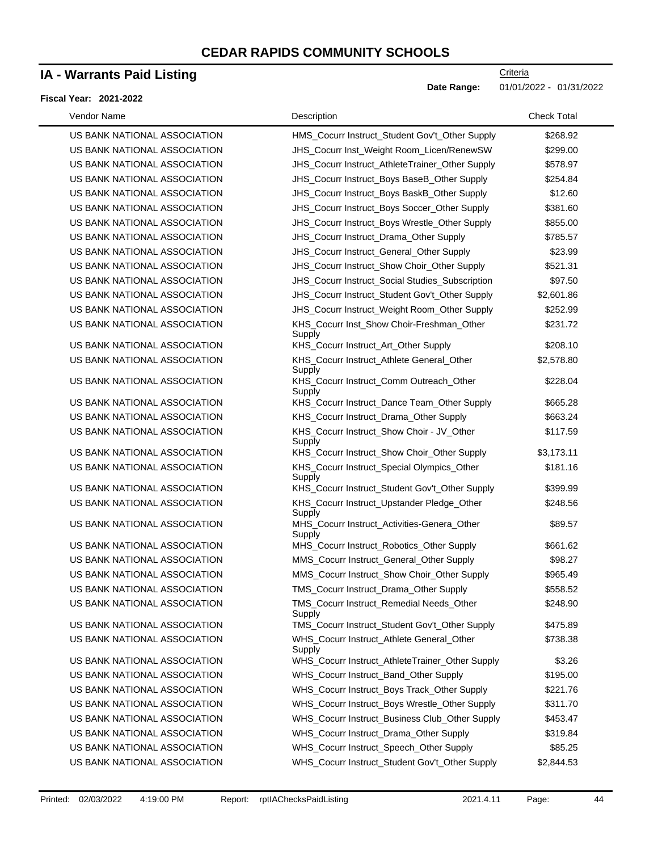### **IA - Warrants Paid Listing**

#### **Fiscal Year: 2021-2022**

**Date Range:** 01/01/2022 - 01/31/2022

| Vendor Name                  | Description                                           | <b>Check Total</b> |
|------------------------------|-------------------------------------------------------|--------------------|
| US BANK NATIONAL ASSOCIATION | HMS Cocurr Instruct Student Gov't Other Supply        | \$268.92           |
| US BANK NATIONAL ASSOCIATION | JHS_Cocurr Inst_Weight Room_Licen/RenewSW             | \$299.00           |
| US BANK NATIONAL ASSOCIATION | JHS_Cocurr Instruct_AthleteTrainer_Other Supply       | \$578.97           |
| US BANK NATIONAL ASSOCIATION | JHS_Cocurr Instruct_Boys BaseB_Other Supply           | \$254.84           |
| US BANK NATIONAL ASSOCIATION | JHS_Cocurr Instruct_Boys BaskB_Other Supply           | \$12.60            |
| US BANK NATIONAL ASSOCIATION | JHS_Cocurr Instruct_Boys Soccer_Other Supply          | \$381.60           |
| US BANK NATIONAL ASSOCIATION | JHS_Cocurr Instruct_Boys Wrestle_Other Supply         | \$855.00           |
| US BANK NATIONAL ASSOCIATION | JHS_Cocurr Instruct_Drama_Other Supply                | \$785.57           |
| US BANK NATIONAL ASSOCIATION | JHS_Cocurr Instruct_General_Other Supply              | \$23.99            |
| US BANK NATIONAL ASSOCIATION | JHS_Cocurr Instruct_Show Choir_Other Supply           | \$521.31           |
| US BANK NATIONAL ASSOCIATION | JHS_Cocurr Instruct_Social Studies_Subscription       | \$97.50            |
| US BANK NATIONAL ASSOCIATION | JHS_Cocurr Instruct_Student Gov't_Other Supply        | \$2,601.86         |
| US BANK NATIONAL ASSOCIATION | JHS_Cocurr Instruct_Weight Room_Other Supply          | \$252.99           |
| US BANK NATIONAL ASSOCIATION | KHS_Cocurr Inst_Show Choir-Freshman_Other<br>Supply   | \$231.72           |
| US BANK NATIONAL ASSOCIATION | KHS_Cocurr Instruct_Art_Other Supply                  | \$208.10           |
| US BANK NATIONAL ASSOCIATION | KHS_Cocurr Instruct_Athlete General_Other<br>Supply   | \$2,578.80         |
| US BANK NATIONAL ASSOCIATION | KHS_Cocurr Instruct_Comm Outreach_Other<br>Supply     | \$228.04           |
| US BANK NATIONAL ASSOCIATION | KHS_Cocurr Instruct_Dance Team_Other Supply           | \$665.28           |
| US BANK NATIONAL ASSOCIATION | KHS_Cocurr Instruct_Drama_Other Supply                | \$663.24           |
| US BANK NATIONAL ASSOCIATION | KHS_Cocurr Instruct_Show Choir - JV_Other<br>Supply   | \$117.59           |
| US BANK NATIONAL ASSOCIATION | KHS_Cocurr Instruct_Show Choir_Other Supply           | \$3,173.11         |
| US BANK NATIONAL ASSOCIATION | KHS_Cocurr Instruct_Special Olympics_Other<br>Supply  | \$181.16           |
| US BANK NATIONAL ASSOCIATION | KHS_Cocurr Instruct_Student Gov't_Other Supply        | \$399.99           |
| US BANK NATIONAL ASSOCIATION | KHS_Cocurr Instruct_Upstander Pledge_Other<br>Supply  | \$248.56           |
| US BANK NATIONAL ASSOCIATION | MHS_Cocurr Instruct_Activities-Genera_Other<br>Supply | \$89.57            |
| US BANK NATIONAL ASSOCIATION | MHS_Cocurr Instruct_Robotics_Other Supply             | \$661.62           |
| US BANK NATIONAL ASSOCIATION | MMS_Cocurr Instruct_General_Other Supply              | \$98.27            |
| US BANK NATIONAL ASSOCIATION | MMS_Cocurr Instruct_Show Choir_Other Supply           | \$965.49           |
| US BANK NATIONAL ASSOCIATION | TMS_Cocurr Instruct_Drama_Other Supply                | \$558.52           |
| US BANK NATIONAL ASSOCIATION | TMS_Cocurr Instruct_Remedial Needs_Other<br>Supply    | \$248.90           |
| US BANK NATIONAL ASSOCIATION | TMS_Cocurr Instruct_Student Gov't_Other Supply        | \$475.89           |
| US BANK NATIONAL ASSOCIATION | WHS_Cocurr Instruct_Athlete General_Other<br>Supply   | \$738.38           |
| US BANK NATIONAL ASSOCIATION | WHS_Cocurr Instruct_AthleteTrainer_Other Supply       | \$3.26             |
| US BANK NATIONAL ASSOCIATION | WHS_Cocurr Instruct_Band_Other Supply                 | \$195.00           |
| US BANK NATIONAL ASSOCIATION | WHS_Cocurr Instruct_Boys Track_Other Supply           | \$221.76           |
| US BANK NATIONAL ASSOCIATION | WHS_Cocurr Instruct_Boys Wrestle_Other Supply         | \$311.70           |
| US BANK NATIONAL ASSOCIATION | WHS_Cocurr Instruct_Business Club_Other Supply        | \$453.47           |
| US BANK NATIONAL ASSOCIATION | WHS_Cocurr Instruct_Drama_Other Supply                | \$319.84           |
| US BANK NATIONAL ASSOCIATION | WHS_Cocurr Instruct_Speech_Other Supply               | \$85.25            |
| US BANK NATIONAL ASSOCIATION | WHS_Cocurr Instruct_Student Gov't_Other Supply        | \$2,844.53         |